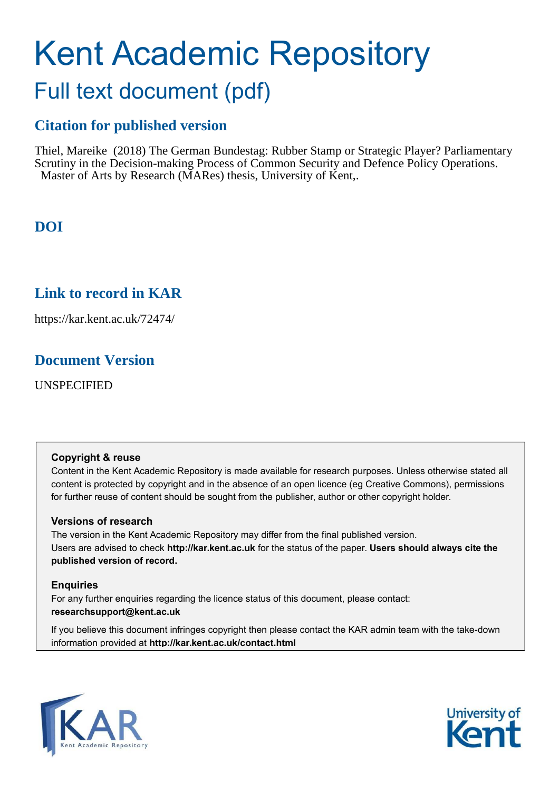# Kent Academic Repository

# Full text document (pdf)

# **Citation for published version**

Thiel, Mareike (2018) The German Bundestag: Rubber Stamp or Strategic Player? Parliamentary Scrutiny in the Decision-making Process of Common Security and Defence Policy Operations. Master of Arts by Research (MARes) thesis, University of Kent,.

# **DOI**

# **Link to record in KAR**

https://kar.kent.ac.uk/72474/

# **Document Version**

UNSPECIFIED

#### **Copyright & reuse**

Content in the Kent Academic Repository is made available for research purposes. Unless otherwise stated all content is protected by copyright and in the absence of an open licence (eg Creative Commons), permissions for further reuse of content should be sought from the publisher, author or other copyright holder.

#### **Versions of research**

The version in the Kent Academic Repository may differ from the final published version. Users are advised to check **http://kar.kent.ac.uk** for the status of the paper. **Users should always cite the published version of record.**

#### **Enquiries**

For any further enquiries regarding the licence status of this document, please contact: **researchsupport@kent.ac.uk**

If you believe this document infringes copyright then please contact the KAR admin team with the take-down information provided at **http://kar.kent.ac.uk/contact.html**



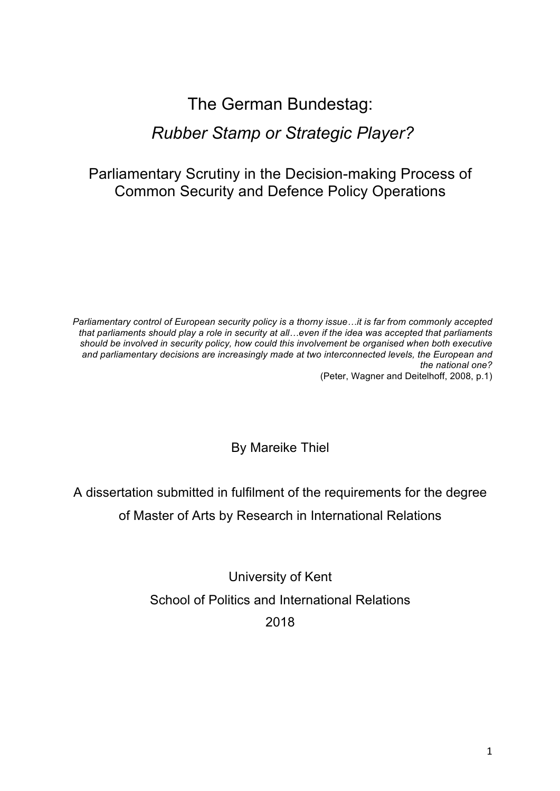# The German Bundestag: *Rubber Stamp or Strategic Player?*

# Parliamentary Scrutiny in the Decision-making Process of Common Security and Defence Policy Operations

*Parliamentary control of European security policy is a thorny issue…it is far from commonly accepted that parliaments should play a role in security at all…even if the idea was accepted that parliaments should be involved in security policy, how could this involvement be organised when both executive and parliamentary decisions are increasingly made at two interconnected levels, the European and the national one?*

(Peter, Wagner and Deitelhoff, 2008, p.1)

By Mareike Thiel

A dissertation submitted in fulfilment of the requirements for the degree of Master of Arts by Research in International Relations

> University of Kent School of Politics and International Relations 2018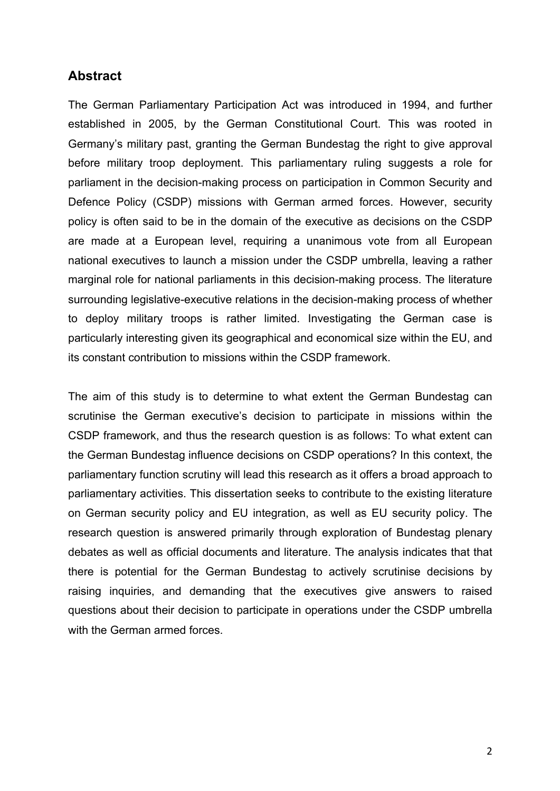### **Abstract**

The German Parliamentary Participation Act was introduced in 1994, and further established in 2005, by the German Constitutional Court. This was rooted in Germany's military past, granting the German Bundestag the right to give approval before military troop deployment. This parliamentary ruling suggests a role for parliament in the decision-making process on participation in Common Security and Defence Policy (CSDP) missions with German armed forces. However, security policy is often said to be in the domain of the executive as decisions on the CSDP are made at a European level, requiring a unanimous vote from all European national executives to launch a mission under the CSDP umbrella, leaving a rather marginal role for national parliaments in this decision-making process. The literature surrounding legislative-executive relations in the decision-making process of whether to deploy military troops is rather limited. Investigating the German case is particularly interesting given its geographical and economical size within the EU, and its constant contribution to missions within the CSDP framework.

The aim of this study is to determine to what extent the German Bundestag can scrutinise the German executive's decision to participate in missions within the CSDP framework, and thus the research question is as follows: To what extent can the German Bundestag influence decisions on CSDP operations? In this context, the parliamentary function scrutiny will lead this research as it offers a broad approach to parliamentary activities. This dissertation seeks to contribute to the existing literature on German security policy and EU integration, as well as EU security policy. The research question is answered primarily through exploration of Bundestag plenary debates as well as official documents and literature. The analysis indicates that that there is potential for the German Bundestag to actively scrutinise decisions by raising inquiries, and demanding that the executives give answers to raised questions about their decision to participate in operations under the CSDP umbrella with the German armed forces.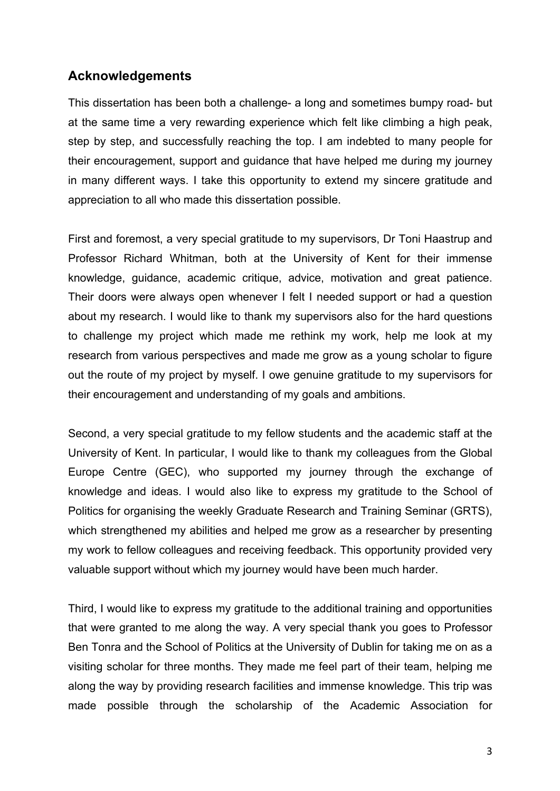## **Acknowledgements**

This dissertation has been both a challenge- a long and sometimes bumpy road- but at the same time a very rewarding experience which felt like climbing a high peak, step by step, and successfully reaching the top. I am indebted to many people for their encouragement, support and guidance that have helped me during my journey in many different ways. I take this opportunity to extend my sincere gratitude and appreciation to all who made this dissertation possible.

First and foremost, a very special gratitude to my supervisors, Dr Toni Haastrup and Professor Richard Whitman, both at the University of Kent for their immense knowledge, guidance, academic critique, advice, motivation and great patience. Their doors were always open whenever I felt I needed support or had a question about my research. I would like to thank my supervisors also for the hard questions to challenge my project which made me rethink my work, help me look at my research from various perspectives and made me grow as a young scholar to figure out the route of my project by myself. I owe genuine gratitude to my supervisors for their encouragement and understanding of my goals and ambitions.

Second, a very special gratitude to my fellow students and the academic staff at the University of Kent. In particular, I would like to thank my colleagues from the Global Europe Centre (GEC), who supported my journey through the exchange of knowledge and ideas. I would also like to express my gratitude to the School of Politics for organising the weekly Graduate Research and Training Seminar (GRTS), which strengthened my abilities and helped me grow as a researcher by presenting my work to fellow colleagues and receiving feedback. This opportunity provided very valuable support without which my journey would have been much harder.

Third, I would like to express my gratitude to the additional training and opportunities that were granted to me along the way. A very special thank you goes to Professor Ben Tonra and the School of Politics at the University of Dublin for taking me on as a visiting scholar for three months. They made me feel part of their team, helping me along the way by providing research facilities and immense knowledge. This trip was made possible through the scholarship of the Academic Association for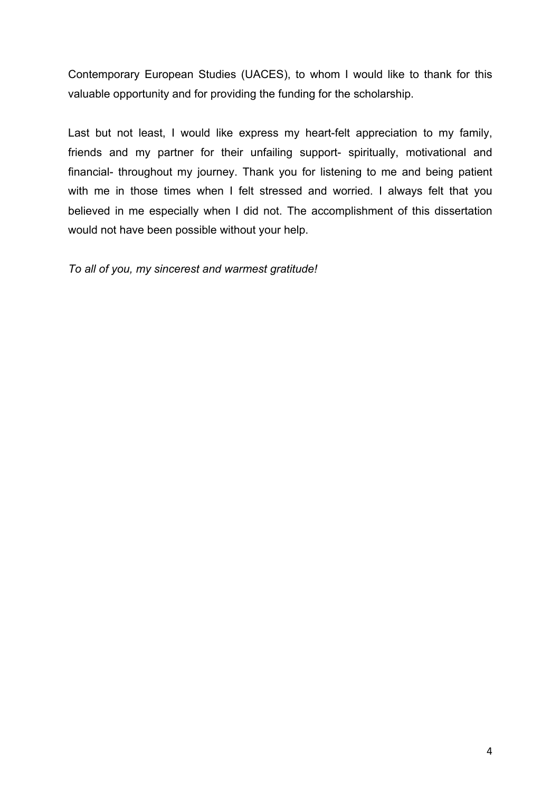Contemporary European Studies (UACES), to whom I would like to thank for this valuable opportunity and for providing the funding for the scholarship.

Last but not least, I would like express my heart-felt appreciation to my family, friends and my partner for their unfailing support- spiritually, motivational and financial- throughout my journey. Thank you for listening to me and being patient with me in those times when I felt stressed and worried. I always felt that you believed in me especially when I did not. The accomplishment of this dissertation would not have been possible without your help.

*To all of you, my sincerest and warmest gratitude!*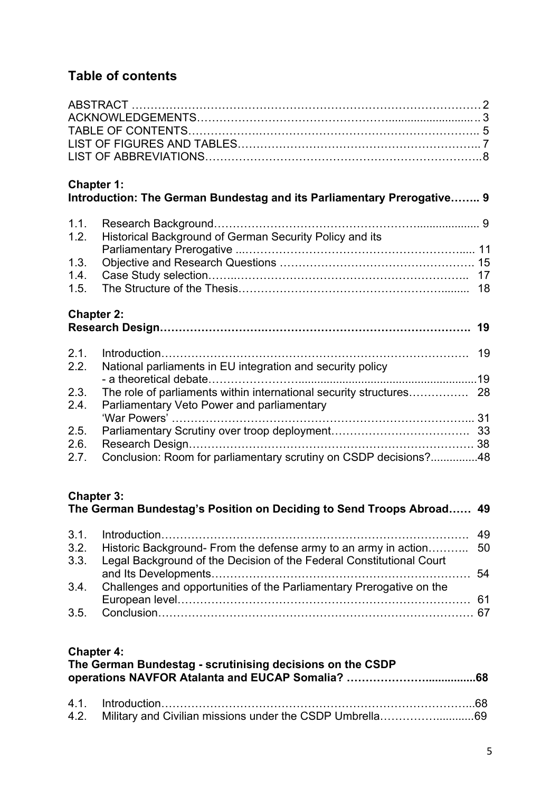# **Table of contents**

| <b>Chapter 1:</b><br>Introduction: The German Bundestag and its Parliamentary Prerogative 9 |                                                                                                                                |
|---------------------------------------------------------------------------------------------|--------------------------------------------------------------------------------------------------------------------------------|
|                                                                                             |                                                                                                                                |
| Historical Background of German Security Policy and its                                     |                                                                                                                                |
|                                                                                             |                                                                                                                                |
|                                                                                             |                                                                                                                                |
|                                                                                             |                                                                                                                                |
|                                                                                             |                                                                                                                                |
| <b>Chapter 2:</b>                                                                           |                                                                                                                                |
|                                                                                             |                                                                                                                                |
|                                                                                             |                                                                                                                                |
|                                                                                             |                                                                                                                                |
|                                                                                             |                                                                                                                                |
|                                                                                             |                                                                                                                                |
| Parliamentary Veto Power and parliamentary                                                  |                                                                                                                                |
|                                                                                             |                                                                                                                                |
|                                                                                             |                                                                                                                                |
|                                                                                             |                                                                                                                                |
|                                                                                             |                                                                                                                                |
|                                                                                             | National parliaments in EU integration and security policy<br>Conclusion: Room for parliamentary scrutiny on CSDP decisions?48 |

# **Chapter 3:**

| 3.3. Legal Background of the Decision of the Federal Constitutional Court |  |
|---------------------------------------------------------------------------|--|
|                                                                           |  |
| 3.4. Challenges and opportunities of the Parliamentary Prerogative on the |  |
|                                                                           |  |
|                                                                           |  |

# **Chapter 4:**

| The German Bundestag - scrutinising decisions on the CSDP |  |  |  |
|-----------------------------------------------------------|--|--|--|
|                                                           |  |  |  |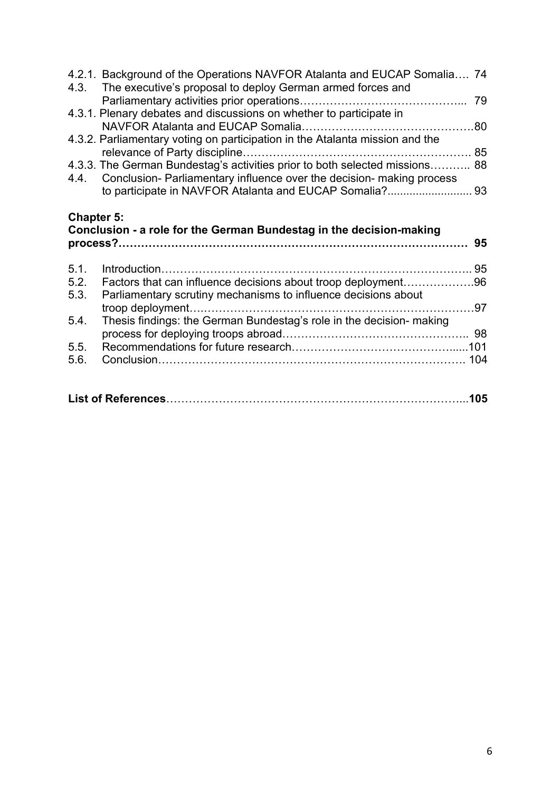|                   | 4.2.1. Background of the Operations NAVFOR Atalanta and EUCAP Somalia 74<br>4.3. The executive's proposal to deploy German armed forces and              |  |
|-------------------|----------------------------------------------------------------------------------------------------------------------------------------------------------|--|
|                   |                                                                                                                                                          |  |
|                   | 4.3.1. Plenary debates and discussions on whether to participate in                                                                                      |  |
|                   |                                                                                                                                                          |  |
|                   | 4.3.2. Parliamentary voting on participation in the Atalanta mission and the                                                                             |  |
|                   |                                                                                                                                                          |  |
|                   | 4.3.3. The German Bundestag's activities prior to both selected missions 88<br>4.4. Conclusion-Parliamentary influence over the decision- making process |  |
|                   |                                                                                                                                                          |  |
|                   |                                                                                                                                                          |  |
| <b>Chapter 5:</b> | Conclusion - a role for the German Bundestag in the decision-making                                                                                      |  |
|                   |                                                                                                                                                          |  |
|                   |                                                                                                                                                          |  |
| 5.1.              |                                                                                                                                                          |  |
| 5.2.              | Factors that can influence decisions about troop deployment96                                                                                            |  |
| 5.3.              | Parliamentary scrutiny mechanisms to influence decisions about                                                                                           |  |
| 5.4.              | Thesis findings: the German Bundestag's role in the decision- making                                                                                     |  |
|                   |                                                                                                                                                          |  |
| 5.5.              |                                                                                                                                                          |  |
| 5.6.              |                                                                                                                                                          |  |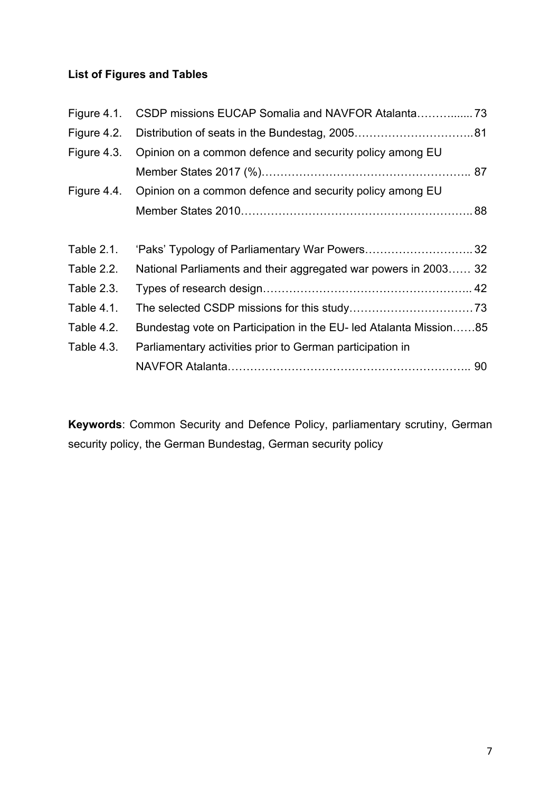# **List of Figures and Tables**

| Figure 4.1.       |                                                                   |  |
|-------------------|-------------------------------------------------------------------|--|
| Figure 4.2.       |                                                                   |  |
| Figure 4.3.       | Opinion on a common defence and security policy among EU          |  |
|                   |                                                                   |  |
| Figure 4.4.       | Opinion on a common defence and security policy among EU          |  |
|                   |                                                                   |  |
|                   |                                                                   |  |
| <b>Table 2.1.</b> | 'Paks' Typology of Parliamentary War Powers32                     |  |
| Table 2.2.        | National Parliaments and their aggregated war powers in 2003 32   |  |
| Table 2.3.        |                                                                   |  |
| Table 4.1.        |                                                                   |  |
| Table 4.2.        | Bundestag vote on Participation in the EU- led Atalanta Mission85 |  |
| Table 4.3.        | Parliamentary activities prior to German participation in         |  |
|                   |                                                                   |  |

**Keywords**: Common Security and Defence Policy, parliamentary scrutiny, German security policy, the German Bundestag, German security policy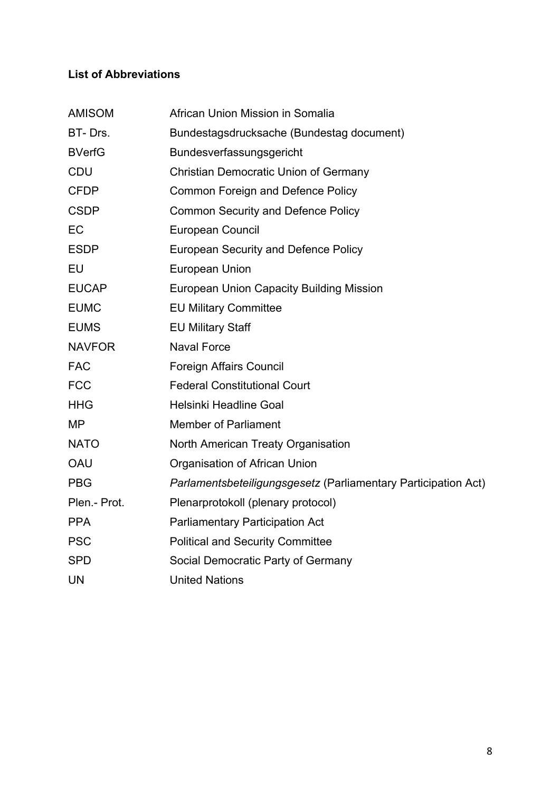# **List of Abbreviations**

| <b>AMISOM</b> | African Union Mission in Somalia                               |
|---------------|----------------------------------------------------------------|
| BT-Drs.       | Bundestagsdrucksache (Bundestag document)                      |
| <b>BVerfG</b> | Bundesverfassungsgericht                                       |
| <b>CDU</b>    | <b>Christian Democratic Union of Germany</b>                   |
| <b>CFDP</b>   | <b>Common Foreign and Defence Policy</b>                       |
| <b>CSDP</b>   | <b>Common Security and Defence Policy</b>                      |
| EC            | European Council                                               |
| <b>ESDP</b>   | <b>European Security and Defence Policy</b>                    |
| EU            | <b>European Union</b>                                          |
| <b>EUCAP</b>  | <b>European Union Capacity Building Mission</b>                |
| <b>EUMC</b>   | <b>EU Military Committee</b>                                   |
| <b>EUMS</b>   | <b>EU Military Staff</b>                                       |
| <b>NAVFOR</b> | <b>Naval Force</b>                                             |
| <b>FAC</b>    | <b>Foreign Affairs Council</b>                                 |
| <b>FCC</b>    | <b>Federal Constitutional Court</b>                            |
| <b>HHG</b>    | Helsinki Headline Goal                                         |
| <b>MP</b>     | <b>Member of Parliament</b>                                    |
| <b>NATO</b>   | North American Treaty Organisation                             |
| <b>OAU</b>    | Organisation of African Union                                  |
| <b>PBG</b>    | Parlamentsbeteiligungsgesetz (Parliamentary Participation Act) |
| Plen.- Prot.  | Plenarprotokoll (plenary protocol)                             |
| <b>PPA</b>    | <b>Parliamentary Participation Act</b>                         |
| <b>PSC</b>    | <b>Political and Security Committee</b>                        |
| <b>SPD</b>    | Social Democratic Party of Germany                             |
| <b>UN</b>     | <b>United Nations</b>                                          |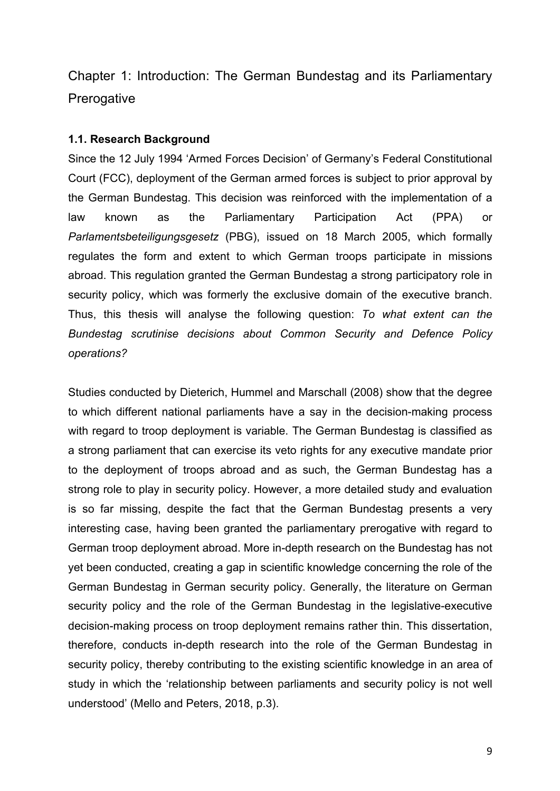Chapter 1: Introduction: The German Bundestag and its Parliamentary **Prerogative** 

#### **1.1. Research Background**

Since the 12 July 1994 'Armed Forces Decision' of Germany's Federal Constitutional Court (FCC), deployment of the German armed forces is subject to prior approval by the German Bundestag. This decision was reinforced with the implementation of a law known as the Parliamentary Participation Act (PPA) or *Parlamentsbeteiligungsgesetz* (PBG), issued on 18 March 2005, which formally regulates the form and extent to which German troops participate in missions abroad. This regulation granted the German Bundestag a strong participatory role in security policy, which was formerly the exclusive domain of the executive branch. Thus, this thesis will analyse the following question: *To what extent can the Bundestag scrutinise decisions about Common Security and Defence Policy operations?* 

Studies conducted by Dieterich, Hummel and Marschall (2008) show that the degree to which different national parliaments have a say in the decision-making process with regard to troop deployment is variable. The German Bundestag is classified as a strong parliament that can exercise its veto rights for any executive mandate prior to the deployment of troops abroad and as such, the German Bundestag has a strong role to play in security policy. However, a more detailed study and evaluation is so far missing, despite the fact that the German Bundestag presents a very interesting case, having been granted the parliamentary prerogative with regard to German troop deployment abroad. More in-depth research on the Bundestag has not yet been conducted, creating a gap in scientific knowledge concerning the role of the German Bundestag in German security policy. Generally, the literature on German security policy and the role of the German Bundestag in the legislative-executive decision-making process on troop deployment remains rather thin. This dissertation, therefore, conducts in-depth research into the role of the German Bundestag in security policy, thereby contributing to the existing scientific knowledge in an area of study in which the 'relationship between parliaments and security policy is not well understood' (Mello and Peters, 2018, p.3).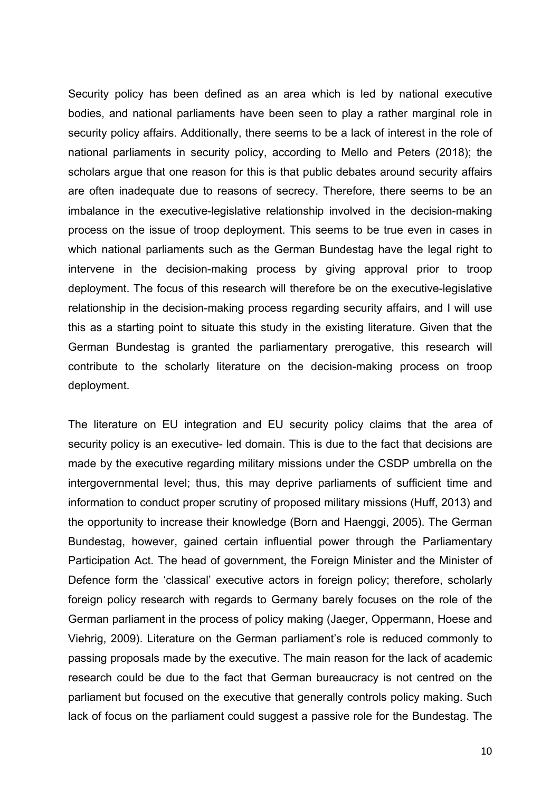Security policy has been defined as an area which is led by national executive bodies, and national parliaments have been seen to play a rather marginal role in security policy affairs. Additionally, there seems to be a lack of interest in the role of national parliaments in security policy, according to Mello and Peters (2018); the scholars argue that one reason for this is that public debates around security affairs are often inadequate due to reasons of secrecy. Therefore, there seems to be an imbalance in the executive-legislative relationship involved in the decision-making process on the issue of troop deployment. This seems to be true even in cases in which national parliaments such as the German Bundestag have the legal right to intervene in the decision-making process by giving approval prior to troop deployment. The focus of this research will therefore be on the executive-legislative relationship in the decision-making process regarding security affairs, and I will use this as a starting point to situate this study in the existing literature. Given that the German Bundestag is granted the parliamentary prerogative, this research will contribute to the scholarly literature on the decision-making process on troop deployment.

The literature on EU integration and EU security policy claims that the area of security policy is an executive- led domain. This is due to the fact that decisions are made by the executive regarding military missions under the CSDP umbrella on the intergovernmental level; thus, this may deprive parliaments of sufficient time and information to conduct proper scrutiny of proposed military missions (Huff, 2013) and the opportunity to increase their knowledge (Born and Haenggi, 2005). The German Bundestag, however, gained certain influential power through the Parliamentary Participation Act. The head of government, the Foreign Minister and the Minister of Defence form the 'classical' executive actors in foreign policy; therefore, scholarly foreign policy research with regards to Germany barely focuses on the role of the German parliament in the process of policy making (Jaeger, Oppermann, Hoese and Viehrig, 2009). Literature on the German parliament's role is reduced commonly to passing proposals made by the executive. The main reason for the lack of academic research could be due to the fact that German bureaucracy is not centred on the parliament but focused on the executive that generally controls policy making. Such lack of focus on the parliament could suggest a passive role for the Bundestag. The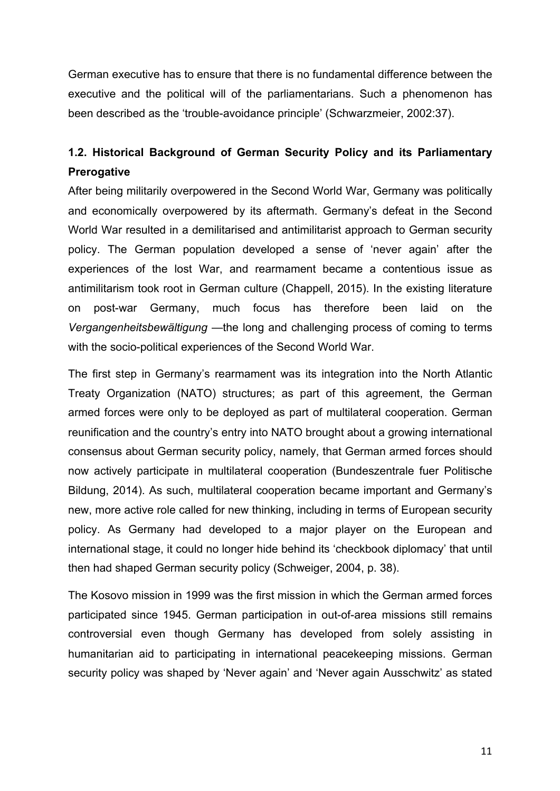German executive has to ensure that there is no fundamental difference between the executive and the political will of the parliamentarians. Such a phenomenon has been described as the 'trouble-avoidance principle' (Schwarzmeier, 2002:37).

# **1.2. Historical Background of German Security Policy and its Parliamentary Prerogative**

After being militarily overpowered in the Second World War, Germany was politically and economically overpowered by its aftermath. Germany's defeat in the Second World War resulted in a demilitarised and antimilitarist approach to German security policy. The German population developed a sense of 'never again' after the experiences of the lost War, and rearmament became a contentious issue as antimilitarism took root in German culture (Chappell, 2015). In the existing literature on post-war Germany, much focus has therefore been laid on the *Vergangenheitsbewältigung* —the long and challenging process of coming to terms with the socio-political experiences of the Second World War.

The first step in Germany's rearmament was its integration into the North Atlantic Treaty Organization (NATO) structures; as part of this agreement, the German armed forces were only to be deployed as part of multilateral cooperation. German reunification and the country's entry into NATO brought about a growing international consensus about German security policy, namely, that German armed forces should now actively participate in multilateral cooperation (Bundeszentrale fuer Politische Bildung, 2014). As such, multilateral cooperation became important and Germany's new, more active role called for new thinking, including in terms of European security policy. As Germany had developed to a major player on the European and international stage, it could no longer hide behind its 'checkbook diplomacy' that until then had shaped German security policy (Schweiger, 2004, p. 38).

The Kosovo mission in 1999 was the first mission in which the German armed forces participated since 1945. German participation in out-of-area missions still remains controversial even though Germany has developed from solely assisting in humanitarian aid to participating in international peacekeeping missions. German security policy was shaped by 'Never again' and 'Never again Ausschwitz' as stated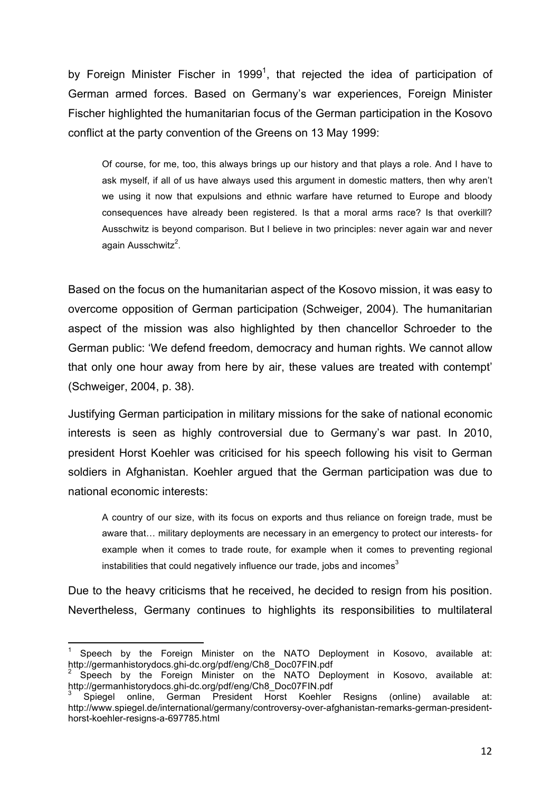by Foreign Minister Fischer in 1999<sup>1</sup>, that rejected the idea of participation of German armed forces. Based on Germany's war experiences, Foreign Minister Fischer highlighted the humanitarian focus of the German participation in the Kosovo conflict at the party convention of the Greens on 13 May 1999:

Of course, for me, too, this always brings up our history and that plays a role. And I have to ask myself, if all of us have always used this argument in domestic matters, then why aren't we using it now that expulsions and ethnic warfare have returned to Europe and bloody consequences have already been registered. Is that a moral arms race? Is that overkill? Ausschwitz is beyond comparison. But I believe in two principles: never again war and never again Ausschwitz<sup>2</sup>.

Based on the focus on the humanitarian aspect of the Kosovo mission, it was easy to overcome opposition of German participation (Schweiger, 2004). The humanitarian aspect of the mission was also highlighted by then chancellor Schroeder to the German public: 'We defend freedom, democracy and human rights. We cannot allow that only one hour away from here by air, these values are treated with contempt' (Schweiger, 2004, p. 38).

Justifying German participation in military missions for the sake of national economic interests is seen as highly controversial due to Germany's war past. In 2010, president Horst Koehler was criticised for his speech following his visit to German soldiers in Afghanistan. Koehler argued that the German participation was due to national economic interests:

A country of our size, with its focus on exports and thus reliance on foreign trade, must be aware that… military deployments are necessary in an emergency to protect our interests- for example when it comes to trade route, for example when it comes to preventing regional instabilities that could negatively influence our trade, jobs and incomes $3$ 

Due to the heavy criticisms that he received, he decided to resign from his position. Nevertheless, Germany continues to highlights its responsibilities to multilateral

 

<sup>1</sup> Speech by the Foreign Minister on the NATO Deployment in Kosovo, available at: http://germanhistorydocs.ghi-dc.org/pdf/eng/Ch8\_Doc07FIN.pdf

<sup>2</sup> Speech by the Foreign Minister on the NATO Deployment in Kosovo, available at: http://germanhistorydocs.ghi-dc.org/pdf/eng/Ch8\_Doc07FIN.pdf

<sup>3</sup> Spiegel online, German President Horst Koehler Resigns (online) available at: http://www.spiegel.de/international/germany/controversy-over-afghanistan-remarks-german-presidenthorst-koehler-resigns-a-697785.html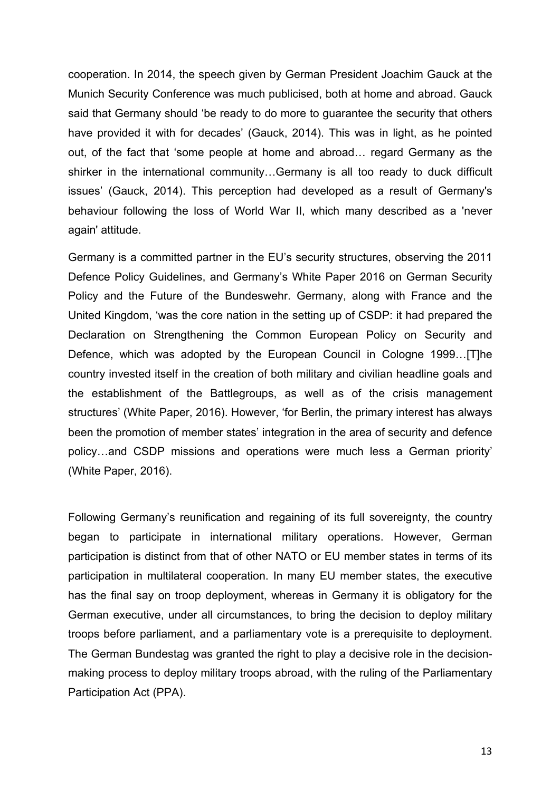cooperation. In 2014, the speech given by German President Joachim Gauck at the Munich Security Conference was much publicised, both at home and abroad. Gauck said that Germany should 'be ready to do more to guarantee the security that others have provided it with for decades' (Gauck, 2014). This was in light, as he pointed out, of the fact that 'some people at home and abroad… regard Germany as the shirker in the international community…Germany is all too ready to duck difficult issues' (Gauck, 2014). This perception had developed as a result of Germany's behaviour following the loss of World War II, which many described as a 'never again' attitude.

Germany is a committed partner in the EU's security structures, observing the 2011 Defence Policy Guidelines, and Germany's White Paper 2016 on German Security Policy and the Future of the Bundeswehr. Germany, along with France and the United Kingdom, 'was the core nation in the setting up of CSDP: it had prepared the Declaration on Strengthening the Common European Policy on Security and Defence, which was adopted by the European Council in Cologne 1999…[T]he country invested itself in the creation of both military and civilian headline goals and the establishment of the Battlegroups, as well as of the crisis management structures' (White Paper, 2016). However, 'for Berlin, the primary interest has always been the promotion of member states' integration in the area of security and defence policy…and CSDP missions and operations were much less a German priority' (White Paper, 2016).

Following Germany's reunification and regaining of its full sovereignty, the country began to participate in international military operations. However, German participation is distinct from that of other NATO or EU member states in terms of its participation in multilateral cooperation. In many EU member states, the executive has the final say on troop deployment, whereas in Germany it is obligatory for the German executive, under all circumstances, to bring the decision to deploy military troops before parliament, and a parliamentary vote is a prerequisite to deployment. The German Bundestag was granted the right to play a decisive role in the decisionmaking process to deploy military troops abroad, with the ruling of the Parliamentary Participation Act (PPA).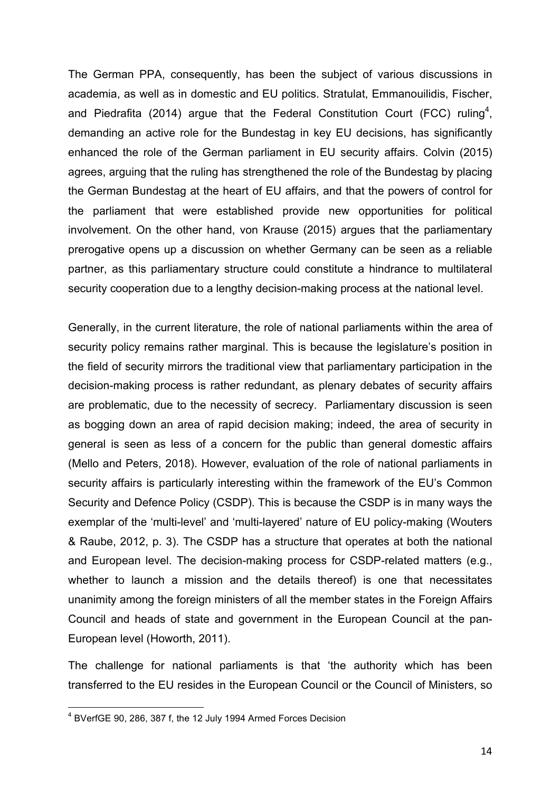The German PPA, consequently, has been the subject of various discussions in academia, as well as in domestic and EU politics. Stratulat, Emmanouilidis, Fischer, and Piedrafita (2014) argue that the Federal Constitution Court (FCC) ruling<sup>4</sup>, demanding an active role for the Bundestag in key EU decisions, has significantly enhanced the role of the German parliament in EU security affairs. Colvin (2015) agrees, arguing that the ruling has strengthened the role of the Bundestag by placing the German Bundestag at the heart of EU affairs, and that the powers of control for the parliament that were established provide new opportunities for political involvement. On the other hand, von Krause (2015) argues that the parliamentary prerogative opens up a discussion on whether Germany can be seen as a reliable partner, as this parliamentary structure could constitute a hindrance to multilateral security cooperation due to a lengthy decision-making process at the national level.

Generally, in the current literature, the role of national parliaments within the area of security policy remains rather marginal. This is because the legislature's position in the field of security mirrors the traditional view that parliamentary participation in the decision-making process is rather redundant, as plenary debates of security affairs are problematic, due to the necessity of secrecy. Parliamentary discussion is seen as bogging down an area of rapid decision making; indeed, the area of security in general is seen as less of a concern for the public than general domestic affairs (Mello and Peters, 2018). However, evaluation of the role of national parliaments in security affairs is particularly interesting within the framework of the EU's Common Security and Defence Policy (CSDP). This is because the CSDP is in many ways the exemplar of the 'multi-level' and 'multi-layered' nature of EU policy-making (Wouters & Raube, 2012, p. 3). The CSDP has a structure that operates at both the national and European level. The decision-making process for CSDP-related matters (e.g., whether to launch a mission and the details thereof) is one that necessitates unanimity among the foreign ministers of all the member states in the Foreign Affairs Council and heads of state and government in the European Council at the pan-European level (Howorth, 2011).

The challenge for national parliaments is that 'the authority which has been transferred to the EU resides in the European Council or the Council of Ministers, so

 4 BVerfGE 90, 286, 387 f, the 12 July 1994 Armed Forces Decision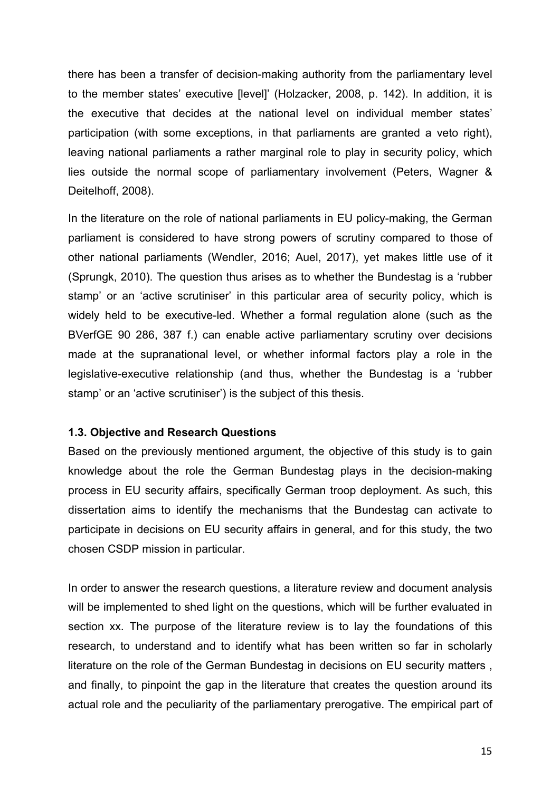there has been a transfer of decision-making authority from the parliamentary level to the member states' executive [level]' (Holzacker, 2008, p. 142). In addition, it is the executive that decides at the national level on individual member states' participation (with some exceptions, in that parliaments are granted a veto right), leaving national parliaments a rather marginal role to play in security policy, which lies outside the normal scope of parliamentary involvement (Peters, Wagner & Deitelhoff, 2008).

In the literature on the role of national parliaments in EU policy-making, the German parliament is considered to have strong powers of scrutiny compared to those of other national parliaments (Wendler, 2016; Auel, 2017), yet makes little use of it (Sprungk, 2010). The question thus arises as to whether the Bundestag is a 'rubber stamp' or an 'active scrutiniser' in this particular area of security policy, which is widely held to be executive-led. Whether a formal regulation alone (such as the BVerfGE 90 286, 387 f.) can enable active parliamentary scrutiny over decisions made at the supranational level, or whether informal factors play a role in the legislative-executive relationship (and thus, whether the Bundestag is a 'rubber stamp' or an 'active scrutiniser') is the subject of this thesis.

#### **1.3. Objective and Research Questions**

Based on the previously mentioned argument, the objective of this study is to gain knowledge about the role the German Bundestag plays in the decision-making process in EU security affairs, specifically German troop deployment. As such, this dissertation aims to identify the mechanisms that the Bundestag can activate to participate in decisions on EU security affairs in general, and for this study, the two chosen CSDP mission in particular.

In order to answer the research questions, a literature review and document analysis will be implemented to shed light on the questions, which will be further evaluated in section xx. The purpose of the literature review is to lay the foundations of this research, to understand and to identify what has been written so far in scholarly literature on the role of the German Bundestag in decisions on EU security matters , and finally, to pinpoint the gap in the literature that creates the question around its actual role and the peculiarity of the parliamentary prerogative. The empirical part of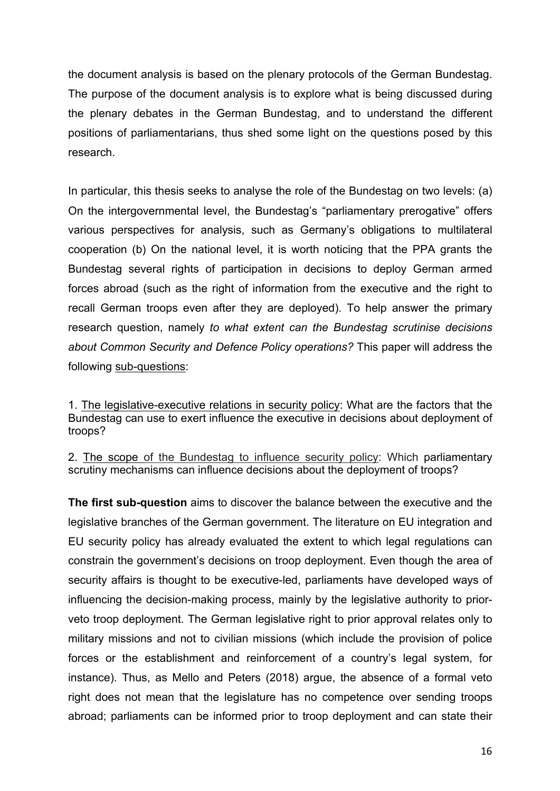the document analysis is based on the plenary protocols of the German Bundestag. The purpose of the document analysis is to explore what is being discussed during the plenary debates in the German Bundestag, and to understand the different positions of parliamentarians, thus shed some light on the questions posed by this research.

In particular, this thesis seeks to analyse the role of the Bundestag on two levels: (a) On the intergovernmental level, the Bundestag's "parliamentary prerogative" offers various perspectives for analysis, such as Germany's obligations to multilateral cooperation (b) On the national level, it is worth noticing that the PPA grants the Bundestag several rights of participation in decisions to deploy German armed forces abroad (such as the right of information from the executive and the right to recall German troops even after they are deployed). To help answer the primary research question, namely *to what extent can the Bundestag scrutinise decisions about Common Security and Defence Policy operations?* This paper will address the following sub-questions:

1. The legislative-executive relations in security policy: What are the factors that the Bundestag can use to exert influence the executive in decisions about deployment of troops?

2. The scope of the Bundestag to influence security policy: Which parliamentary scrutiny mechanisms can influence decisions about the deployment of troops?

**The first sub-question** aims to discover the balance between the executive and the legislative branches of the German government. The literature on EU integration and EU security policy has already evaluated the extent to which legal regulations can constrain the government's decisions on troop deployment. Even though the area of security affairs is thought to be executive-led, parliaments have developed ways of influencing the decision-making process, mainly by the legislative authority to priorveto troop deployment. The German legislative right to prior approval relates only to military missions and not to civilian missions (which include the provision of police forces or the establishment and reinforcement of a country's legal system, for instance). Thus, as Mello and Peters (2018) argue, the absence of a formal veto right does not mean that the legislature has no competence over sending troops abroad; parliaments can be informed prior to troop deployment and can state their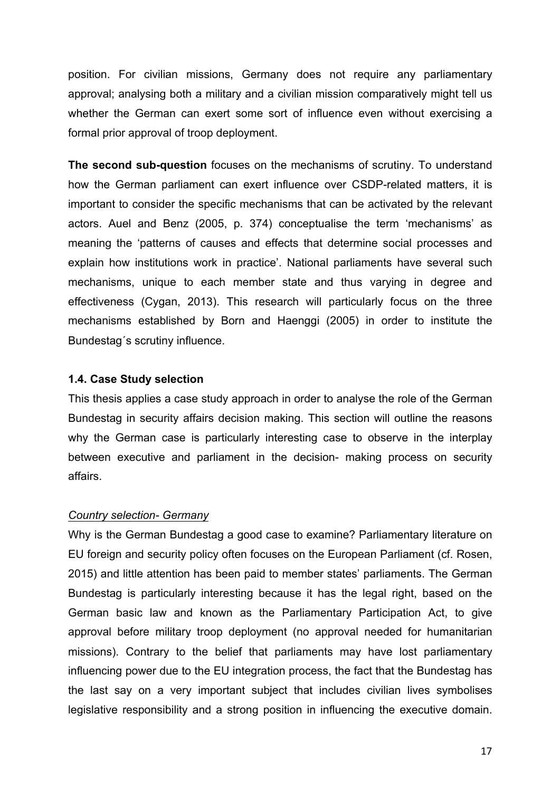position. For civilian missions, Germany does not require any parliamentary approval; analysing both a military and a civilian mission comparatively might tell us whether the German can exert some sort of influence even without exercising a formal prior approval of troop deployment.

**The second sub-question** focuses on the mechanisms of scrutiny. To understand how the German parliament can exert influence over CSDP-related matters, it is important to consider the specific mechanisms that can be activated by the relevant actors. Auel and Benz (2005, p. 374) conceptualise the term 'mechanisms' as meaning the 'patterns of causes and effects that determine social processes and explain how institutions work in practice'. National parliaments have several such mechanisms, unique to each member state and thus varying in degree and effectiveness (Cygan, 2013). This research will particularly focus on the three mechanisms established by Born and Haenggi (2005) in order to institute the Bundestag´s scrutiny influence.

#### **1.4. Case Study selection**

This thesis applies a case study approach in order to analyse the role of the German Bundestag in security affairs decision making. This section will outline the reasons why the German case is particularly interesting case to observe in the interplay between executive and parliament in the decision- making process on security affairs.

#### *Country selection- Germany*

Why is the German Bundestag a good case to examine? Parliamentary literature on EU foreign and security policy often focuses on the European Parliament (cf. Rosen, 2015) and little attention has been paid to member states' parliaments. The German Bundestag is particularly interesting because it has the legal right, based on the German basic law and known as the Parliamentary Participation Act, to give approval before military troop deployment (no approval needed for humanitarian missions). Contrary to the belief that parliaments may have lost parliamentary influencing power due to the EU integration process, the fact that the Bundestag has the last say on a very important subject that includes civilian lives symbolises legislative responsibility and a strong position in influencing the executive domain.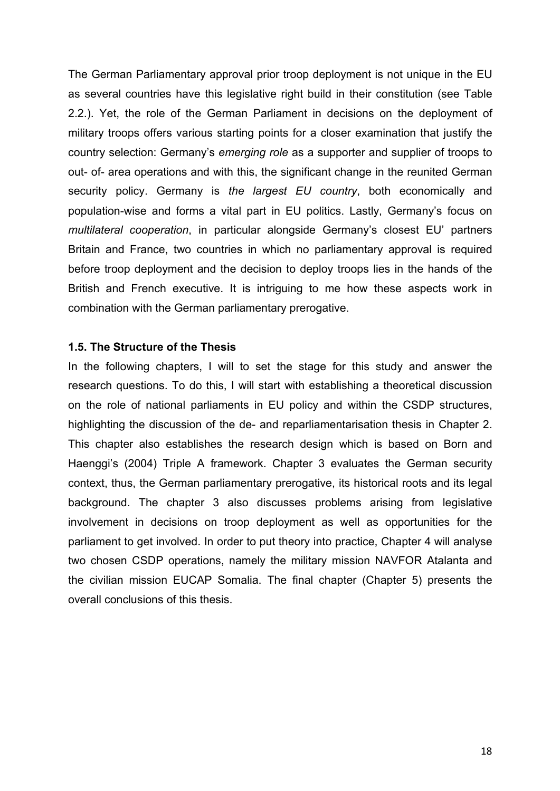The German Parliamentary approval prior troop deployment is not unique in the EU as several countries have this legislative right build in their constitution (see Table 2.2.). Yet, the role of the German Parliament in decisions on the deployment of military troops offers various starting points for a closer examination that justify the country selection: Germany's *emerging role* as a supporter and supplier of troops to out- of- area operations and with this, the significant change in the reunited German security policy. Germany is *the largest EU country*, both economically and population-wise and forms a vital part in EU politics. Lastly, Germany's focus on *multilateral cooperation*, in particular alongside Germany's closest EU' partners Britain and France, two countries in which no parliamentary approval is required before troop deployment and the decision to deploy troops lies in the hands of the British and French executive. It is intriguing to me how these aspects work in combination with the German parliamentary prerogative.

#### **1.5. The Structure of the Thesis**

In the following chapters, I will to set the stage for this study and answer the research questions. To do this, I will start with establishing a theoretical discussion on the role of national parliaments in EU policy and within the CSDP structures, highlighting the discussion of the de- and reparliamentarisation thesis in Chapter 2. This chapter also establishes the research design which is based on Born and Haenggi's (2004) Triple A framework. Chapter 3 evaluates the German security context, thus, the German parliamentary prerogative, its historical roots and its legal background. The chapter 3 also discusses problems arising from legislative involvement in decisions on troop deployment as well as opportunities for the parliament to get involved. In order to put theory into practice, Chapter 4 will analyse two chosen CSDP operations, namely the military mission NAVFOR Atalanta and the civilian mission EUCAP Somalia. The final chapter (Chapter 5) presents the overall conclusions of this thesis.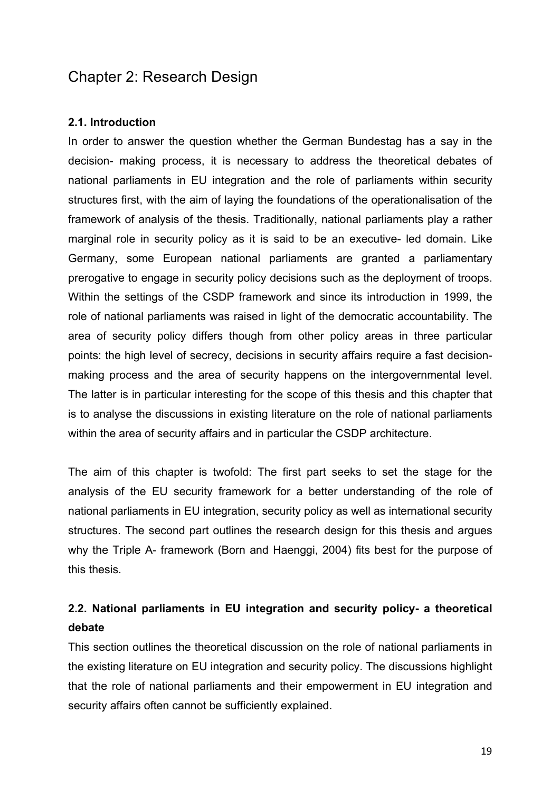# Chapter 2: Research Design

#### **2.1. Introduction**

In order to answer the question whether the German Bundestag has a say in the decision- making process, it is necessary to address the theoretical debates of national parliaments in EU integration and the role of parliaments within security structures first, with the aim of laying the foundations of the operationalisation of the framework of analysis of the thesis. Traditionally, national parliaments play a rather marginal role in security policy as it is said to be an executive- led domain. Like Germany, some European national parliaments are granted a parliamentary prerogative to engage in security policy decisions such as the deployment of troops. Within the settings of the CSDP framework and since its introduction in 1999, the role of national parliaments was raised in light of the democratic accountability. The area of security policy differs though from other policy areas in three particular points: the high level of secrecy, decisions in security affairs require a fast decisionmaking process and the area of security happens on the intergovernmental level. The latter is in particular interesting for the scope of this thesis and this chapter that is to analyse the discussions in existing literature on the role of national parliaments within the area of security affairs and in particular the CSDP architecture.

The aim of this chapter is twofold: The first part seeks to set the stage for the analysis of the EU security framework for a better understanding of the role of national parliaments in EU integration, security policy as well as international security structures. The second part outlines the research design for this thesis and argues why the Triple A- framework (Born and Haenggi, 2004) fits best for the purpose of this thesis.

# **2.2. National parliaments in EU integration and security policy- a theoretical debate**

This section outlines the theoretical discussion on the role of national parliaments in the existing literature on EU integration and security policy. The discussions highlight that the role of national parliaments and their empowerment in EU integration and security affairs often cannot be sufficiently explained.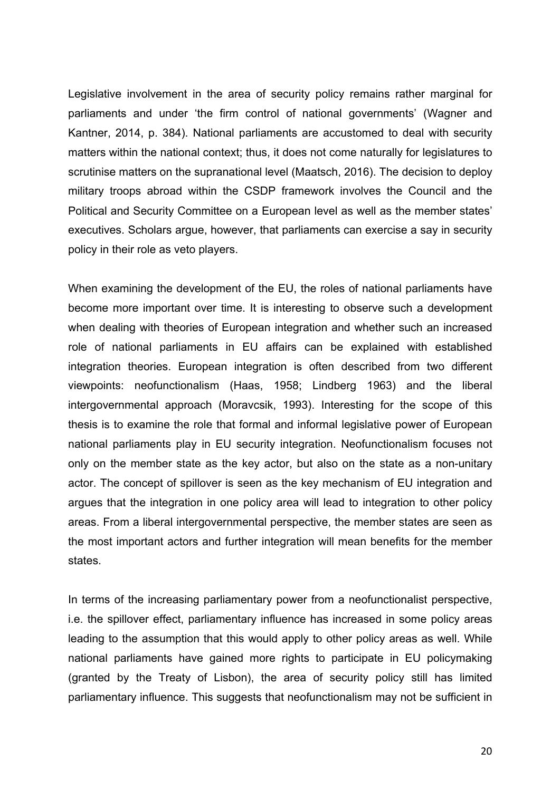Legislative involvement in the area of security policy remains rather marginal for parliaments and under 'the firm control of national governments' (Wagner and Kantner, 2014, p. 384). National parliaments are accustomed to deal with security matters within the national context; thus, it does not come naturally for legislatures to scrutinise matters on the supranational level (Maatsch, 2016). The decision to deploy military troops abroad within the CSDP framework involves the Council and the Political and Security Committee on a European level as well as the member states' executives. Scholars argue, however, that parliaments can exercise a say in security policy in their role as veto players.

When examining the development of the EU, the roles of national parliaments have become more important over time. It is interesting to observe such a development when dealing with theories of European integration and whether such an increased role of national parliaments in EU affairs can be explained with established integration theories. European integration is often described from two different viewpoints: neofunctionalism (Haas, 1958; Lindberg 1963) and the liberal intergovernmental approach (Moravcsik, 1993). Interesting for the scope of this thesis is to examine the role that formal and informal legislative power of European national parliaments play in EU security integration. Neofunctionalism focuses not only on the member state as the key actor, but also on the state as a non-unitary actor. The concept of spillover is seen as the key mechanism of EU integration and argues that the integration in one policy area will lead to integration to other policy areas. From a liberal intergovernmental perspective, the member states are seen as the most important actors and further integration will mean benefits for the member states.

In terms of the increasing parliamentary power from a neofunctionalist perspective, i.e. the spillover effect, parliamentary influence has increased in some policy areas leading to the assumption that this would apply to other policy areas as well. While national parliaments have gained more rights to participate in EU policymaking (granted by the Treaty of Lisbon), the area of security policy still has limited parliamentary influence. This suggests that neofunctionalism may not be sufficient in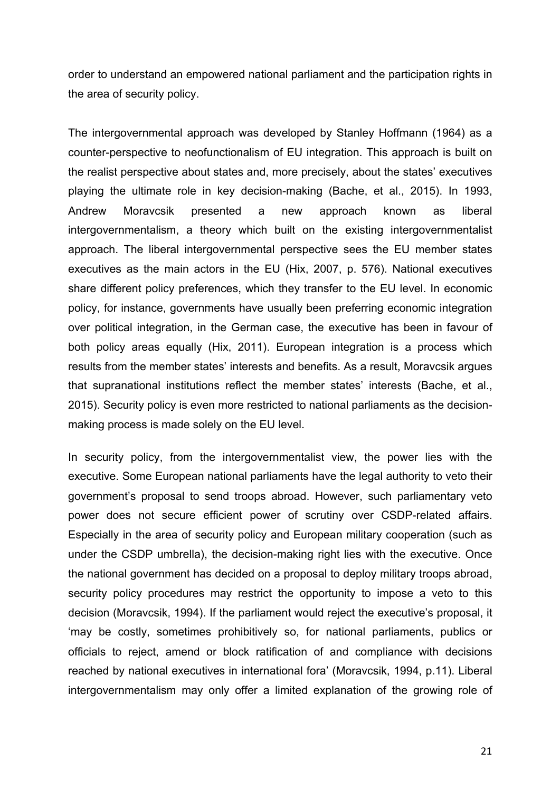order to understand an empowered national parliament and the participation rights in the area of security policy.

The intergovernmental approach was developed by Stanley Hoffmann (1964) as a counter-perspective to neofunctionalism of EU integration. This approach is built on the realist perspective about states and, more precisely, about the states' executives playing the ultimate role in key decision-making (Bache, et al., 2015). In 1993, Andrew Moravcsik presented a new approach known as liberal intergovernmentalism, a theory which built on the existing intergovernmentalist approach. The liberal intergovernmental perspective sees the EU member states executives as the main actors in the EU (Hix, 2007, p. 576). National executives share different policy preferences, which they transfer to the EU level. In economic policy, for instance, governments have usually been preferring economic integration over political integration, in the German case, the executive has been in favour of both policy areas equally (Hix, 2011). European integration is a process which results from the member states' interests and benefits. As a result, Moravcsik argues that supranational institutions reflect the member states' interests (Bache, et al., 2015). Security policy is even more restricted to national parliaments as the decisionmaking process is made solely on the EU level.

In security policy, from the intergovernmentalist view, the power lies with the executive. Some European national parliaments have the legal authority to veto their government's proposal to send troops abroad. However, such parliamentary veto power does not secure efficient power of scrutiny over CSDP-related affairs. Especially in the area of security policy and European military cooperation (such as under the CSDP umbrella), the decision-making right lies with the executive. Once the national government has decided on a proposal to deploy military troops abroad, security policy procedures may restrict the opportunity to impose a veto to this decision (Moravcsik, 1994). If the parliament would reject the executive's proposal, it 'may be costly, sometimes prohibitively so, for national parliaments, publics or officials to reject, amend or block ratification of and compliance with decisions reached by national executives in international fora' (Moravcsik, 1994, p.11). Liberal intergovernmentalism may only offer a limited explanation of the growing role of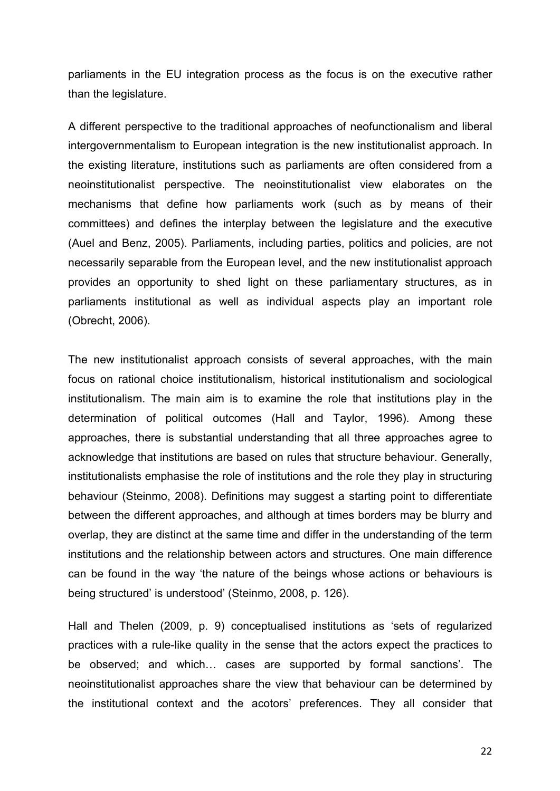parliaments in the EU integration process as the focus is on the executive rather than the legislature.

A different perspective to the traditional approaches of neofunctionalism and liberal intergovernmentalism to European integration is the new institutionalist approach. In the existing literature, institutions such as parliaments are often considered from a neoinstitutionalist perspective. The neoinstitutionalist view elaborates on the mechanisms that define how parliaments work (such as by means of their committees) and defines the interplay between the legislature and the executive (Auel and Benz, 2005). Parliaments, including parties, politics and policies, are not necessarily separable from the European level, and the new institutionalist approach provides an opportunity to shed light on these parliamentary structures, as in parliaments institutional as well as individual aspects play an important role (Obrecht, 2006).

The new institutionalist approach consists of several approaches, with the main focus on rational choice institutionalism, historical institutionalism and sociological institutionalism. The main aim is to examine the role that institutions play in the determination of political outcomes (Hall and Taylor, 1996). Among these approaches, there is substantial understanding that all three approaches agree to acknowledge that institutions are based on rules that structure behaviour. Generally, institutionalists emphasise the role of institutions and the role they play in structuring behaviour (Steinmo, 2008). Definitions may suggest a starting point to differentiate between the different approaches, and although at times borders may be blurry and overlap, they are distinct at the same time and differ in the understanding of the term institutions and the relationship between actors and structures. One main difference can be found in the way 'the nature of the beings whose actions or behaviours is being structured' is understood' (Steinmo, 2008, p. 126).

Hall and Thelen (2009, p. 9) conceptualised institutions as 'sets of regularized practices with a rule-like quality in the sense that the actors expect the practices to be observed; and which… cases are supported by formal sanctions'. The neoinstitutionalist approaches share the view that behaviour can be determined by the institutional context and the acotors' preferences. They all consider that

22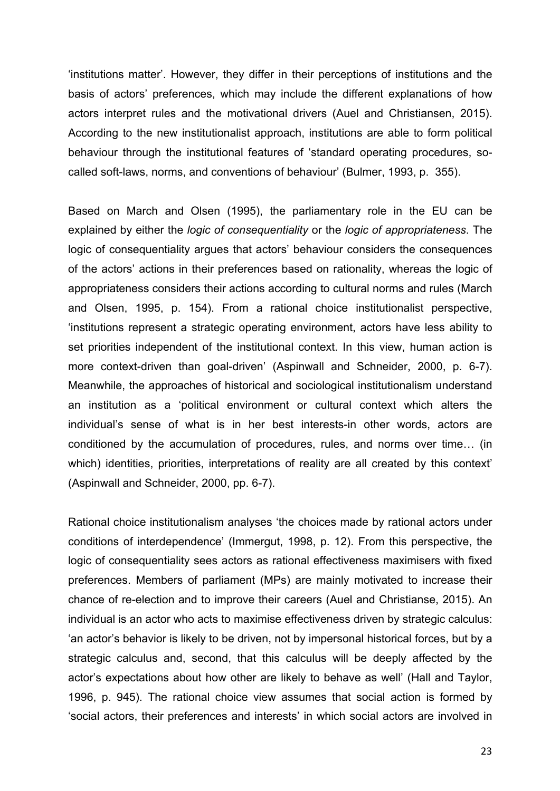'institutions matter'. However, they differ in their perceptions of institutions and the basis of actors' preferences, which may include the different explanations of how actors interpret rules and the motivational drivers (Auel and Christiansen, 2015). According to the new institutionalist approach, institutions are able to form political behaviour through the institutional features of 'standard operating procedures, socalled soft-laws, norms, and conventions of behaviour' (Bulmer, 1993, p. 355).

Based on March and Olsen (1995), the parliamentary role in the EU can be explained by either the *logic of consequentiality* or the *logic of appropriateness*. The logic of consequentiality argues that actors' behaviour considers the consequences of the actors' actions in their preferences based on rationality, whereas the logic of appropriateness considers their actions according to cultural norms and rules (March and Olsen, 1995, p. 154). From a rational choice institutionalist perspective, 'institutions represent a strategic operating environment, actors have less ability to set priorities independent of the institutional context. In this view, human action is more context-driven than goal-driven' (Aspinwall and Schneider, 2000, p. 6-7). Meanwhile, the approaches of historical and sociological institutionalism understand an institution as a 'political environment or cultural context which alters the individual's sense of what is in her best interests-in other words, actors are conditioned by the accumulation of procedures, rules, and norms over time… (in which) identities, priorities, interpretations of reality are all created by this context' (Aspinwall and Schneider, 2000, pp. 6-7).

Rational choice institutionalism analyses 'the choices made by rational actors under conditions of interdependence' (Immergut, 1998, p. 12). From this perspective, the logic of consequentiality sees actors as rational effectiveness maximisers with fixed preferences. Members of parliament (MPs) are mainly motivated to increase their chance of re-election and to improve their careers (Auel and Christianse, 2015). An individual is an actor who acts to maximise effectiveness driven by strategic calculus: 'an actor's behavior is likely to be driven, not by impersonal historical forces, but by a strategic calculus and, second, that this calculus will be deeply affected by the actor's expectations about how other are likely to behave as well' (Hall and Taylor, 1996, p. 945). The rational choice view assumes that social action is formed by 'social actors, their preferences and interests' in which social actors are involved in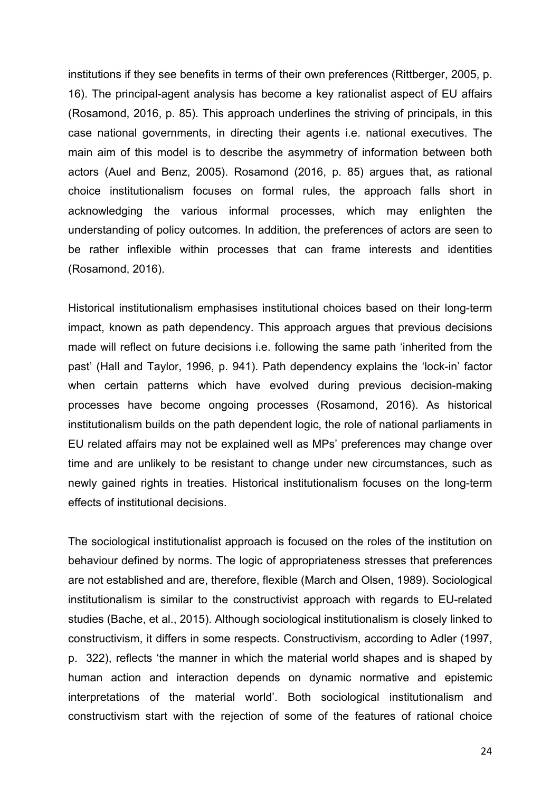institutions if they see benefits in terms of their own preferences (Rittberger, 2005, p. 16). The principal-agent analysis has become a key rationalist aspect of EU affairs (Rosamond, 2016, p. 85). This approach underlines the striving of principals, in this case national governments, in directing their agents i.e. national executives. The main aim of this model is to describe the asymmetry of information between both actors (Auel and Benz, 2005). Rosamond (2016, p. 85) argues that, as rational choice institutionalism focuses on formal rules, the approach falls short in acknowledging the various informal processes, which may enlighten the understanding of policy outcomes. In addition, the preferences of actors are seen to be rather inflexible within processes that can frame interests and identities (Rosamond, 2016).

Historical institutionalism emphasises institutional choices based on their long-term impact, known as path dependency. This approach argues that previous decisions made will reflect on future decisions i.e. following the same path 'inherited from the past' (Hall and Taylor, 1996, p. 941). Path dependency explains the 'lock-in' factor when certain patterns which have evolved during previous decision-making processes have become ongoing processes (Rosamond, 2016). As historical institutionalism builds on the path dependent logic, the role of national parliaments in EU related affairs may not be explained well as MPs' preferences may change over time and are unlikely to be resistant to change under new circumstances, such as newly gained rights in treaties. Historical institutionalism focuses on the long-term effects of institutional decisions.

The sociological institutionalist approach is focused on the roles of the institution on behaviour defined by norms. The logic of appropriateness stresses that preferences are not established and are, therefore, flexible (March and Olsen, 1989). Sociological institutionalism is similar to the constructivist approach with regards to EU-related studies (Bache, et al., 2015). Although sociological institutionalism is closely linked to constructivism, it differs in some respects. Constructivism, according to Adler (1997, p. 322), reflects 'the manner in which the material world shapes and is shaped by human action and interaction depends on dynamic normative and epistemic interpretations of the material world'. Both sociological institutionalism and constructivism start with the rejection of some of the features of rational choice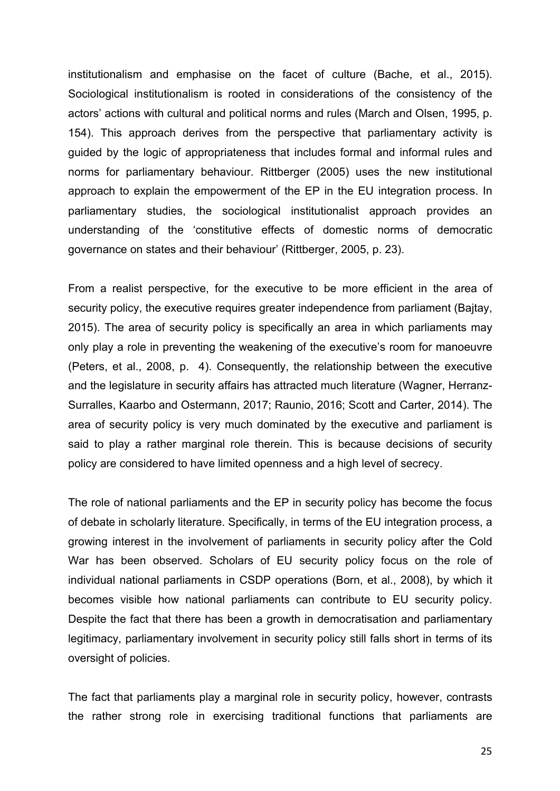institutionalism and emphasise on the facet of culture (Bache, et al., 2015). Sociological institutionalism is rooted in considerations of the consistency of the actors' actions with cultural and political norms and rules (March and Olsen, 1995, p. 154). This approach derives from the perspective that parliamentary activity is guided by the logic of appropriateness that includes formal and informal rules and norms for parliamentary behaviour. Rittberger (2005) uses the new institutional approach to explain the empowerment of the EP in the EU integration process. In parliamentary studies, the sociological institutionalist approach provides an understanding of the 'constitutive effects of domestic norms of democratic governance on states and their behaviour' (Rittberger, 2005, p. 23).

From a realist perspective, for the executive to be more efficient in the area of security policy, the executive requires greater independence from parliament (Bajtay, 2015). The area of security policy is specifically an area in which parliaments may only play a role in preventing the weakening of the executive's room for manoeuvre (Peters, et al., 2008, p. 4). Consequently, the relationship between the executive and the legislature in security affairs has attracted much literature (Wagner, Herranz-Surralles, Kaarbo and Ostermann, 2017; Raunio, 2016; Scott and Carter, 2014). The area of security policy is very much dominated by the executive and parliament is said to play a rather marginal role therein. This is because decisions of security policy are considered to have limited openness and a high level of secrecy.

The role of national parliaments and the EP in security policy has become the focus of debate in scholarly literature. Specifically, in terms of the EU integration process, a growing interest in the involvement of parliaments in security policy after the Cold War has been observed. Scholars of EU security policy focus on the role of individual national parliaments in CSDP operations (Born, et al., 2008), by which it becomes visible how national parliaments can contribute to EU security policy. Despite the fact that there has been a growth in democratisation and parliamentary legitimacy, parliamentary involvement in security policy still falls short in terms of its oversight of policies.

The fact that parliaments play a marginal role in security policy, however, contrasts the rather strong role in exercising traditional functions that parliaments are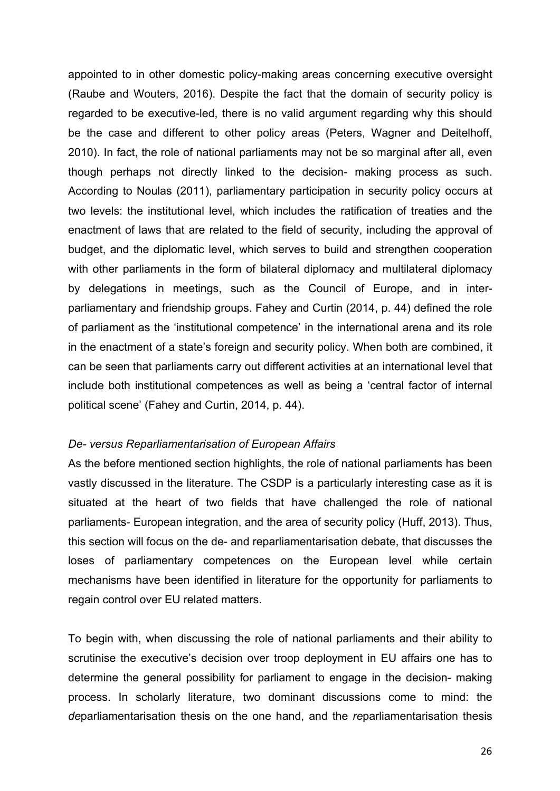appointed to in other domestic policy-making areas concerning executive oversight (Raube and Wouters, 2016). Despite the fact that the domain of security policy is regarded to be executive-led, there is no valid argument regarding why this should be the case and different to other policy areas (Peters, Wagner and Deitelhoff, 2010). In fact, the role of national parliaments may not be so marginal after all, even though perhaps not directly linked to the decision- making process as such. According to Noulas (2011), parliamentary participation in security policy occurs at two levels: the institutional level, which includes the ratification of treaties and the enactment of laws that are related to the field of security, including the approval of budget, and the diplomatic level, which serves to build and strengthen cooperation with other parliaments in the form of bilateral diplomacy and multilateral diplomacy by delegations in meetings, such as the Council of Europe, and in interparliamentary and friendship groups. Fahey and Curtin (2014, p. 44) defined the role of parliament as the 'institutional competence' in the international arena and its role in the enactment of a state's foreign and security policy. When both are combined, it can be seen that parliaments carry out different activities at an international level that include both institutional competences as well as being a 'central factor of internal political scene' (Fahey and Curtin, 2014, p. 44).

#### *De- versus Reparliamentarisation of European Affairs*

As the before mentioned section highlights, the role of national parliaments has been vastly discussed in the literature. The CSDP is a particularly interesting case as it is situated at the heart of two fields that have challenged the role of national parliaments- European integration, and the area of security policy (Huff, 2013). Thus, this section will focus on the de- and reparliamentarisation debate, that discusses the loses of parliamentary competences on the European level while certain mechanisms have been identified in literature for the opportunity for parliaments to regain control over EU related matters.

To begin with, when discussing the role of national parliaments and their ability to scrutinise the executive's decision over troop deployment in EU affairs one has to determine the general possibility for parliament to engage in the decision- making process. In scholarly literature, two dominant discussions come to mind: the *de*parliamentarisation thesis on the one hand, and the *re*parliamentarisation thesis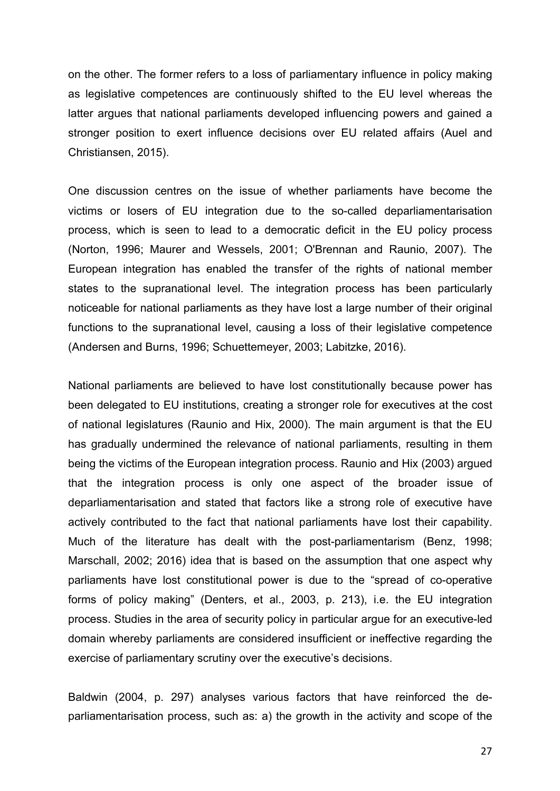on the other. The former refers to a loss of parliamentary influence in policy making as legislative competences are continuously shifted to the EU level whereas the latter argues that national parliaments developed influencing powers and gained a stronger position to exert influence decisions over EU related affairs (Auel and Christiansen, 2015).

One discussion centres on the issue of whether parliaments have become the victims or losers of EU integration due to the so-called deparliamentarisation process, which is seen to lead to a democratic deficit in the EU policy process (Norton, 1996; Maurer and Wessels, 2001; O'Brennan and Raunio, 2007). The European integration has enabled the transfer of the rights of national member states to the supranational level. The integration process has been particularly noticeable for national parliaments as they have lost a large number of their original functions to the supranational level, causing a loss of their legislative competence (Andersen and Burns, 1996; Schuettemeyer, 2003; Labitzke, 2016).

National parliaments are believed to have lost constitutionally because power has been delegated to EU institutions, creating a stronger role for executives at the cost of national legislatures (Raunio and Hix, 2000). The main argument is that the EU has gradually undermined the relevance of national parliaments, resulting in them being the victims of the European integration process. Raunio and Hix (2003) argued that the integration process is only one aspect of the broader issue of deparliamentarisation and stated that factors like a strong role of executive have actively contributed to the fact that national parliaments have lost their capability. Much of the literature has dealt with the post-parliamentarism (Benz, 1998; Marschall, 2002; 2016) idea that is based on the assumption that one aspect why parliaments have lost constitutional power is due to the "spread of co-operative forms of policy making" (Denters, et al., 2003, p. 213), i.e. the EU integration process. Studies in the area of security policy in particular argue for an executive-led domain whereby parliaments are considered insufficient or ineffective regarding the exercise of parliamentary scrutiny over the executive's decisions.

Baldwin (2004, p. 297) analyses various factors that have reinforced the deparliamentarisation process, such as: a) the growth in the activity and scope of the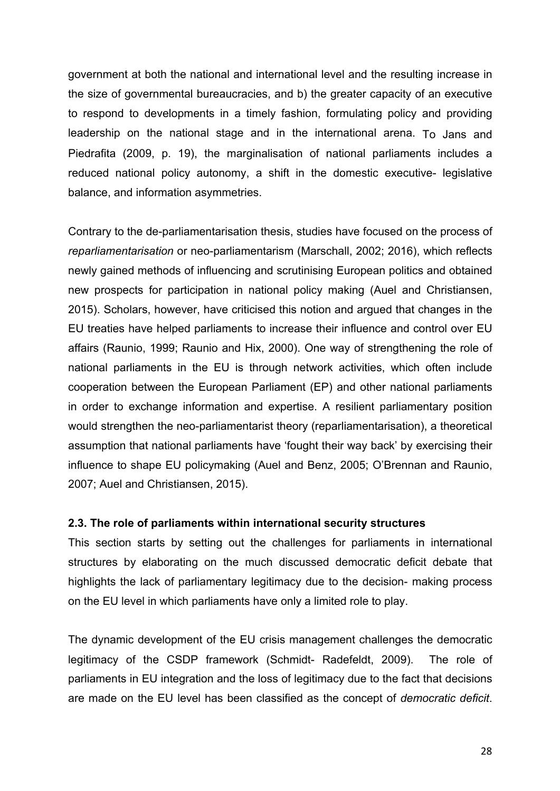government at both the national and international level and the resulting increase in the size of governmental bureaucracies, and b) the greater capacity of an executive to respond to developments in a timely fashion, formulating policy and providing leadership on the national stage and in the international arena. To Jans and Piedrafita (2009, p. 19), the marginalisation of national parliaments includes a reduced national policy autonomy, a shift in the domestic executive- legislative balance, and information asymmetries.

Contrary to the de-parliamentarisation thesis, studies have focused on the process of *reparliamentarisation* or neo-parliamentarism (Marschall, 2002; 2016), which reflects newly gained methods of influencing and scrutinising European politics and obtained new prospects for participation in national policy making (Auel and Christiansen, 2015). Scholars, however, have criticised this notion and argued that changes in the EU treaties have helped parliaments to increase their influence and control over EU affairs (Raunio, 1999; Raunio and Hix, 2000). One way of strengthening the role of national parliaments in the EU is through network activities, which often include cooperation between the European Parliament (EP) and other national parliaments in order to exchange information and expertise. A resilient parliamentary position would strengthen the neo-parliamentarist theory (reparliamentarisation), a theoretical assumption that national parliaments have 'fought their way back' by exercising their influence to shape EU policymaking (Auel and Benz, 2005; O'Brennan and Raunio, 2007; Auel and Christiansen, 2015).

#### **2.3. The role of parliaments within international security structures**

This section starts by setting out the challenges for parliaments in international structures by elaborating on the much discussed democratic deficit debate that highlights the lack of parliamentary legitimacy due to the decision- making process on the EU level in which parliaments have only a limited role to play.

The dynamic development of the EU crisis management challenges the democratic legitimacy of the CSDP framework (Schmidt- Radefeldt, 2009). The role of parliaments in EU integration and the loss of legitimacy due to the fact that decisions are made on the EU level has been classified as the concept of *democratic deficit*.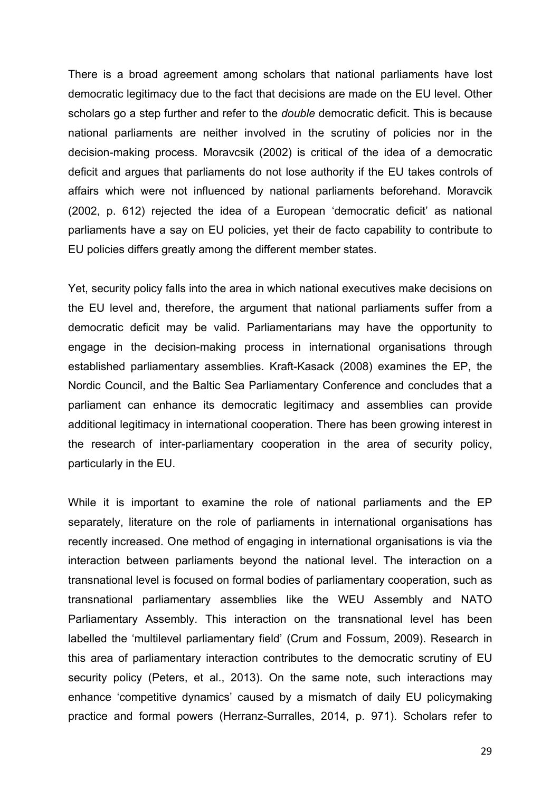There is a broad agreement among scholars that national parliaments have lost democratic legitimacy due to the fact that decisions are made on the EU level. Other scholars go a step further and refer to the *double* democratic deficit. This is because national parliaments are neither involved in the scrutiny of policies nor in the decision-making process. Moravcsik (2002) is critical of the idea of a democratic deficit and argues that parliaments do not lose authority if the EU takes controls of affairs which were not influenced by national parliaments beforehand. Moravcik (2002, p. 612) rejected the idea of a European 'democratic deficit' as national parliaments have a say on EU policies, yet their de facto capability to contribute to EU policies differs greatly among the different member states.

Yet, security policy falls into the area in which national executives make decisions on the EU level and, therefore, the argument that national parliaments suffer from a democratic deficit may be valid. Parliamentarians may have the opportunity to engage in the decision-making process in international organisations through established parliamentary assemblies. Kraft-Kasack (2008) examines the EP, the Nordic Council, and the Baltic Sea Parliamentary Conference and concludes that a parliament can enhance its democratic legitimacy and assemblies can provide additional legitimacy in international cooperation. There has been growing interest in the research of inter-parliamentary cooperation in the area of security policy, particularly in the EU.

While it is important to examine the role of national parliaments and the EP separately, literature on the role of parliaments in international organisations has recently increased. One method of engaging in international organisations is via the interaction between parliaments beyond the national level. The interaction on a transnational level is focused on formal bodies of parliamentary cooperation, such as transnational parliamentary assemblies like the WEU Assembly and NATO Parliamentary Assembly. This interaction on the transnational level has been labelled the 'multilevel parliamentary field' (Crum and Fossum, 2009). Research in this area of parliamentary interaction contributes to the democratic scrutiny of EU security policy (Peters, et al., 2013). On the same note, such interactions may enhance 'competitive dynamics' caused by a mismatch of daily EU policymaking practice and formal powers (Herranz-Surralles, 2014, p. 971). Scholars refer to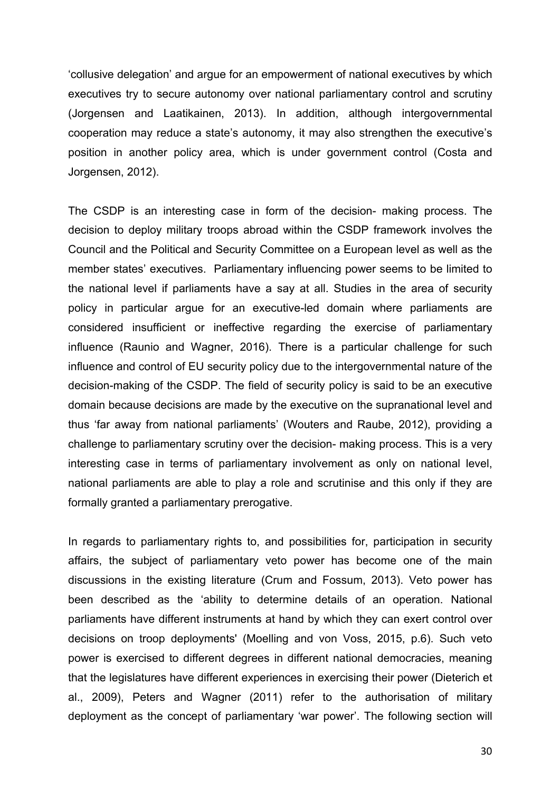'collusive delegation' and argue for an empowerment of national executives by which executives try to secure autonomy over national parliamentary control and scrutiny (Jorgensen and Laatikainen, 2013). In addition, although intergovernmental cooperation may reduce a state's autonomy, it may also strengthen the executive's position in another policy area, which is under government control (Costa and Jorgensen, 2012).

The CSDP is an interesting case in form of the decision- making process. The decision to deploy military troops abroad within the CSDP framework involves the Council and the Political and Security Committee on a European level as well as the member states' executives. Parliamentary influencing power seems to be limited to the national level if parliaments have a say at all. Studies in the area of security policy in particular argue for an executive-led domain where parliaments are considered insufficient or ineffective regarding the exercise of parliamentary influence (Raunio and Wagner, 2016). There is a particular challenge for such influence and control of EU security policy due to the intergovernmental nature of the decision-making of the CSDP. The field of security policy is said to be an executive domain because decisions are made by the executive on the supranational level and thus 'far away from national parliaments' (Wouters and Raube, 2012), providing a challenge to parliamentary scrutiny over the decision- making process. This is a very interesting case in terms of parliamentary involvement as only on national level, national parliaments are able to play a role and scrutinise and this only if they are formally granted a parliamentary prerogative.

In regards to parliamentary rights to, and possibilities for, participation in security affairs, the subject of parliamentary veto power has become one of the main discussions in the existing literature (Crum and Fossum, 2013). Veto power has been described as the 'ability to determine details of an operation. National parliaments have different instruments at hand by which they can exert control over decisions on troop deployments' (Moelling and von Voss, 2015, p.6). Such veto power is exercised to different degrees in different national democracies, meaning that the legislatures have different experiences in exercising their power (Dieterich et al., 2009), Peters and Wagner (2011) refer to the authorisation of military deployment as the concept of parliamentary 'war power'. The following section will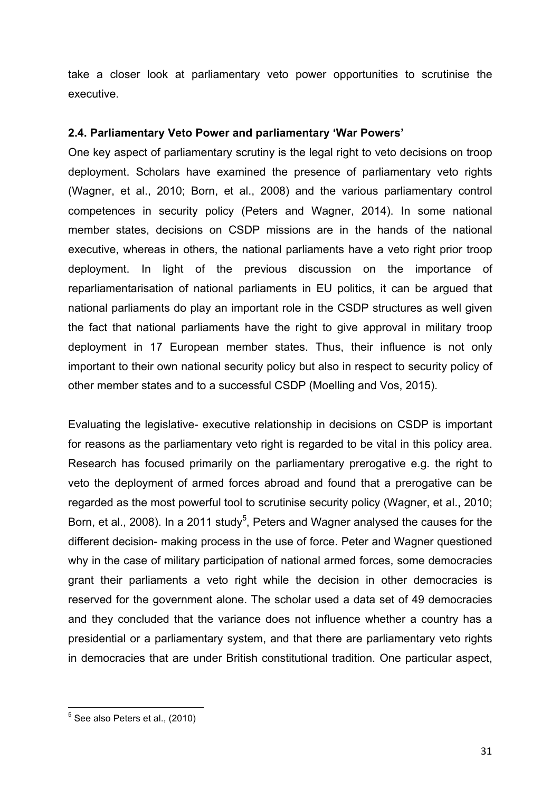take a closer look at parliamentary veto power opportunities to scrutinise the executive.

#### **2.4. Parliamentary Veto Power and parliamentary 'War Powers'**

One key aspect of parliamentary scrutiny is the legal right to veto decisions on troop deployment. Scholars have examined the presence of parliamentary veto rights (Wagner, et al., 2010; Born, et al., 2008) and the various parliamentary control competences in security policy (Peters and Wagner, 2014). In some national member states, decisions on CSDP missions are in the hands of the national executive, whereas in others, the national parliaments have a veto right prior troop deployment. In light of the previous discussion on the importance of reparliamentarisation of national parliaments in EU politics, it can be argued that national parliaments do play an important role in the CSDP structures as well given the fact that national parliaments have the right to give approval in military troop deployment in 17 European member states. Thus, their influence is not only important to their own national security policy but also in respect to security policy of other member states and to a successful CSDP (Moelling and Vos, 2015).

Evaluating the legislative- executive relationship in decisions on CSDP is important for reasons as the parliamentary veto right is regarded to be vital in this policy area. Research has focused primarily on the parliamentary prerogative e.g. the right to veto the deployment of armed forces abroad and found that a prerogative can be regarded as the most powerful tool to scrutinise security policy (Wagner, et al., 2010; Born, et al., 2008). In a 2011 study<sup>5</sup>, Peters and Wagner analysed the causes for the different decision- making process in the use of force. Peter and Wagner questioned why in the case of military participation of national armed forces, some democracies grant their parliaments a veto right while the decision in other democracies is reserved for the government alone. The scholar used a data set of 49 democracies and they concluded that the variance does not influence whether a country has a presidential or a parliamentary system, and that there are parliamentary veto rights in democracies that are under British constitutional tradition. One particular aspect,

 5 See also Peters et al., (2010)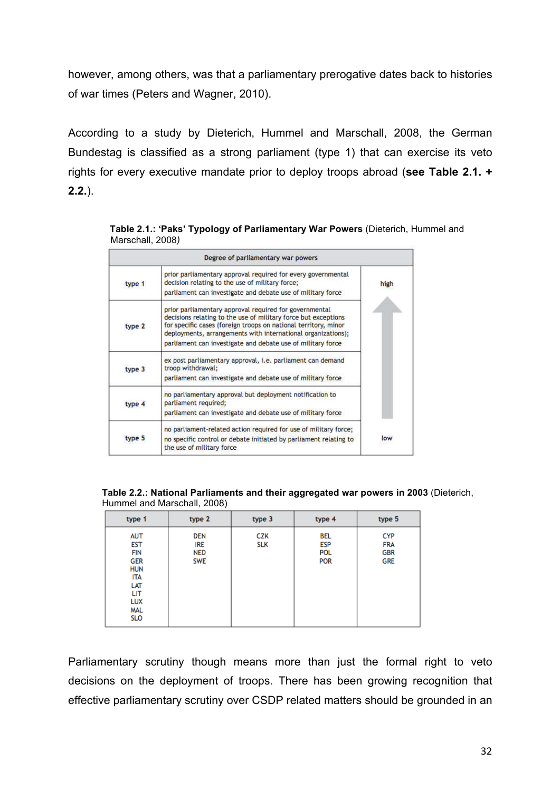however, among others, was that a parliamentary prerogative dates back to histories of war times (Peters and Wagner, 2010).

According to a study by Dieterich, Hummel and Marschall, 2008, the German Bundestag is classified as a strong parliament (type 1) that can exercise its veto rights for every executive mandate prior to deploy troops abroad (**see Table 2.1. + 2.2.**).

| Degree of parliamentary war powers |                                                                                                                                                                                                                                                                                                                            |      |  |  |
|------------------------------------|----------------------------------------------------------------------------------------------------------------------------------------------------------------------------------------------------------------------------------------------------------------------------------------------------------------------------|------|--|--|
| type 1                             | prior parliamentary approval required for every governmental<br>decision relating to the use of military force;<br>parliament can investigate and debate use of military force                                                                                                                                             | high |  |  |
| type 2                             | prior parliamentary approval required for governmental<br>decisions relating to the use of military force but exceptions<br>for specific cases (foreign troops on national territory, minor<br>deployments, arrangements with international organizations);<br>parliament can investigate and debate use of military force |      |  |  |
| type 3                             | ex post parliamentary approval, i.e. parliament can demand<br>troop withdrawal;<br>parliament can investigate and debate use of military force                                                                                                                                                                             |      |  |  |
| type 4                             | no parliamentary approval but deployment notification to<br>parliament required;<br>parliament can investigate and debate use of military force                                                                                                                                                                            |      |  |  |
| type 5                             | no parliament-related action required for use of military force;<br>no specific control or debate initiated by parliament relating to<br>the use of military force                                                                                                                                                         | low  |  |  |

 **Table 2.1.: 'Paks' Typology of Parliamentary War Powers** (Dieterich, Hummel and Marschall, 2008*)*

**Table 2.2.: National Parliaments and their aggregated war powers in 2003** (Dieterich, Hummel and Marschall, 2008)

| type 1                                                                                                                                   | type 2                                               | type 3            | type 4                                        | type 5                                               |
|------------------------------------------------------------------------------------------------------------------------------------------|------------------------------------------------------|-------------------|-----------------------------------------------|------------------------------------------------------|
| <b>AUT</b><br><b>EST</b><br><b>FIN</b><br><b>GER</b><br><b>HUN</b><br><b>ITA</b><br>LAT<br><b>LIT</b><br>LUX<br><b>MAL</b><br><b>SLO</b> | <b>DEN</b><br><b>IRE</b><br><b>NED</b><br><b>SWE</b> | CZK<br><b>SLK</b> | BEL<br><b>ESP</b><br><b>POL</b><br><b>POR</b> | <b>CYP</b><br><b>FRA</b><br><b>GBR</b><br><b>GRE</b> |

Parliamentary scrutiny though means more than just the formal right to veto decisions on the deployment of troops. There has been growing recognition that effective parliamentary scrutiny over CSDP related matters should be grounded in an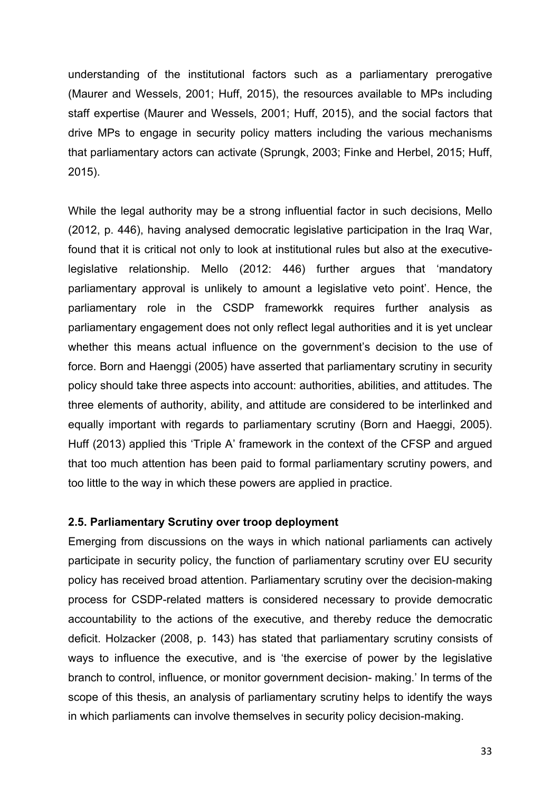understanding of the institutional factors such as a parliamentary prerogative (Maurer and Wessels, 2001; Huff, 2015), the resources available to MPs including staff expertise (Maurer and Wessels, 2001; Huff, 2015), and the social factors that drive MPs to engage in security policy matters including the various mechanisms that parliamentary actors can activate (Sprungk, 2003; Finke and Herbel, 2015; Huff, 2015).

While the legal authority may be a strong influential factor in such decisions, Mello (2012, p. 446), having analysed democratic legislative participation in the Iraq War, found that it is critical not only to look at institutional rules but also at the executivelegislative relationship. Mello (2012: 446) further argues that 'mandatory parliamentary approval is unlikely to amount a legislative veto point'. Hence, the parliamentary role in the CSDP frameworkk requires further analysis as parliamentary engagement does not only reflect legal authorities and it is yet unclear whether this means actual influence on the government's decision to the use of force. Born and Haenggi (2005) have asserted that parliamentary scrutiny in security policy should take three aspects into account: authorities, abilities, and attitudes. The three elements of authority, ability, and attitude are considered to be interlinked and equally important with regards to parliamentary scrutiny (Born and Haeggi, 2005). Huff (2013) applied this 'Triple A' framework in the context of the CFSP and argued that too much attention has been paid to formal parliamentary scrutiny powers, and too little to the way in which these powers are applied in practice.

#### **2.5. Parliamentary Scrutiny over troop deployment**

Emerging from discussions on the ways in which national parliaments can actively participate in security policy, the function of parliamentary scrutiny over EU security policy has received broad attention. Parliamentary scrutiny over the decision-making process for CSDP-related matters is considered necessary to provide democratic accountability to the actions of the executive, and thereby reduce the democratic deficit. Holzacker (2008, p. 143) has stated that parliamentary scrutiny consists of ways to influence the executive, and is 'the exercise of power by the legislative branch to control, influence, or monitor government decision- making.' In terms of the scope of this thesis, an analysis of parliamentary scrutiny helps to identify the ways in which parliaments can involve themselves in security policy decision-making.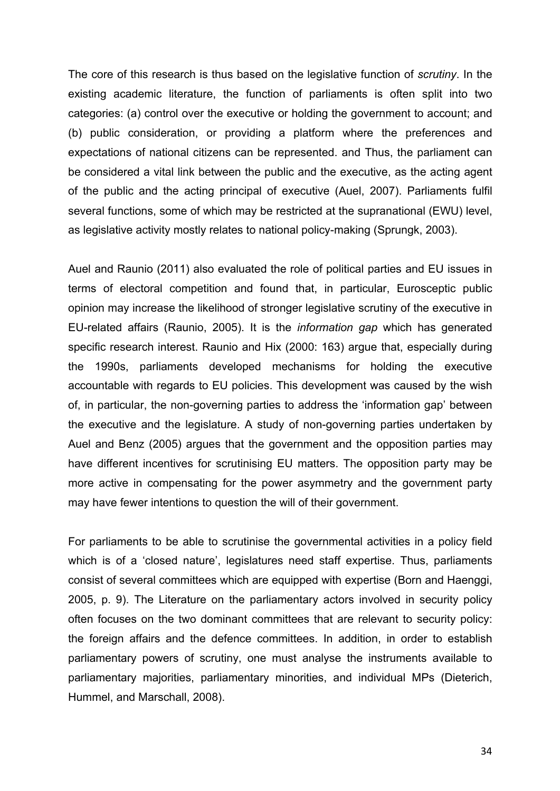The core of this research is thus based on the legislative function of *scrutiny*. In the existing academic literature, the function of parliaments is often split into two categories: (a) control over the executive or holding the government to account; and (b) public consideration, or providing a platform where the preferences and expectations of national citizens can be represented. and Thus, the parliament can be considered a vital link between the public and the executive, as the acting agent of the public and the acting principal of executive (Auel, 2007). Parliaments fulfil several functions, some of which may be restricted at the supranational (EWU) level, as legislative activity mostly relates to national policy-making (Sprungk, 2003).

Auel and Raunio (2011) also evaluated the role of political parties and EU issues in terms of electoral competition and found that, in particular, Eurosceptic public opinion may increase the likelihood of stronger legislative scrutiny of the executive in EU-related affairs (Raunio, 2005). It is the *information gap* which has generated specific research interest. Raunio and Hix (2000: 163) argue that, especially during the 1990s, parliaments developed mechanisms for holding the executive accountable with regards to EU policies. This development was caused by the wish of, in particular, the non-governing parties to address the 'information gap' between the executive and the legislature. A study of non-governing parties undertaken by Auel and Benz (2005) argues that the government and the opposition parties may have different incentives for scrutinising EU matters. The opposition party may be more active in compensating for the power asymmetry and the government party may have fewer intentions to question the will of their government.

For parliaments to be able to scrutinise the governmental activities in a policy field which is of a 'closed nature', legislatures need staff expertise. Thus, parliaments consist of several committees which are equipped with expertise (Born and Haenggi, 2005, p. 9). The Literature on the parliamentary actors involved in security policy often focuses on the two dominant committees that are relevant to security policy: the foreign affairs and the defence committees. In addition, in order to establish parliamentary powers of scrutiny, one must analyse the instruments available to parliamentary majorities, parliamentary minorities, and individual MPs (Dieterich, Hummel, and Marschall, 2008).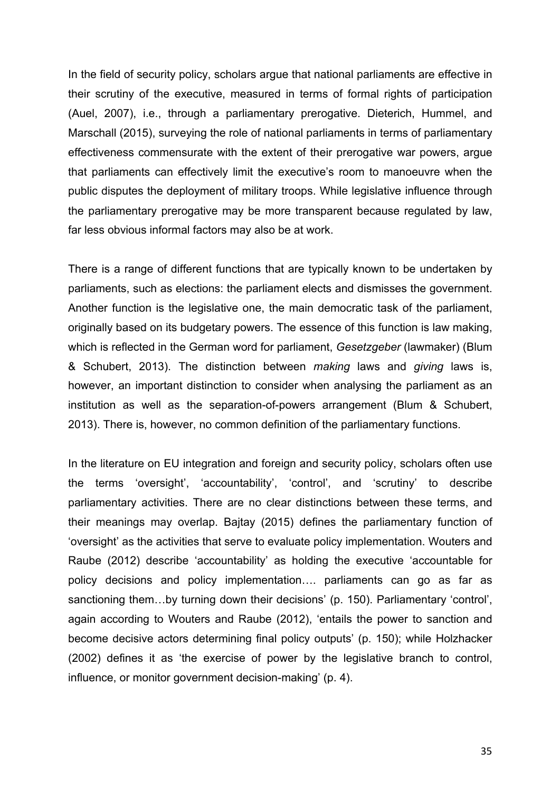In the field of security policy, scholars argue that national parliaments are effective in their scrutiny of the executive, measured in terms of formal rights of participation (Auel, 2007), i.e., through a parliamentary prerogative. Dieterich, Hummel, and Marschall (2015), surveying the role of national parliaments in terms of parliamentary effectiveness commensurate with the extent of their prerogative war powers, argue that parliaments can effectively limit the executive's room to manoeuvre when the public disputes the deployment of military troops. While legislative influence through the parliamentary prerogative may be more transparent because regulated by law, far less obvious informal factors may also be at work.

There is a range of different functions that are typically known to be undertaken by parliaments, such as elections: the parliament elects and dismisses the government. Another function is the legislative one, the main democratic task of the parliament, originally based on its budgetary powers. The essence of this function is law making, which is reflected in the German word for parliament, *Gesetzgeber* (lawmaker) (Blum & Schubert, 2013). The distinction between *making* laws and *giving* laws is, however, an important distinction to consider when analysing the parliament as an institution as well as the separation-of-powers arrangement (Blum & Schubert, 2013). There is, however, no common definition of the parliamentary functions.

In the literature on EU integration and foreign and security policy, scholars often use the terms 'oversight', 'accountability', 'control', and 'scrutiny' to describe parliamentary activities. There are no clear distinctions between these terms, and their meanings may overlap. Bajtay (2015) defines the parliamentary function of 'oversight' as the activities that serve to evaluate policy implementation. Wouters and Raube (2012) describe 'accountability' as holding the executive 'accountable for policy decisions and policy implementation…. parliaments can go as far as sanctioning them…by turning down their decisions' (p. 150). Parliamentary 'control', again according to Wouters and Raube (2012), 'entails the power to sanction and become decisive actors determining final policy outputs' (p. 150); while Holzhacker (2002) defines it as 'the exercise of power by the legislative branch to control, influence, or monitor government decision-making' (p. 4).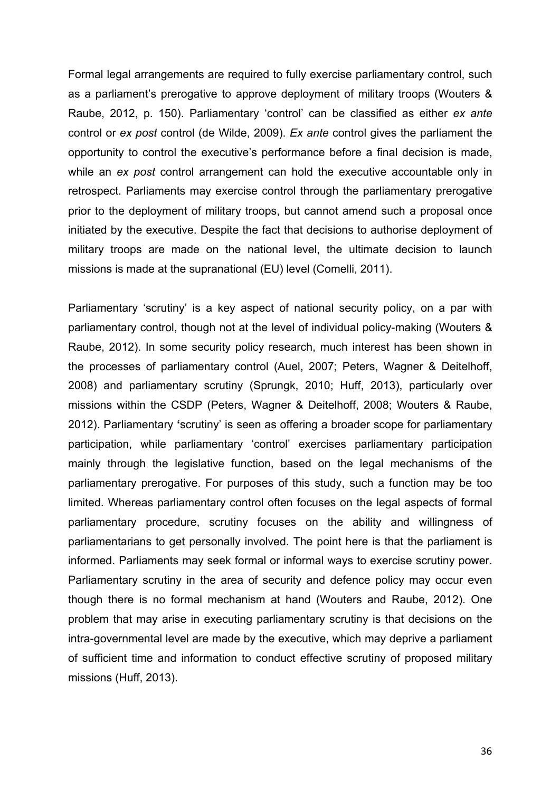Formal legal arrangements are required to fully exercise parliamentary control, such as a parliament's prerogative to approve deployment of military troops (Wouters & Raube, 2012, p. 150). Parliamentary 'control' can be classified as either *ex ante* control or *ex post* control (de Wilde, 2009). *Ex ante* control gives the parliament the opportunity to control the executive's performance before a final decision is made, while an *ex post* control arrangement can hold the executive accountable only in retrospect. Parliaments may exercise control through the parliamentary prerogative prior to the deployment of military troops, but cannot amend such a proposal once initiated by the executive. Despite the fact that decisions to authorise deployment of military troops are made on the national level, the ultimate decision to launch missions is made at the supranational (EU) level (Comelli, 2011).

Parliamentary 'scrutiny' is a key aspect of national security policy, on a par with parliamentary control, though not at the level of individual policy-making (Wouters & Raube, 2012). In some security policy research, much interest has been shown in the processes of parliamentary control (Auel, 2007; Peters, Wagner & Deitelhoff, 2008) and parliamentary scrutiny (Sprungk, 2010; Huff, 2013), particularly over missions within the CSDP (Peters, Wagner & Deitelhoff, 2008; Wouters & Raube, 2012). Parliamentary **'**scrutiny' is seen as offering a broader scope for parliamentary participation, while parliamentary 'control' exercises parliamentary participation mainly through the legislative function, based on the legal mechanisms of the parliamentary prerogative. For purposes of this study, such a function may be too limited. Whereas parliamentary control often focuses on the legal aspects of formal parliamentary procedure, scrutiny focuses on the ability and willingness of parliamentarians to get personally involved. The point here is that the parliament is informed. Parliaments may seek formal or informal ways to exercise scrutiny power. Parliamentary scrutiny in the area of security and defence policy may occur even though there is no formal mechanism at hand (Wouters and Raube, 2012). One problem that may arise in executing parliamentary scrutiny is that decisions on the intra-governmental level are made by the executive, which may deprive a parliament of sufficient time and information to conduct effective scrutiny of proposed military missions (Huff, 2013).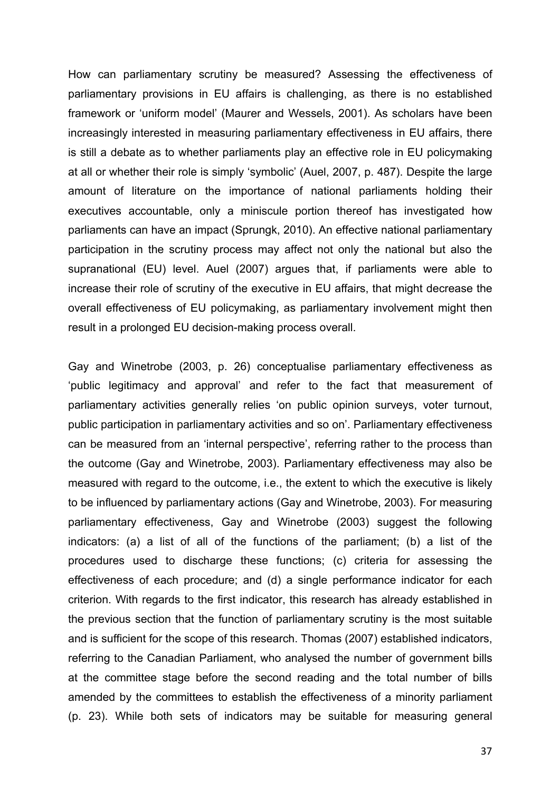How can parliamentary scrutiny be measured? Assessing the effectiveness of parliamentary provisions in EU affairs is challenging, as there is no established framework or 'uniform model' (Maurer and Wessels, 2001). As scholars have been increasingly interested in measuring parliamentary effectiveness in EU affairs, there is still a debate as to whether parliaments play an effective role in EU policymaking at all or whether their role is simply 'symbolic' (Auel, 2007, p. 487). Despite the large amount of literature on the importance of national parliaments holding their executives accountable, only a miniscule portion thereof has investigated how parliaments can have an impact (Sprungk, 2010). An effective national parliamentary participation in the scrutiny process may affect not only the national but also the supranational (EU) level. Auel (2007) argues that, if parliaments were able to increase their role of scrutiny of the executive in EU affairs, that might decrease the overall effectiveness of EU policymaking, as parliamentary involvement might then result in a prolonged EU decision-making process overall.

Gay and Winetrobe (2003, p. 26) conceptualise parliamentary effectiveness as 'public legitimacy and approval' and refer to the fact that measurement of parliamentary activities generally relies 'on public opinion surveys, voter turnout, public participation in parliamentary activities and so on'. Parliamentary effectiveness can be measured from an 'internal perspective', referring rather to the process than the outcome (Gay and Winetrobe, 2003). Parliamentary effectiveness may also be measured with regard to the outcome, i.e., the extent to which the executive is likely to be influenced by parliamentary actions (Gay and Winetrobe, 2003). For measuring parliamentary effectiveness, Gay and Winetrobe (2003) suggest the following indicators: (a) a list of all of the functions of the parliament; (b) a list of the procedures used to discharge these functions; (c) criteria for assessing the effectiveness of each procedure; and (d) a single performance indicator for each criterion. With regards to the first indicator, this research has already established in the previous section that the function of parliamentary scrutiny is the most suitable and is sufficient for the scope of this research. Thomas (2007) established indicators, referring to the Canadian Parliament, who analysed the number of government bills at the committee stage before the second reading and the total number of bills amended by the committees to establish the effectiveness of a minority parliament (p. 23). While both sets of indicators may be suitable for measuring general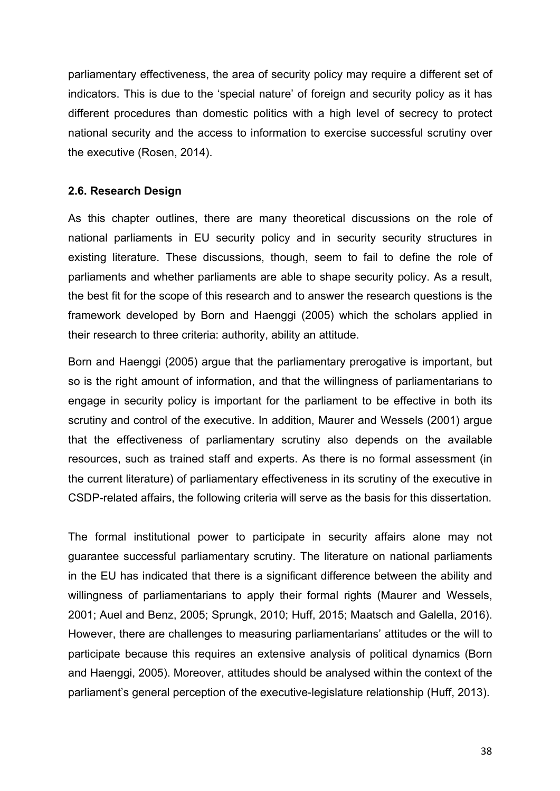parliamentary effectiveness, the area of security policy may require a different set of indicators. This is due to the 'special nature' of foreign and security policy as it has different procedures than domestic politics with a high level of secrecy to protect national security and the access to information to exercise successful scrutiny over the executive (Rosen, 2014).

## **2.6. Research Design**

As this chapter outlines, there are many theoretical discussions on the role of national parliaments in EU security policy and in security security structures in existing literature. These discussions, though, seem to fail to define the role of parliaments and whether parliaments are able to shape security policy. As a result, the best fit for the scope of this research and to answer the research questions is the framework developed by Born and Haenggi (2005) which the scholars applied in their research to three criteria: authority, ability an attitude.

Born and Haenggi (2005) argue that the parliamentary prerogative is important, but so is the right amount of information, and that the willingness of parliamentarians to engage in security policy is important for the parliament to be effective in both its scrutiny and control of the executive. In addition, Maurer and Wessels (2001) argue that the effectiveness of parliamentary scrutiny also depends on the available resources, such as trained staff and experts. As there is no formal assessment (in the current literature) of parliamentary effectiveness in its scrutiny of the executive in CSDP-related affairs, the following criteria will serve as the basis for this dissertation.

The formal institutional power to participate in security affairs alone may not guarantee successful parliamentary scrutiny. The literature on national parliaments in the EU has indicated that there is a significant difference between the ability and willingness of parliamentarians to apply their formal rights (Maurer and Wessels, 2001; Auel and Benz, 2005; Sprungk, 2010; Huff, 2015; Maatsch and Galella, 2016). However, there are challenges to measuring parliamentarians' attitudes or the will to participate because this requires an extensive analysis of political dynamics (Born and Haenggi, 2005). Moreover, attitudes should be analysed within the context of the parliament's general perception of the executive-legislature relationship (Huff, 2013).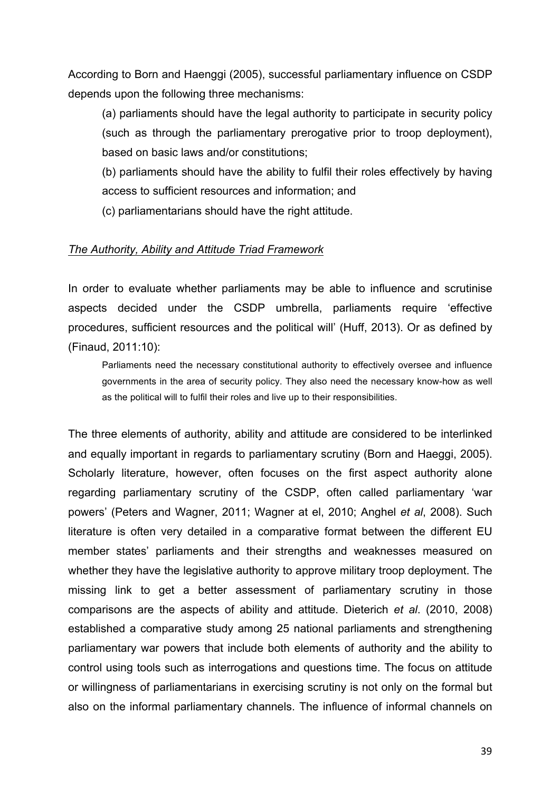According to Born and Haenggi (2005), successful parliamentary influence on CSDP depends upon the following three mechanisms:

(a) parliaments should have the legal authority to participate in security policy (such as through the parliamentary prerogative prior to troop deployment), based on basic laws and/or constitutions;

(b) parliaments should have the ability to fulfil their roles effectively by having access to sufficient resources and information; and

(c) parliamentarians should have the right attitude.

### *The Authority, Ability and Attitude Triad Framework*

In order to evaluate whether parliaments may be able to influence and scrutinise aspects decided under the CSDP umbrella, parliaments require 'effective procedures, sufficient resources and the political will' (Huff, 2013). Or as defined by (Finaud, 2011:10):

Parliaments need the necessary constitutional authority to effectively oversee and influence governments in the area of security policy. They also need the necessary know-how as well as the political will to fulfil their roles and live up to their responsibilities.

The three elements of authority, ability and attitude are considered to be interlinked and equally important in regards to parliamentary scrutiny (Born and Haeggi, 2005). Scholarly literature, however, often focuses on the first aspect authority alone regarding parliamentary scrutiny of the CSDP, often called parliamentary 'war powers' (Peters and Wagner, 2011; Wagner at el, 2010; Anghel *et al*, 2008). Such literature is often very detailed in a comparative format between the different EU member states' parliaments and their strengths and weaknesses measured on whether they have the legislative authority to approve military troop deployment. The missing link to get a better assessment of parliamentary scrutiny in those comparisons are the aspects of ability and attitude. Dieterich *et al*. (2010, 2008) established a comparative study among 25 national parliaments and strengthening parliamentary war powers that include both elements of authority and the ability to control using tools such as interrogations and questions time. The focus on attitude or willingness of parliamentarians in exercising scrutiny is not only on the formal but also on the informal parliamentary channels. The influence of informal channels on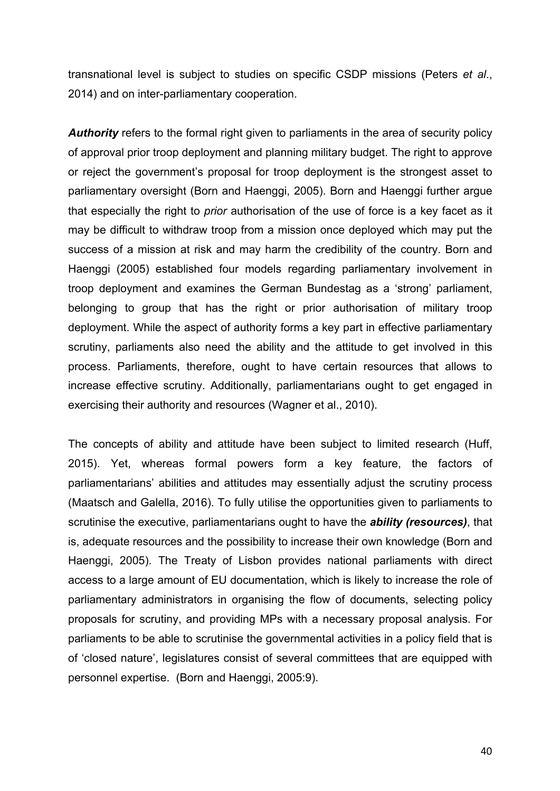transnational level is subject to studies on specific CSDP missions (Peters *et al*., 2014) and on inter-parliamentary cooperation.

**Authority** refers to the formal right given to parliaments in the area of security policy of approval prior troop deployment and planning military budget. The right to approve or reject the government's proposal for troop deployment is the strongest asset to parliamentary oversight (Born and Haenggi, 2005). Born and Haenggi further argue that especially the right to *prior* authorisation of the use of force is a key facet as it may be difficult to withdraw troop from a mission once deployed which may put the success of a mission at risk and may harm the credibility of the country. Born and Haenggi (2005) established four models regarding parliamentary involvement in troop deployment and examines the German Bundestag as a 'strong' parliament, belonging to group that has the right or prior authorisation of military troop deployment. While the aspect of authority forms a key part in effective parliamentary scrutiny, parliaments also need the ability and the attitude to get involved in this process. Parliaments, therefore, ought to have certain resources that allows to increase effective scrutiny. Additionally, parliamentarians ought to get engaged in exercising their authority and resources (Wagner et al., 2010).

The concepts of ability and attitude have been subject to limited research (Huff, 2015). Yet, whereas formal powers form a key feature, the factors of parliamentarians' abilities and attitudes may essentially adjust the scrutiny process (Maatsch and Galella, 2016). To fully utilise the opportunities given to parliaments to scrutinise the executive, parliamentarians ought to have the *ability (resources)*, that is, adequate resources and the possibility to increase their own knowledge (Born and Haenggi, 2005). The Treaty of Lisbon provides national parliaments with direct access to a large amount of EU documentation, which is likely to increase the role of parliamentary administrators in organising the flow of documents, selecting policy proposals for scrutiny, and providing MPs with a necessary proposal analysis. For parliaments to be able to scrutinise the governmental activities in a policy field that is of 'closed nature', legislatures consist of several committees that are equipped with personnel expertise. (Born and Haenggi, 2005:9).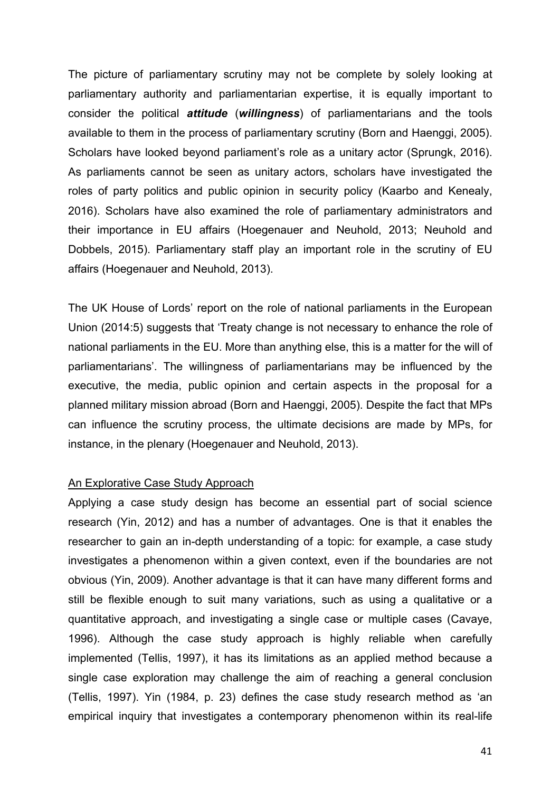The picture of parliamentary scrutiny may not be complete by solely looking at parliamentary authority and parliamentarian expertise, it is equally important to consider the political *attitude* (*willingness*) of parliamentarians and the tools available to them in the process of parliamentary scrutiny (Born and Haenggi, 2005). Scholars have looked beyond parliament's role as a unitary actor (Sprungk, 2016). As parliaments cannot be seen as unitary actors, scholars have investigated the roles of party politics and public opinion in security policy (Kaarbo and Kenealy, 2016). Scholars have also examined the role of parliamentary administrators and their importance in EU affairs (Hoegenauer and Neuhold, 2013; Neuhold and Dobbels, 2015). Parliamentary staff play an important role in the scrutiny of EU affairs (Hoegenauer and Neuhold, 2013).

The UK House of Lords' report on the role of national parliaments in the European Union (2014:5) suggests that 'Treaty change is not necessary to enhance the role of national parliaments in the EU. More than anything else, this is a matter for the will of parliamentarians'. The willingness of parliamentarians may be influenced by the executive, the media, public opinion and certain aspects in the proposal for a planned military mission abroad (Born and Haenggi, 2005). Despite the fact that MPs can influence the scrutiny process, the ultimate decisions are made by MPs, for instance, in the plenary (Hoegenauer and Neuhold, 2013).

## An Explorative Case Study Approach

Applying a case study design has become an essential part of social science research (Yin, 2012) and has a number of advantages. One is that it enables the researcher to gain an in-depth understanding of a topic: for example, a case study investigates a phenomenon within a given context, even if the boundaries are not obvious (Yin, 2009). Another advantage is that it can have many different forms and still be flexible enough to suit many variations, such as using a qualitative or a quantitative approach, and investigating a single case or multiple cases (Cavaye, 1996). Although the case study approach is highly reliable when carefully implemented (Tellis, 1997), it has its limitations as an applied method because a single case exploration may challenge the aim of reaching a general conclusion (Tellis, 1997). Yin (1984, p. 23) defines the case study research method as 'an empirical inquiry that investigates a contemporary phenomenon within its real-life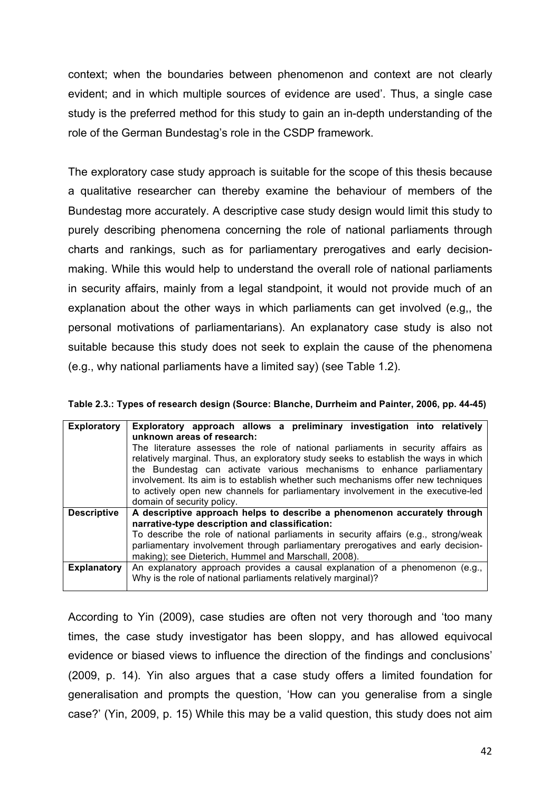context; when the boundaries between phenomenon and context are not clearly evident; and in which multiple sources of evidence are used'. Thus, a single case study is the preferred method for this study to gain an in-depth understanding of the role of the German Bundestag's role in the CSDP framework.

The exploratory case study approach is suitable for the scope of this thesis because a qualitative researcher can thereby examine the behaviour of members of the Bundestag more accurately. A descriptive case study design would limit this study to purely describing phenomena concerning the role of national parliaments through charts and rankings, such as for parliamentary prerogatives and early decisionmaking. While this would help to understand the overall role of national parliaments in security affairs, mainly from a legal standpoint, it would not provide much of an explanation about the other ways in which parliaments can get involved (e.g,, the personal motivations of parliamentarians). An explanatory case study is also not suitable because this study does not seek to explain the cause of the phenomena (e.g., why national parliaments have a limited say) (see Table 1.2).

| <b>Exploratory</b> | Exploratory approach allows a preliminary investigation into relatively<br>unknown areas of research:<br>The literature assesses the role of national parliaments in security affairs as<br>relatively marginal. Thus, an exploratory study seeks to establish the ways in which<br>the Bundestag can activate various mechanisms to enhance parliamentary<br>involvement. Its aim is to establish whether such mechanisms offer new techniques<br>to actively open new channels for parliamentary involvement in the executive-led<br>domain of security policy. |
|--------------------|-------------------------------------------------------------------------------------------------------------------------------------------------------------------------------------------------------------------------------------------------------------------------------------------------------------------------------------------------------------------------------------------------------------------------------------------------------------------------------------------------------------------------------------------------------------------|
| <b>Descriptive</b> | A descriptive approach helps to describe a phenomenon accurately through<br>narrative-type description and classification:                                                                                                                                                                                                                                                                                                                                                                                                                                        |
|                    | To describe the role of national parliaments in security affairs (e.g., strong/weak<br>parliamentary involvement through parliamentary prerogatives and early decision-                                                                                                                                                                                                                                                                                                                                                                                           |
|                    | making); see Dieterich, Hummel and Marschall, 2008).                                                                                                                                                                                                                                                                                                                                                                                                                                                                                                              |
| <b>Explanatory</b> | An explanatory approach provides a causal explanation of a phenomenon (e.g.,<br>Why is the role of national parliaments relatively marginal)?                                                                                                                                                                                                                                                                                                                                                                                                                     |

According to Yin (2009), case studies are often not very thorough and 'too many times, the case study investigator has been sloppy, and has allowed equivocal evidence or biased views to influence the direction of the findings and conclusions' (2009, p. 14). Yin also argues that a case study offers a limited foundation for generalisation and prompts the question, 'How can you generalise from a single case?' (Yin, 2009, p. 15) While this may be a valid question, this study does not aim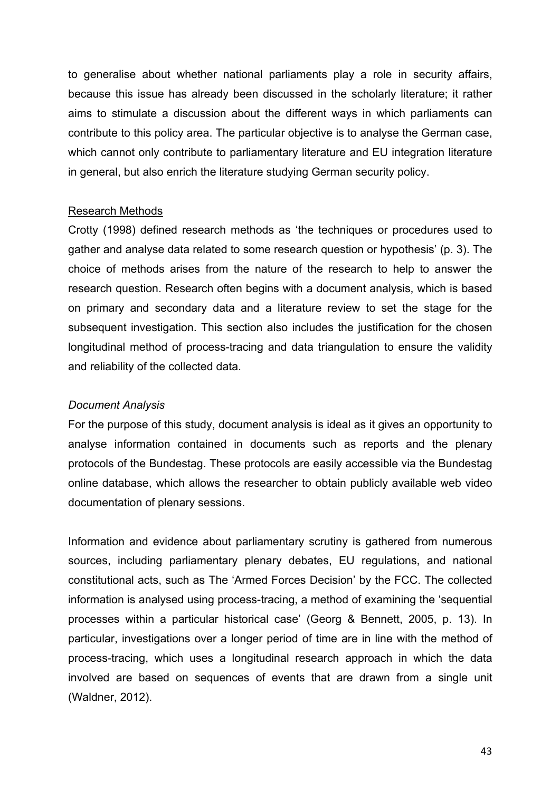to generalise about whether national parliaments play a role in security affairs, because this issue has already been discussed in the scholarly literature; it rather aims to stimulate a discussion about the different ways in which parliaments can contribute to this policy area. The particular objective is to analyse the German case, which cannot only contribute to parliamentary literature and EU integration literature in general, but also enrich the literature studying German security policy.

### Research Methods

Crotty (1998) defined research methods as 'the techniques or procedures used to gather and analyse data related to some research question or hypothesis' (p. 3). The choice of methods arises from the nature of the research to help to answer the research question. Research often begins with a document analysis, which is based on primary and secondary data and a literature review to set the stage for the subsequent investigation. This section also includes the justification for the chosen longitudinal method of process-tracing and data triangulation to ensure the validity and reliability of the collected data.

## *Document Analysis*

For the purpose of this study, document analysis is ideal as it gives an opportunity to analyse information contained in documents such as reports and the plenary protocols of the Bundestag. These protocols are easily accessible via the Bundestag online database, which allows the researcher to obtain publicly available web video documentation of plenary sessions.

Information and evidence about parliamentary scrutiny is gathered from numerous sources, including parliamentary plenary debates, EU regulations, and national constitutional acts, such as The 'Armed Forces Decision' by the FCC. The collected information is analysed using process-tracing, a method of examining the 'sequential processes within a particular historical case' (Georg & Bennett, 2005, p. 13). In particular, investigations over a longer period of time are in line with the method of process-tracing, which uses a longitudinal research approach in which the data involved are based on sequences of events that are drawn from a single unit (Waldner, 2012).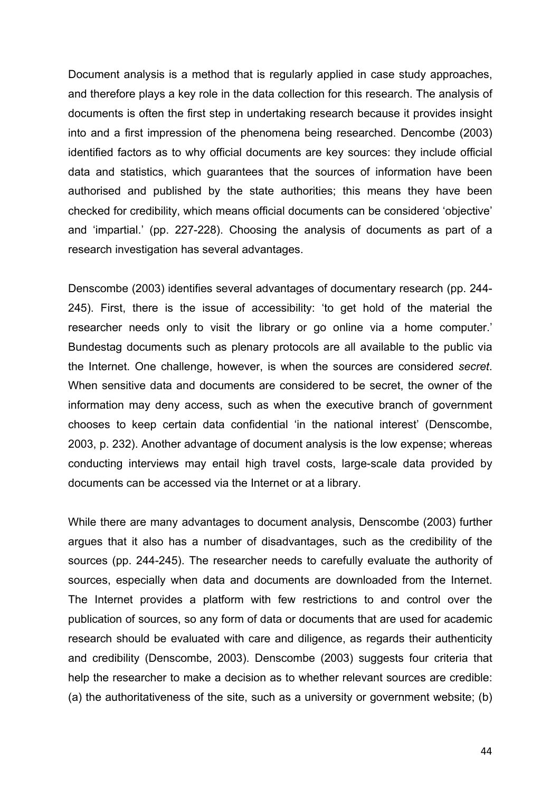Document analysis is a method that is regularly applied in case study approaches, and therefore plays a key role in the data collection for this research. The analysis of documents is often the first step in undertaking research because it provides insight into and a first impression of the phenomena being researched. Dencombe (2003) identified factors as to why official documents are key sources: they include official data and statistics, which guarantees that the sources of information have been authorised and published by the state authorities; this means they have been checked for credibility, which means official documents can be considered 'objective' and 'impartial.' (pp. 227-228). Choosing the analysis of documents as part of a research investigation has several advantages.

Denscombe (2003) identifies several advantages of documentary research (pp. 244- 245). First, there is the issue of accessibility: 'to get hold of the material the researcher needs only to visit the library or go online via a home computer.' Bundestag documents such as plenary protocols are all available to the public via the Internet. One challenge, however, is when the sources are considered *secret*. When sensitive data and documents are considered to be secret, the owner of the information may deny access, such as when the executive branch of government chooses to keep certain data confidential 'in the national interest' (Denscombe, 2003, p. 232). Another advantage of document analysis is the low expense; whereas conducting interviews may entail high travel costs, large-scale data provided by documents can be accessed via the Internet or at a library.

While there are many advantages to document analysis, Denscombe (2003) further argues that it also has a number of disadvantages, such as the credibility of the sources (pp. 244-245). The researcher needs to carefully evaluate the authority of sources, especially when data and documents are downloaded from the Internet. The Internet provides a platform with few restrictions to and control over the publication of sources, so any form of data or documents that are used for academic research should be evaluated with care and diligence, as regards their authenticity and credibility (Denscombe, 2003). Denscombe (2003) suggests four criteria that help the researcher to make a decision as to whether relevant sources are credible: (a) the authoritativeness of the site, such as a university or government website; (b)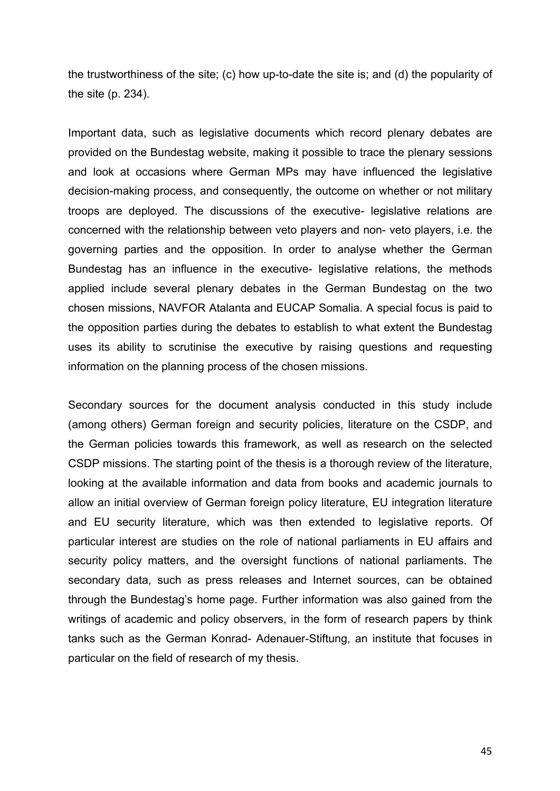the trustworthiness of the site; (c) how up-to-date the site is; and (d) the popularity of the site (p. 234).

Important data, such as legislative documents which record plenary debates are provided on the Bundestag website, making it possible to trace the plenary sessions and look at occasions where German MPs may have influenced the legislative decision-making process, and consequently, the outcome on whether or not military troops are deployed. The discussions of the executive- legislative relations are concerned with the relationship between veto players and non- veto players, i.e. the governing parties and the opposition. In order to analyse whether the German Bundestag has an influence in the executive- legislative relations, the methods applied include several plenary debates in the German Bundestag on the two chosen missions, NAVFOR Atalanta and EUCAP Somalia. A special focus is paid to the opposition parties during the debates to establish to what extent the Bundestag uses its ability to scrutinise the executive by raising questions and requesting information on the planning process of the chosen missions.

Secondary sources for the document analysis conducted in this study include (among others) German foreign and security policies, literature on the CSDP, and the German policies towards this framework, as well as research on the selected CSDP missions. The starting point of the thesis is a thorough review of the literature, looking at the available information and data from books and academic journals to allow an initial overview of German foreign policy literature, EU integration literature and EU security literature, which was then extended to legislative reports. Of particular interest are studies on the role of national parliaments in EU affairs and security policy matters, and the oversight functions of national parliaments. The secondary data, such as press releases and Internet sources, can be obtained through the Bundestag's home page. Further information was also gained from the writings of academic and policy observers, in the form of research papers by think tanks such as the German Konrad- Adenauer-Stiftung, an institute that focuses in particular on the field of research of my thesis.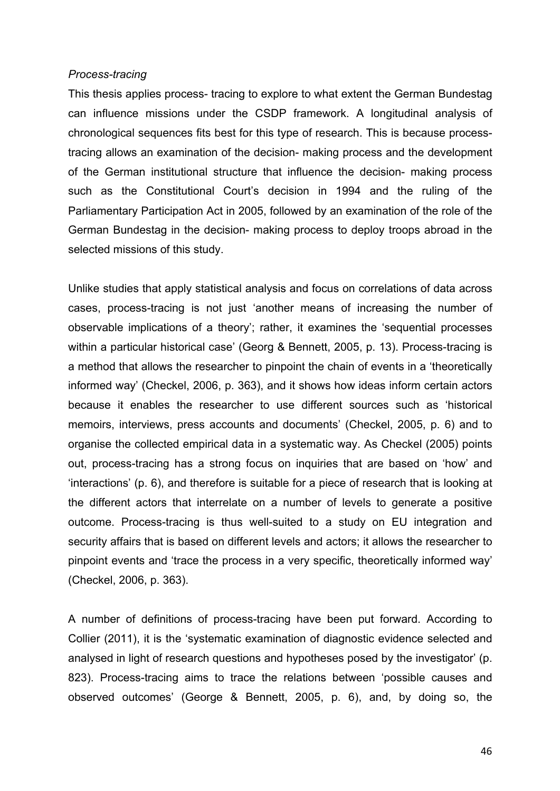### *Process-tracing*

This thesis applies process- tracing to explore to what extent the German Bundestag can influence missions under the CSDP framework. A longitudinal analysis of chronological sequences fits best for this type of research. This is because processtracing allows an examination of the decision- making process and the development of the German institutional structure that influence the decision- making process such as the Constitutional Court's decision in 1994 and the ruling of the Parliamentary Participation Act in 2005, followed by an examination of the role of the German Bundestag in the decision- making process to deploy troops abroad in the selected missions of this study.

Unlike studies that apply statistical analysis and focus on correlations of data across cases, process-tracing is not just 'another means of increasing the number of observable implications of a theory'; rather, it examines the 'sequential processes within a particular historical case' (Georg & Bennett, 2005, p. 13). Process-tracing is a method that allows the researcher to pinpoint the chain of events in a 'theoretically informed way' (Checkel, 2006, p. 363), and it shows how ideas inform certain actors because it enables the researcher to use different sources such as 'historical memoirs, interviews, press accounts and documents' (Checkel, 2005, p. 6) and to organise the collected empirical data in a systematic way. As Checkel (2005) points out, process-tracing has a strong focus on inquiries that are based on 'how' and 'interactions' (p. 6), and therefore is suitable for a piece of research that is looking at the different actors that interrelate on a number of levels to generate a positive outcome. Process-tracing is thus well-suited to a study on EU integration and security affairs that is based on different levels and actors; it allows the researcher to pinpoint events and 'trace the process in a very specific, theoretically informed way' (Checkel, 2006, p. 363).

A number of definitions of process-tracing have been put forward. According to Collier (2011), it is the 'systematic examination of diagnostic evidence selected and analysed in light of research questions and hypotheses posed by the investigator' (p. 823). Process-tracing aims to trace the relations between 'possible causes and observed outcomes' (George & Bennett, 2005, p. 6), and, by doing so, the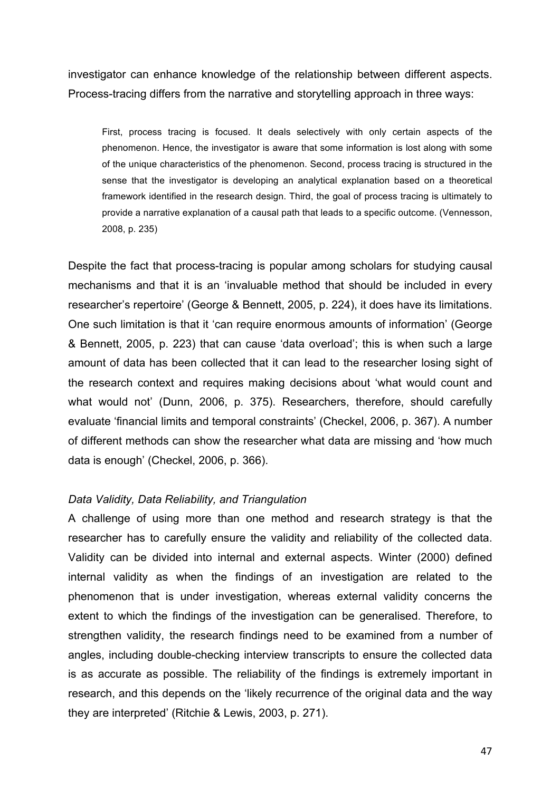investigator can enhance knowledge of the relationship between different aspects. Process-tracing differs from the narrative and storytelling approach in three ways:

First, process tracing is focused. It deals selectively with only certain aspects of the phenomenon. Hence, the investigator is aware that some information is lost along with some of the unique characteristics of the phenomenon. Second, process tracing is structured in the sense that the investigator is developing an analytical explanation based on a theoretical framework identified in the research design. Third, the goal of process tracing is ultimately to provide a narrative explanation of a causal path that leads to a specific outcome. (Vennesson, 2008, p. 235)

Despite the fact that process-tracing is popular among scholars for studying causal mechanisms and that it is an 'invaluable method that should be included in every researcher's repertoire' (George & Bennett, 2005, p. 224), it does have its limitations. One such limitation is that it 'can require enormous amounts of information' (George & Bennett, 2005, p. 223) that can cause 'data overload'; this is when such a large amount of data has been collected that it can lead to the researcher losing sight of the research context and requires making decisions about 'what would count and what would not' (Dunn, 2006, p. 375). Researchers, therefore, should carefully evaluate 'financial limits and temporal constraints' (Checkel, 2006, p. 367). A number of different methods can show the researcher what data are missing and 'how much data is enough' (Checkel, 2006, p. 366).

### *Data Validity, Data Reliability, and Triangulation*

A challenge of using more than one method and research strategy is that the researcher has to carefully ensure the validity and reliability of the collected data. Validity can be divided into internal and external aspects. Winter (2000) defined internal validity as when the findings of an investigation are related to the phenomenon that is under investigation, whereas external validity concerns the extent to which the findings of the investigation can be generalised. Therefore, to strengthen validity, the research findings need to be examined from a number of angles, including double-checking interview transcripts to ensure the collected data is as accurate as possible. The reliability of the findings is extremely important in research, and this depends on the 'likely recurrence of the original data and the way they are interpreted' (Ritchie & Lewis, 2003, p. 271).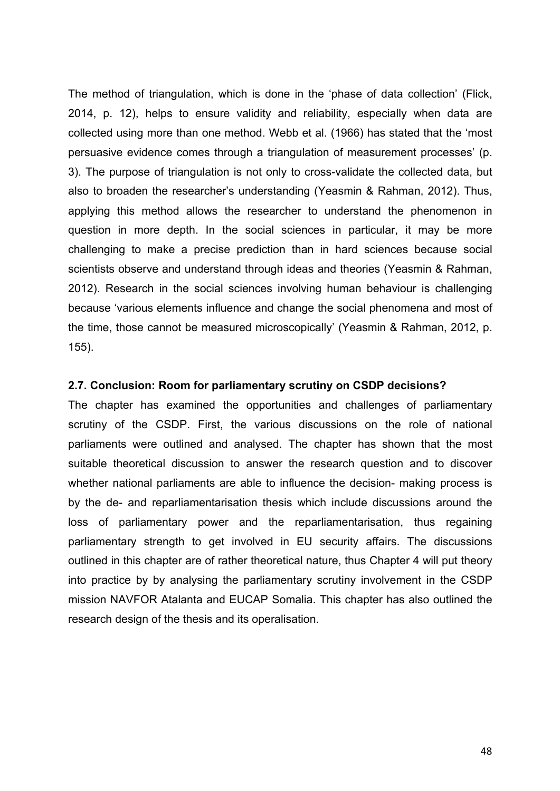The method of triangulation, which is done in the 'phase of data collection' (Flick, 2014, p. 12), helps to ensure validity and reliability, especially when data are collected using more than one method. Webb et al. (1966) has stated that the 'most persuasive evidence comes through a triangulation of measurement processes' (p. 3). The purpose of triangulation is not only to cross-validate the collected data, but also to broaden the researcher's understanding (Yeasmin & Rahman, 2012). Thus, applying this method allows the researcher to understand the phenomenon in question in more depth. In the social sciences in particular, it may be more challenging to make a precise prediction than in hard sciences because social scientists observe and understand through ideas and theories (Yeasmin & Rahman, 2012). Research in the social sciences involving human behaviour is challenging because 'various elements influence and change the social phenomena and most of the time, those cannot be measured microscopically' (Yeasmin & Rahman, 2012, p. 155).

### **2.7. Conclusion: Room for parliamentary scrutiny on CSDP decisions?**

The chapter has examined the opportunities and challenges of parliamentary scrutiny of the CSDP. First, the various discussions on the role of national parliaments were outlined and analysed. The chapter has shown that the most suitable theoretical discussion to answer the research question and to discover whether national parliaments are able to influence the decision- making process is by the de- and reparliamentarisation thesis which include discussions around the loss of parliamentary power and the reparliamentarisation, thus regaining parliamentary strength to get involved in EU security affairs. The discussions outlined in this chapter are of rather theoretical nature, thus Chapter 4 will put theory into practice by by analysing the parliamentary scrutiny involvement in the CSDP mission NAVFOR Atalanta and EUCAP Somalia. This chapter has also outlined the research design of the thesis and its operalisation.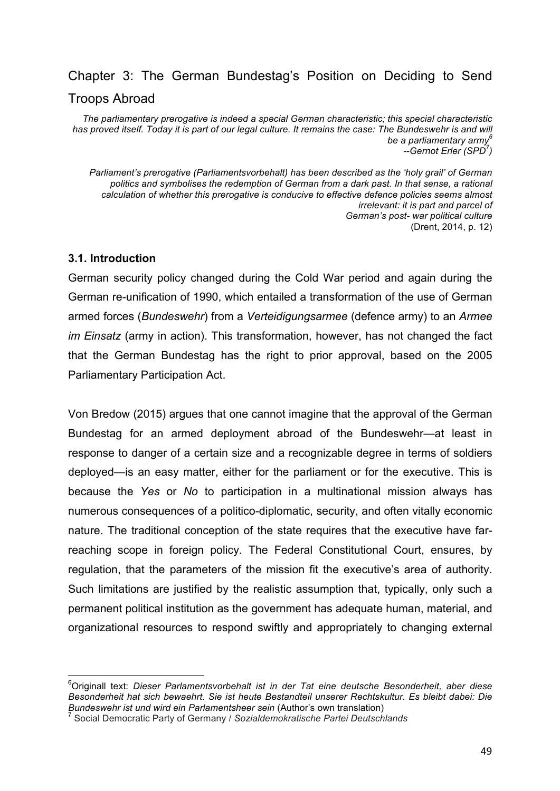# Chapter 3: The German Bundestag's Position on Deciding to Send Troops Abroad

*The parliamentary prerogative is indeed a special German characteristic; this special characteristic*  has proved itself. Today it is part of our legal culture. It remains the case: The Bundeswehr is and will *be a parliamentary army<sup>6</sup> --Gernot Erler (SPD<sup>7</sup> )*

*Parliament's prerogative (Parliamentsvorbehalt) has been described as the 'holy grail' of German politics and symbolises the redemption of German from a dark past. In that sense, a rational calculation of whether this prerogative is conducive to effective defence policies seems almost irrelevant: it is part and parcel of German's post- war political culture* (Drent, 2014, p. 12)

## **3.1. Introduction**

 

German security policy changed during the Cold War period and again during the German re-unification of 1990, which entailed a transformation of the use of German armed forces (*Bundeswehr*) from a *Verteidigungsarmee* (defence army) to an *Armee im Einsatz* (army in action). This transformation, however, has not changed the fact that the German Bundestag has the right to prior approval, based on the 2005 Parliamentary Participation Act.

Von Bredow (2015) argues that one cannot imagine that the approval of the German Bundestag for an armed deployment abroad of the Bundeswehr—at least in response to danger of a certain size and a recognizable degree in terms of soldiers deployed—is an easy matter, either for the parliament or for the executive. This is because the *Yes* or *No* to participation in a multinational mission always has numerous consequences of a politico-diplomatic, security, and often vitally economic nature. The traditional conception of the state requires that the executive have farreaching scope in foreign policy. The Federal Constitutional Court, ensures, by regulation, that the parameters of the mission fit the executive's area of authority. Such limitations are justified by the realistic assumption that, typically, only such a permanent political institution as the government has adequate human, material, and organizational resources to respond swiftly and appropriately to changing external

<sup>6</sup>Originall text: *Dieser Parlamentsvorbehalt ist in der Tat eine deutsche Besonderheit, aber diese Besonderheit hat sich bewaehrt. Sie ist heute Bestandteil unserer Rechtskultur. Es bleibt dabei: Die Bundeswehr ist und wird ein Parlamentsheer sein* (Author's own translation)

<sup>7</sup> Social Democratic Party of Germany / *Sozialdemokratische Partei Deutschlands*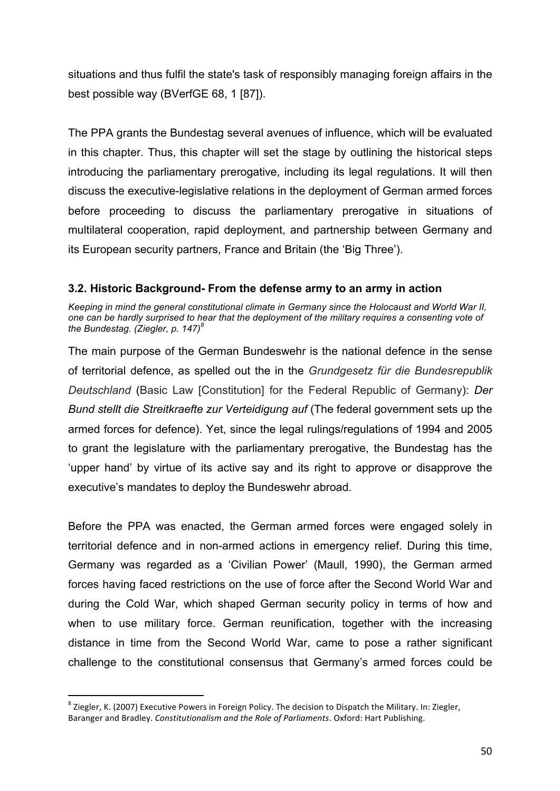situations and thus fulfil the state's task of responsibly managing foreign affairs in the best possible way (BVerfGE 68, 1 [87]).

The PPA grants the Bundestag several avenues of influence, which will be evaluated in this chapter. Thus, this chapter will set the stage by outlining the historical steps introducing the parliamentary prerogative, including its legal regulations. It will then discuss the executive-legislative relations in the deployment of German armed forces before proceeding to discuss the parliamentary prerogative in situations of multilateral cooperation, rapid deployment, and partnership between Germany and its European security partners, France and Britain (the 'Big Three').

## **3.2. Historic Background- From the defense army to an army in action**

*Keeping in mind the general constitutional climate in Germany since the Holocaust and World War II, one can be hardly surprised to hear that the deployment of the military requires a consenting vote of the Bundestag. (Ziegler, p. 147)<sup>8</sup>*

The main purpose of the German Bundeswehr is the national defence in the sense of territorial defence, as spelled out the in the *Grundgesetz für die Bundesrepublik Deutschland* (Basic Law [Constitution] for the Federal Republic of Germany): *Der Bund stellt die Streitkraefte zur Verteidigung auf* (The federal government sets up the armed forces for defence). Yet, since the legal rulings/regulations of 1994 and 2005 to grant the legislature with the parliamentary prerogative, the Bundestag has the 'upper hand' by virtue of its active say and its right to approve or disapprove the executive's mandates to deploy the Bundeswehr abroad.

Before the PPA was enacted, the German armed forces were engaged solely in territorial defence and in non-armed actions in emergency relief. During this time, Germany was regarded as a 'Civilian Power' (Maull, 1990), the German armed forces having faced restrictions on the use of force after the Second World War and during the Cold War, which shaped German security policy in terms of how and when to use military force. German reunification, together with the increasing distance in time from the Second World War, came to pose a rather significant challenge to the constitutional consensus that Germany's armed forces could be

 $^8$  Ziegler, K. (2007) Executive Powers in Foreign Policy. The decision to Dispatch the Military. In: Ziegler, Baranger and Bradley. *Constitutionalism and the Role of Parliaments*. Oxford: Hart Publishing.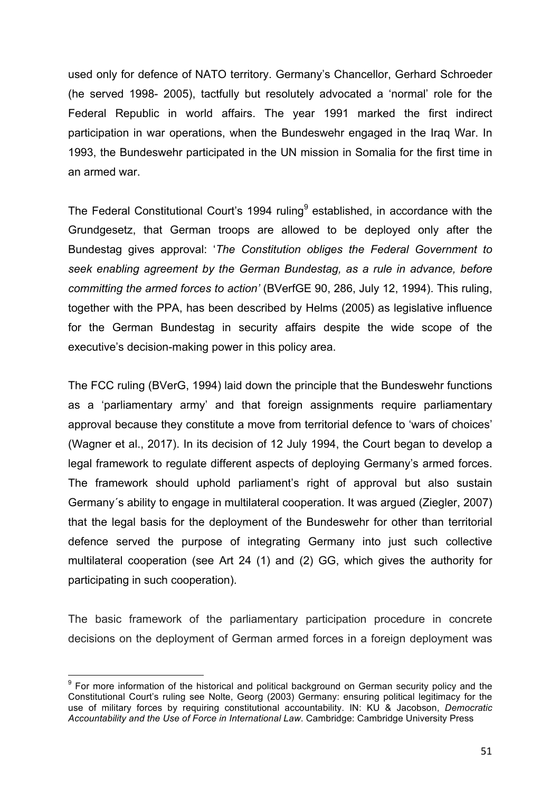used only for defence of NATO territory. Germany's Chancellor, Gerhard Schroeder (he served 1998- 2005), tactfully but resolutely advocated a 'normal' role for the Federal Republic in world affairs. The year 1991 marked the first indirect participation in war operations, when the Bundeswehr engaged in the Iraq War. In 1993, the Bundeswehr participated in the UN mission in Somalia for the first time in an armed war.

The Federal Constitutional Court's 1994 ruling $9$  established, in accordance with the Grundgesetz, that German troops are allowed to be deployed only after the Bundestag gives approval: '*The Constitution obliges the Federal Government to seek enabling agreement by the German Bundestag, as a rule in advance, before committing the armed forces to action'* (BVerfGE 90, 286, July 12, 1994). This ruling, together with the PPA, has been described by Helms (2005) as legislative influence for the German Bundestag in security affairs despite the wide scope of the executive's decision-making power in this policy area.

The FCC ruling (BVerG, 1994) laid down the principle that the Bundeswehr functions as a 'parliamentary army' and that foreign assignments require parliamentary approval because they constitute a move from territorial defence to 'wars of choices' (Wagner et al., 2017). In its decision of 12 July 1994, the Court began to develop a legal framework to regulate different aspects of deploying Germany's armed forces. The framework should uphold parliament's right of approval but also sustain Germany´s ability to engage in multilateral cooperation. It was argued (Ziegler, 2007) that the legal basis for the deployment of the Bundeswehr for other than territorial defence served the purpose of integrating Germany into just such collective multilateral cooperation (see Art 24 (1) and (2) GG, which gives the authority for participating in such cooperation).

The basic framework of the parliamentary participation procedure in concrete decisions on the deployment of German armed forces in a foreign deployment was

 $9$  For more information of the historical and political background on German security policy and the Constitutional Court's ruling see Nolte, Georg (2003) Germany: ensuring political legitimacy for the use of military forces by requiring constitutional accountability. IN: KU & Jacobson, *Democratic Accountability and the Use of Force in International Law*. Cambridge: Cambridge University Press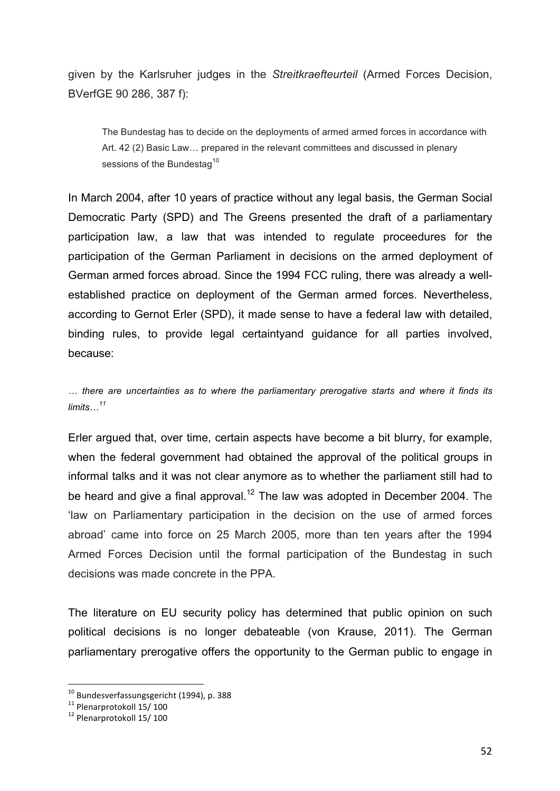given by the Karlsruher judges in the *Streitkraefteurteil* (Armed Forces Decision, BVerfGE 90 286, 387 f):

The Bundestag has to decide on the deployments of armed armed forces in accordance with Art. 42 (2) Basic Law… prepared in the relevant committees and discussed in plenary sessions of the Bundestag<sup>10</sup>

In March 2004, after 10 years of practice without any legal basis, the German Social Democratic Party (SPD) and The Greens presented the draft of a parliamentary participation law, a law that was intended to regulate proceedures for the participation of the German Parliament in decisions on the armed deployment of German armed forces abroad. Since the 1994 FCC ruling, there was already a wellestablished practice on deployment of the German armed forces. Nevertheless, according to Gernot Erler (SPD), it made sense to have a federal law with detailed, binding rules, to provide legal certaintyand guidance for all parties involved, because:

*… there are uncertainties as to where the parliamentary prerogative starts and where it finds its limits…<sup>11</sup>*

Erler argued that, over time, certain aspects have become a bit blurry, for example, when the federal government had obtained the approval of the political groups in informal talks and it was not clear anymore as to whether the parliament still had to be heard and give a final approval.<sup>12</sup> The law was adopted in December 2004. The 'law on Parliamentary participation in the decision on the use of armed forces abroad' came into force on 25 March 2005, more than ten years after the 1994 Armed Forces Decision until the formal participation of the Bundestag in such decisions was made concrete in the PPA.

The literature on EU security policy has determined that public opinion on such political decisions is no longer debateable (von Krause, 2011). The German parliamentary prerogative offers the opportunity to the German public to engage in

 $^{10}$  Bundesverfassungsgericht (1994), p. 388

<sup>&</sup>lt;sup>11</sup> Plenarprotokoll 15/ 100

 $12$  Plenarprotokoll 15/100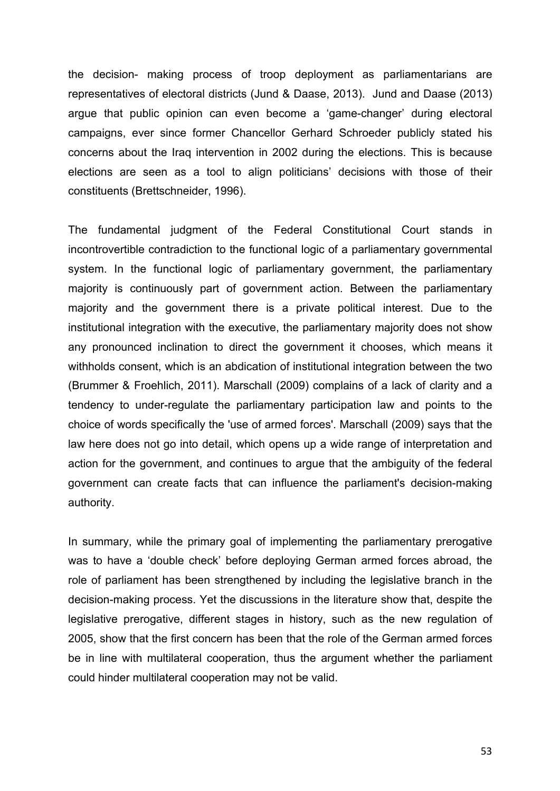the decision- making process of troop deployment as parliamentarians are representatives of electoral districts (Jund & Daase, 2013). Jund and Daase (2013) argue that public opinion can even become a 'game-changer' during electoral campaigns, ever since former Chancellor Gerhard Schroeder publicly stated his concerns about the Iraq intervention in 2002 during the elections. This is because elections are seen as a tool to align politicians' decisions with those of their constituents (Brettschneider, 1996).

The fundamental judgment of the Federal Constitutional Court stands in incontrovertible contradiction to the functional logic of a parliamentary governmental system. In the functional logic of parliamentary government, the parliamentary majority is continuously part of government action. Between the parliamentary majority and the government there is a private political interest. Due to the institutional integration with the executive, the parliamentary majority does not show any pronounced inclination to direct the government it chooses, which means it withholds consent, which is an abdication of institutional integration between the two (Brummer & Froehlich, 2011). Marschall (2009) complains of a lack of clarity and a tendency to under-regulate the parliamentary participation law and points to the choice of words specifically the 'use of armed forces'. Marschall (2009) says that the law here does not go into detail, which opens up a wide range of interpretation and action for the government, and continues to argue that the ambiguity of the federal government can create facts that can influence the parliament's decision-making authority.

In summary, while the primary goal of implementing the parliamentary prerogative was to have a 'double check' before deploying German armed forces abroad, the role of parliament has been strengthened by including the legislative branch in the decision-making process. Yet the discussions in the literature show that, despite the legislative prerogative, different stages in history, such as the new regulation of 2005, show that the first concern has been that the role of the German armed forces be in line with multilateral cooperation, thus the argument whether the parliament could hinder multilateral cooperation may not be valid.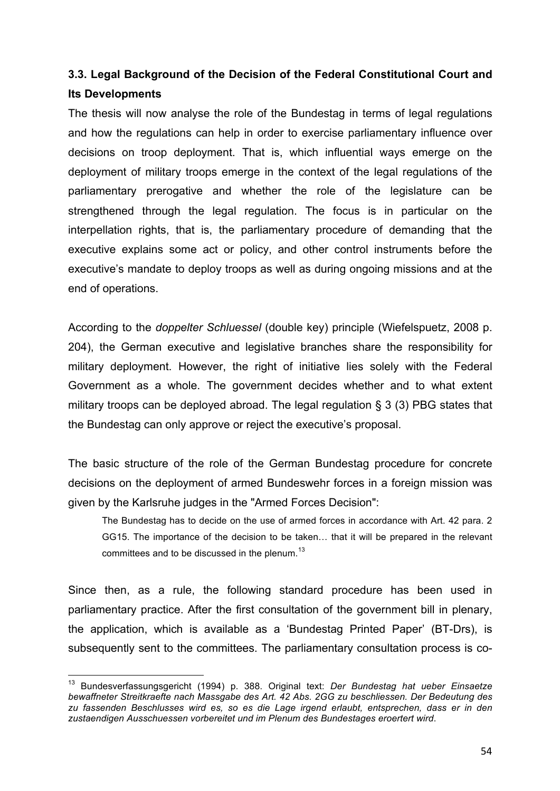# **3.3. Legal Background of the Decision of the Federal Constitutional Court and Its Developments**

The thesis will now analyse the role of the Bundestag in terms of legal regulations and how the regulations can help in order to exercise parliamentary influence over decisions on troop deployment. That is, which influential ways emerge on the deployment of military troops emerge in the context of the legal regulations of the parliamentary prerogative and whether the role of the legislature can be strengthened through the legal regulation. The focus is in particular on the interpellation rights, that is, the parliamentary procedure of demanding that the executive explains some act or policy, and other control instruments before the executive's mandate to deploy troops as well as during ongoing missions and at the end of operations.

According to the *doppelter Schluessel* (double key) principle (Wiefelspuetz, 2008 p. 204), the German executive and legislative branches share the responsibility for military deployment. However, the right of initiative lies solely with the Federal Government as a whole. The government decides whether and to what extent military troops can be deployed abroad. The legal regulation § 3 (3) PBG states that the Bundestag can only approve or reject the executive's proposal.

The basic structure of the role of the German Bundestag procedure for concrete decisions on the deployment of armed Bundeswehr forces in a foreign mission was given by the Karlsruhe judges in the "Armed Forces Decision":

The Bundestag has to decide on the use of armed forces in accordance with Art. 42 para. 2 GG15. The importance of the decision to be taken… that it will be prepared in the relevant committees and to be discussed in the plenum. $^{13}$ 

Since then, as a rule, the following standard procedure has been used in parliamentary practice. After the first consultation of the government bill in plenary, the application, which is available as a 'Bundestag Printed Paper' (BT-Drs), is subsequently sent to the committees. The parliamentary consultation process is co-

<sup>13</sup> Bundesverfassungsgericht (1994) p. 388. Original text: *Der Bundestag hat ueber Einsaetze bewaffneter Streitkraefte nach Massgabe des Art. 42 Abs. 2GG zu beschliessen. Der Bedeutung des zu fassenden Beschlusses wird es, so es die Lage irgend erlaubt, entsprechen, dass er in den zustaendigen Ausschuessen vorbereitet und im Plenum des Bundestages eroertert wird*.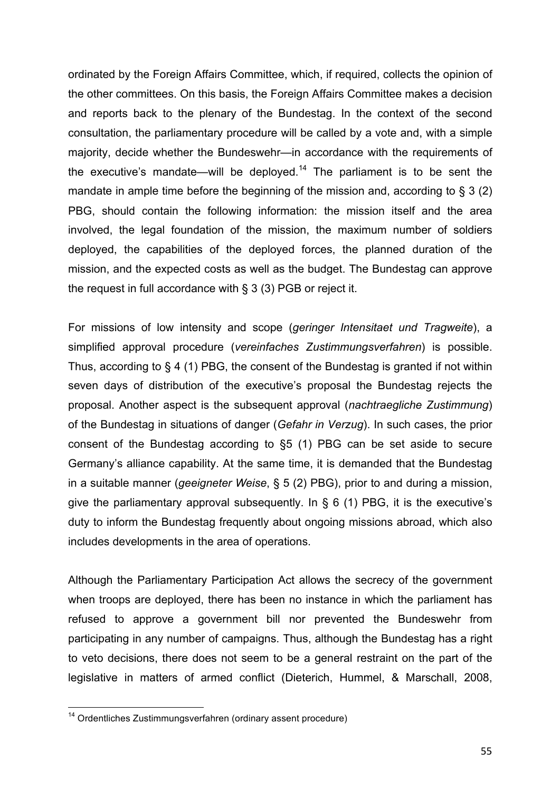ordinated by the Foreign Affairs Committee, which, if required, collects the opinion of the other committees. On this basis, the Foreign Affairs Committee makes a decision and reports back to the plenary of the Bundestag. In the context of the second consultation, the parliamentary procedure will be called by a vote and, with a simple majority, decide whether the Bundeswehr—in accordance with the requirements of the executive's mandate—will be deployed.<sup>14</sup> The parliament is to be sent the mandate in ample time before the beginning of the mission and, according to  $\S$  3 (2) PBG, should contain the following information: the mission itself and the area involved, the legal foundation of the mission, the maximum number of soldiers deployed, the capabilities of the deployed forces, the planned duration of the mission, and the expected costs as well as the budget. The Bundestag can approve the request in full accordance with § 3 (3) PGB or reject it.

For missions of low intensity and scope (*geringer Intensitaet und Tragweite*), a simplified approval procedure (*vereinfaches Zustimmungsverfahren*) is possible. Thus, according to § 4 (1) PBG, the consent of the Bundestag is granted if not within seven days of distribution of the executive's proposal the Bundestag rejects the proposal. Another aspect is the subsequent approval (*nachtraegliche Zustimmung*) of the Bundestag in situations of danger (*Gefahr in Verzug*). In such cases, the prior consent of the Bundestag according to §5 (1) PBG can be set aside to secure Germany's alliance capability. At the same time, it is demanded that the Bundestag in a suitable manner (*geeigneter Weise*, § 5 (2) PBG), prior to and during a mission, give the parliamentary approval subsequently. In § 6 (1) PBG, it is the executive's duty to inform the Bundestag frequently about ongoing missions abroad, which also includes developments in the area of operations.

Although the Parliamentary Participation Act allows the secrecy of the government when troops are deployed, there has been no instance in which the parliament has refused to approve a government bill nor prevented the Bundeswehr from participating in any number of campaigns. Thus, although the Bundestag has a right to veto decisions, there does not seem to be a general restraint on the part of the legislative in matters of armed conflict (Dieterich, Hummel, & Marschall, 2008,

<sup>&</sup>lt;sup>14</sup> Ordentliches Zustimmungsverfahren (ordinary assent procedure)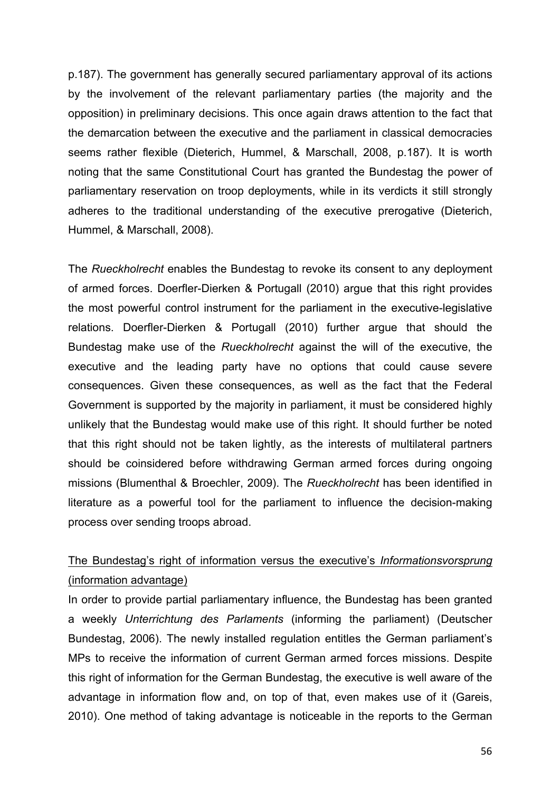p.187). The government has generally secured parliamentary approval of its actions by the involvement of the relevant parliamentary parties (the majority and the opposition) in preliminary decisions. This once again draws attention to the fact that the demarcation between the executive and the parliament in classical democracies seems rather flexible (Dieterich, Hummel, & Marschall, 2008, p.187). It is worth noting that the same Constitutional Court has granted the Bundestag the power of parliamentary reservation on troop deployments, while in its verdicts it still strongly adheres to the traditional understanding of the executive prerogative (Dieterich, Hummel, & Marschall, 2008).

The *Rueckholrecht* enables the Bundestag to revoke its consent to any deployment of armed forces. Doerfler-Dierken & Portugall (2010) argue that this right provides the most powerful control instrument for the parliament in the executive-legislative relations. Doerfler-Dierken & Portugall (2010) further argue that should the Bundestag make use of the *Rueckholrecht* against the will of the executive, the executive and the leading party have no options that could cause severe consequences. Given these consequences, as well as the fact that the Federal Government is supported by the majority in parliament, it must be considered highly unlikely that the Bundestag would make use of this right. It should further be noted that this right should not be taken lightly, as the interests of multilateral partners should be coinsidered before withdrawing German armed forces during ongoing missions (Blumenthal & Broechler, 2009). The *Rueckholrecht* has been identified in literature as a powerful tool for the parliament to influence the decision-making process over sending troops abroad.

# The Bundestag's right of information versus the executive's *Informationsvorsprung* (information advantage)

In order to provide partial parliamentary influence, the Bundestag has been granted a weekly *Unterrichtung des Parlaments* (informing the parliament) (Deutscher Bundestag, 2006). The newly installed regulation entitles the German parliament's MPs to receive the information of current German armed forces missions. Despite this right of information for the German Bundestag, the executive is well aware of the advantage in information flow and, on top of that, even makes use of it (Gareis, 2010). One method of taking advantage is noticeable in the reports to the German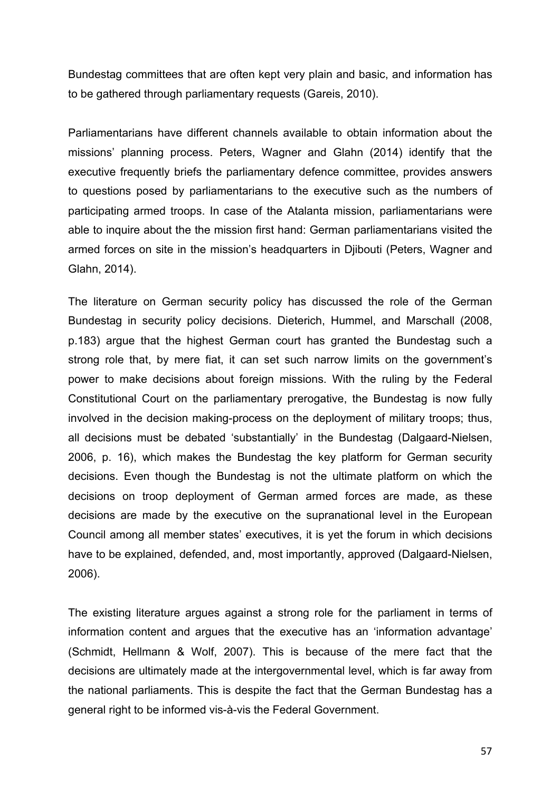Bundestag committees that are often kept very plain and basic, and information has to be gathered through parliamentary requests (Gareis, 2010).

Parliamentarians have different channels available to obtain information about the missions' planning process. Peters, Wagner and Glahn (2014) identify that the executive frequently briefs the parliamentary defence committee, provides answers to questions posed by parliamentarians to the executive such as the numbers of participating armed troops. In case of the Atalanta mission, parliamentarians were able to inquire about the the mission first hand: German parliamentarians visited the armed forces on site in the mission's headquarters in Djibouti (Peters, Wagner and Glahn, 2014).

The literature on German security policy has discussed the role of the German Bundestag in security policy decisions. Dieterich, Hummel, and Marschall (2008, p.183) argue that the highest German court has granted the Bundestag such a strong role that, by mere fiat, it can set such narrow limits on the government's power to make decisions about foreign missions. With the ruling by the Federal Constitutional Court on the parliamentary prerogative, the Bundestag is now fully involved in the decision making-process on the deployment of military troops; thus, all decisions must be debated 'substantially' in the Bundestag (Dalgaard-Nielsen, 2006, p. 16), which makes the Bundestag the key platform for German security decisions. Even though the Bundestag is not the ultimate platform on which the decisions on troop deployment of German armed forces are made, as these decisions are made by the executive on the supranational level in the European Council among all member states' executives, it is yet the forum in which decisions have to be explained, defended, and, most importantly, approved (Dalgaard-Nielsen, 2006).

The existing literature argues against a strong role for the parliament in terms of information content and argues that the executive has an 'information advantage' (Schmidt, Hellmann & Wolf, 2007). This is because of the mere fact that the decisions are ultimately made at the intergovernmental level, which is far away from the national parliaments. This is despite the fact that the German Bundestag has a general right to be informed vis-à-vis the Federal Government.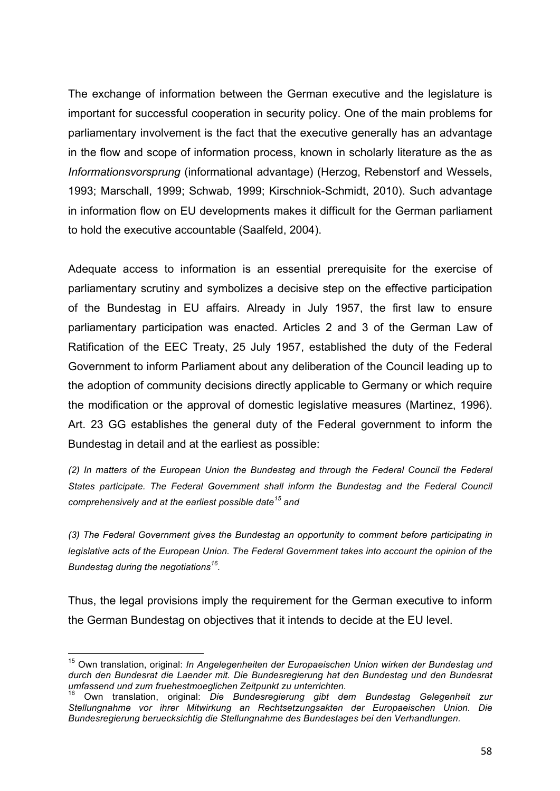The exchange of information between the German executive and the legislature is important for successful cooperation in security policy. One of the main problems for parliamentary involvement is the fact that the executive generally has an advantage in the flow and scope of information process, known in scholarly literature as the as *Informationsvorsprung* (informational advantage) (Herzog, Rebenstorf and Wessels, 1993; Marschall, 1999; Schwab, 1999; Kirschniok-Schmidt, 2010). Such advantage in information flow on EU developments makes it difficult for the German parliament to hold the executive accountable (Saalfeld, 2004).

Adequate access to information is an essential prerequisite for the exercise of parliamentary scrutiny and symbolizes a decisive step on the effective participation of the Bundestag in EU affairs. Already in July 1957, the first law to ensure parliamentary participation was enacted. Articles 2 and 3 of the German Law of Ratification of the EEC Treaty, 25 July 1957, established the duty of the Federal Government to inform Parliament about any deliberation of the Council leading up to the adoption of community decisions directly applicable to Germany or which require the modification or the approval of domestic legislative measures (Martinez, 1996). Art. 23 GG establishes the general duty of the Federal government to inform the Bundestag in detail and at the earliest as possible:

*(2) In matters of the European Union the Bundestag and through the Federal Council the Federal States participate. The Federal Government shall inform the Bundestag and the Federal Council comprehensively and at the earliest possible date<sup>15</sup> and*

*(3) The Federal Government gives the Bundestag an opportunity to comment before participating in legislative acts of the European Union. The Federal Government takes into account the opinion of the Bundestag during the negotiations<sup>16</sup> .* 

Thus, the legal provisions imply the requirement for the German executive to inform the German Bundestag on objectives that it intends to decide at the EU level.

<sup>15</sup> Own translation, original: *In Angelegenheiten der Europaeischen Union wirken der Bundestag und durch den Bundesrat die Laender mit. Die Bundesregierung hat den Bundestag und den Bundesrat umfassend und zum fruehestmoeglichen Zeitpunkt zu unterrichten.*

<sup>16</sup> Own translation, original: *Die Bundesregierung gibt dem Bundestag Gelegenheit zur Stellungnahme vor ihrer Mitwirkung an Rechtsetzungsakten der Europaeischen Union. Die Bundesregierung beruecksichtig die Stellungnahme des Bundestages bei den Verhandlungen.*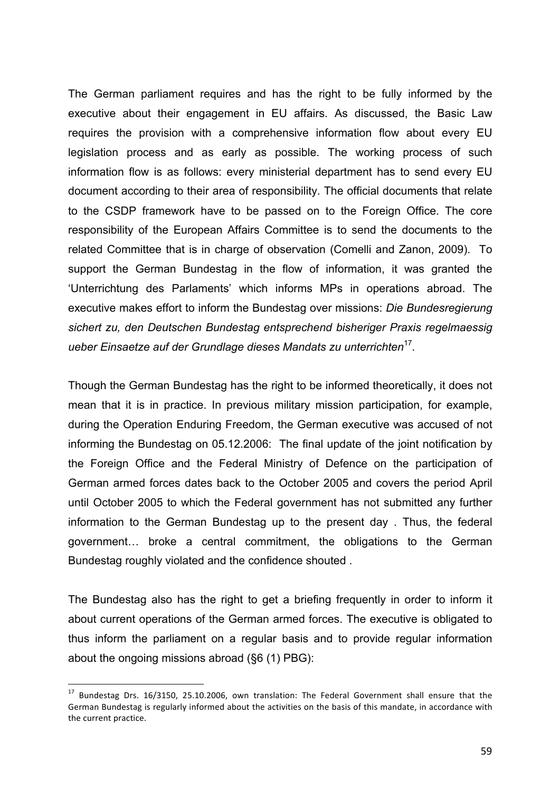The German parliament requires and has the right to be fully informed by the executive about their engagement in EU affairs. As discussed, the Basic Law requires the provision with a comprehensive information flow about every EU legislation process and as early as possible. The working process of such information flow is as follows: every ministerial department has to send every EU document according to their area of responsibility. The official documents that relate to the CSDP framework have to be passed on to the Foreign Office. The core responsibility of the European Affairs Committee is to send the documents to the related Committee that is in charge of observation (Comelli and Zanon, 2009). To support the German Bundestag in the flow of information, it was granted the 'Unterrichtung des Parlaments' which informs MPs in operations abroad. The executive makes effort to inform the Bundestag over missions: *Die Bundesregierung sichert zu, den Deutschen Bundestag entsprechend bisheriger Praxis regelmaessig ueber Einsaetze auf der Grundlage dieses Mandats zu unterrichten*<sup>17</sup> .

Though the German Bundestag has the right to be informed theoretically, it does not mean that it is in practice. In previous military mission participation, for example, during the Operation Enduring Freedom, the German executive was accused of not informing the Bundestag on 05.12.2006: The final update of the joint notification by the Foreign Office and the Federal Ministry of Defence on the participation of German armed forces dates back to the October 2005 and covers the period April until October 2005 to which the Federal government has not submitted any further information to the German Bundestag up to the present day . Thus, the federal government… broke a central commitment, the obligations to the German Bundestag roughly violated and the confidence shouted .

The Bundestag also has the right to get a briefing frequently in order to inform it about current operations of the German armed forces. The executive is obligated to thus inform the parliament on a regular basis and to provide regular information about the ongoing missions abroad (§6 (1) PBG):

 $17$  Bundestag Drs. 16/3150, 25.10.2006, own translation: The Federal Government shall ensure that the German Bundestag is regularly informed about the activities on the basis of this mandate, in accordance with the current practice.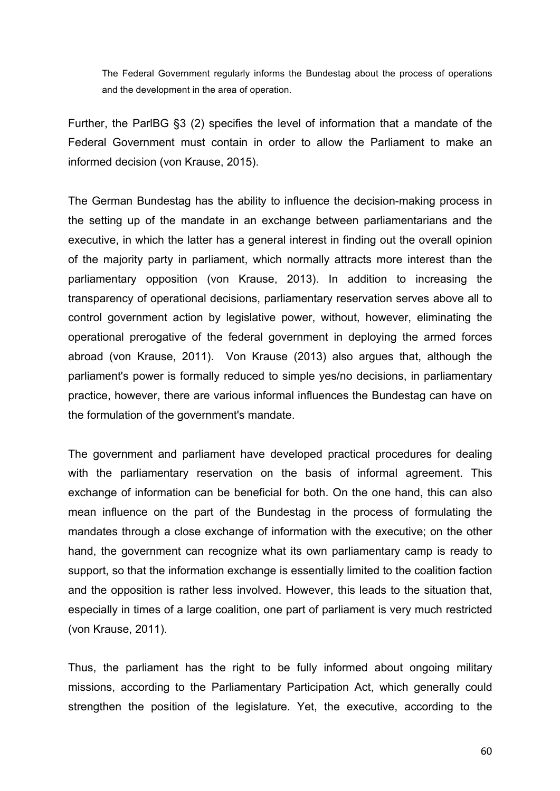The Federal Government regularly informs the Bundestag about the process of operations and the development in the area of operation.

Further, the ParlBG §3 (2) specifies the level of information that a mandate of the Federal Government must contain in order to allow the Parliament to make an informed decision (von Krause, 2015).

The German Bundestag has the ability to influence the decision-making process in the setting up of the mandate in an exchange between parliamentarians and the executive, in which the latter has a general interest in finding out the overall opinion of the majority party in parliament, which normally attracts more interest than the parliamentary opposition (von Krause, 2013). In addition to increasing the transparency of operational decisions, parliamentary reservation serves above all to control government action by legislative power, without, however, eliminating the operational prerogative of the federal government in deploying the armed forces abroad (von Krause, 2011). Von Krause (2013) also argues that, although the parliament's power is formally reduced to simple yes/no decisions, in parliamentary practice, however, there are various informal influences the Bundestag can have on the formulation of the government's mandate.

The government and parliament have developed practical procedures for dealing with the parliamentary reservation on the basis of informal agreement. This exchange of information can be beneficial for both. On the one hand, this can also mean influence on the part of the Bundestag in the process of formulating the mandates through a close exchange of information with the executive; on the other hand, the government can recognize what its own parliamentary camp is ready to support, so that the information exchange is essentially limited to the coalition faction and the opposition is rather less involved. However, this leads to the situation that, especially in times of a large coalition, one part of parliament is very much restricted (von Krause, 2011).

Thus, the parliament has the right to be fully informed about ongoing military missions, according to the Parliamentary Participation Act, which generally could strengthen the position of the legislature. Yet, the executive, according to the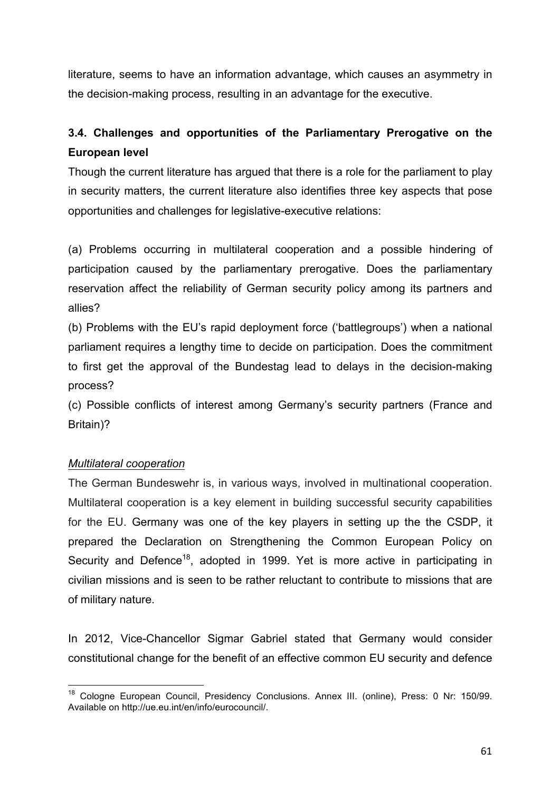literature, seems to have an information advantage, which causes an asymmetry in the decision-making process, resulting in an advantage for the executive.

# **3.4. Challenges and opportunities of the Parliamentary Prerogative on the European level**

Though the current literature has argued that there is a role for the parliament to play in security matters, the current literature also identifies three key aspects that pose opportunities and challenges for legislative-executive relations:

(a) Problems occurring in multilateral cooperation and a possible hindering of participation caused by the parliamentary prerogative. Does the parliamentary reservation affect the reliability of German security policy among its partners and allies?

(b) Problems with the EU's rapid deployment force ('battlegroups') when a national parliament requires a lengthy time to decide on participation. Does the commitment to first get the approval of the Bundestag lead to delays in the decision-making process?

(c) Possible conflicts of interest among Germany's security partners (France and Britain)?

## *Multilateral cooperation*

 

The German Bundeswehr is, in various ways, involved in multinational cooperation. Multilateral cooperation is a key element in building successful security capabilities for the EU. Germany was one of the key players in setting up the the CSDP, it prepared the Declaration on Strengthening the Common European Policy on Security and Defence<sup>18</sup>, adopted in 1999. Yet is more active in participating in civilian missions and is seen to be rather reluctant to contribute to missions that are of military nature.

In 2012, Vice-Chancellor Sigmar Gabriel stated that Germany would consider constitutional change for the benefit of an effective common EU security and defence

<sup>&</sup>lt;sup>18</sup> Cologne European Council, Presidency Conclusions. Annex III. (online), Press: 0 Nr: 150/99. Available on http://ue.eu.int/en/info/eurocouncil/.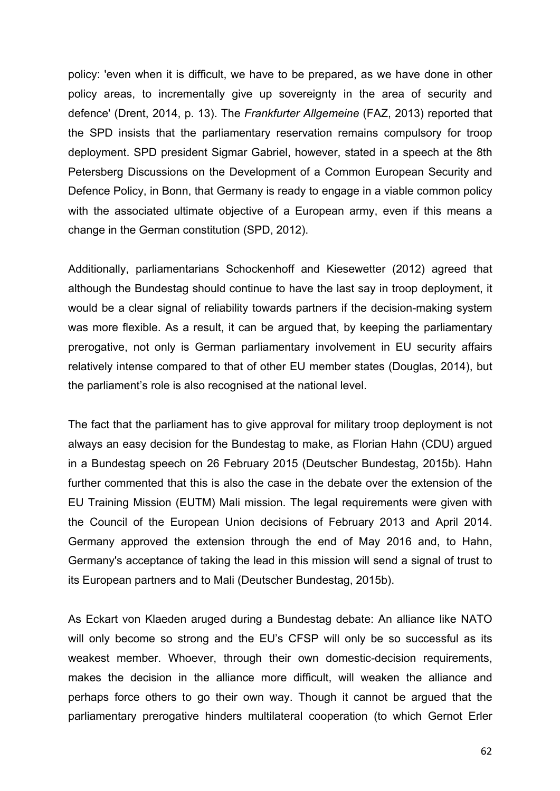policy: 'even when it is difficult, we have to be prepared, as we have done in other policy areas, to incrementally give up sovereignty in the area of security and defence' (Drent, 2014, p. 13). The *Frankfurter Allgemeine* (FAZ, 2013) reported that the SPD insists that the parliamentary reservation remains compulsory for troop deployment. SPD president Sigmar Gabriel, however, stated in a speech at the 8th Petersberg Discussions on the Development of a Common European Security and Defence Policy, in Bonn, that Germany is ready to engage in a viable common policy with the associated ultimate objective of a European army, even if this means a change in the German constitution (SPD, 2012).

Additionally, parliamentarians Schockenhoff and Kiesewetter (2012) agreed that although the Bundestag should continue to have the last say in troop deployment, it would be a clear signal of reliability towards partners if the decision-making system was more flexible. As a result, it can be argued that, by keeping the parliamentary prerogative, not only is German parliamentary involvement in EU security affairs relatively intense compared to that of other EU member states (Douglas, 2014), but the parliament's role is also recognised at the national level.

The fact that the parliament has to give approval for military troop deployment is not always an easy decision for the Bundestag to make, as Florian Hahn (CDU) argued in a Bundestag speech on 26 February 2015 (Deutscher Bundestag, 2015b). Hahn further commented that this is also the case in the debate over the extension of the EU Training Mission (EUTM) Mali mission. The legal requirements were given with the Council of the European Union decisions of February 2013 and April 2014. Germany approved the extension through the end of May 2016 and, to Hahn, Germany's acceptance of taking the lead in this mission will send a signal of trust to its European partners and to Mali (Deutscher Bundestag, 2015b).

As Eckart von Klaeden aruged during a Bundestag debate: An alliance like NATO will only become so strong and the EU's CFSP will only be so successful as its weakest member. Whoever, through their own domestic-decision requirements, makes the decision in the alliance more difficult, will weaken the alliance and perhaps force others to go their own way. Though it cannot be argued that the parliamentary prerogative hinders multilateral cooperation (to which Gernot Erler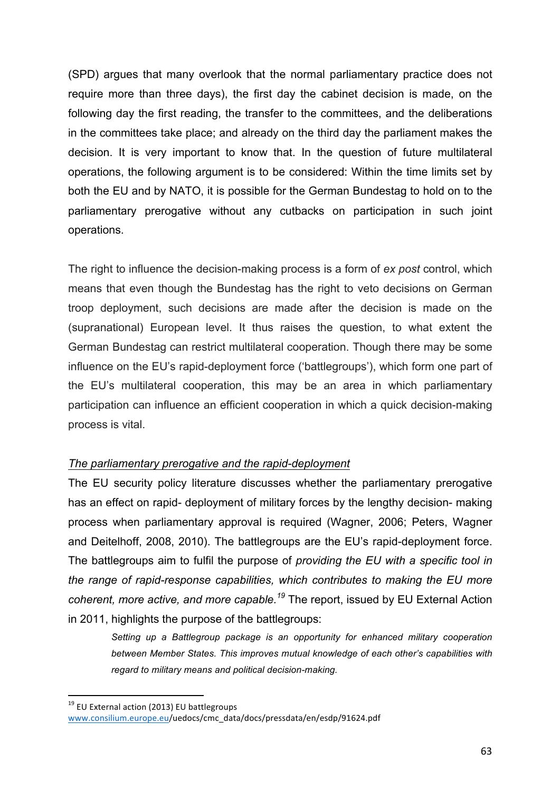(SPD) argues that many overlook that the normal parliamentary practice does not require more than three days), the first day the cabinet decision is made, on the following day the first reading, the transfer to the committees, and the deliberations in the committees take place; and already on the third day the parliament makes the decision. It is very important to know that. In the question of future multilateral operations, the following argument is to be considered: Within the time limits set by both the EU and by NATO, it is possible for the German Bundestag to hold on to the parliamentary prerogative without any cutbacks on participation in such joint operations.

The right to influence the decision-making process is a form of *ex post* control, which means that even though the Bundestag has the right to veto decisions on German troop deployment, such decisions are made after the decision is made on the (supranational) European level. It thus raises the question, to what extent the German Bundestag can restrict multilateral cooperation. Though there may be some influence on the EU's rapid-deployment force ('battlegroups'), which form one part of the EU's multilateral cooperation, this may be an area in which parliamentary participation can influence an efficient cooperation in which a quick decision-making process is vital.

## *The parliamentary prerogative and the rapid-deployment*

The EU security policy literature discusses whether the parliamentary prerogative has an effect on rapid- deployment of military forces by the lengthy decision- making process when parliamentary approval is required (Wagner, 2006; Peters, Wagner and Deitelhoff, 2008, 2010). The battlegroups are the EU's rapid-deployment force. The battlegroups aim to fulfil the purpose of *providing the EU with a specific tool in the range of rapid-response capabilities, which contributes to making the EU more coherent, more active, and more capable.<sup>19</sup>* The report, issued by EU External Action in 2011, highlights the purpose of the battlegroups:

*Setting up a Battlegroup package is an opportunity for enhanced military cooperation between Member States. This improves mutual knowledge of each other's capabilities with regard to military means and political decision-making.*

<sup>&</sup>lt;sup>19</sup> EU External action (2013) EU battlegroups www.consilium.europe.eu/uedocs/cmc\_data/docs/pressdata/en/esdp/91624.pdf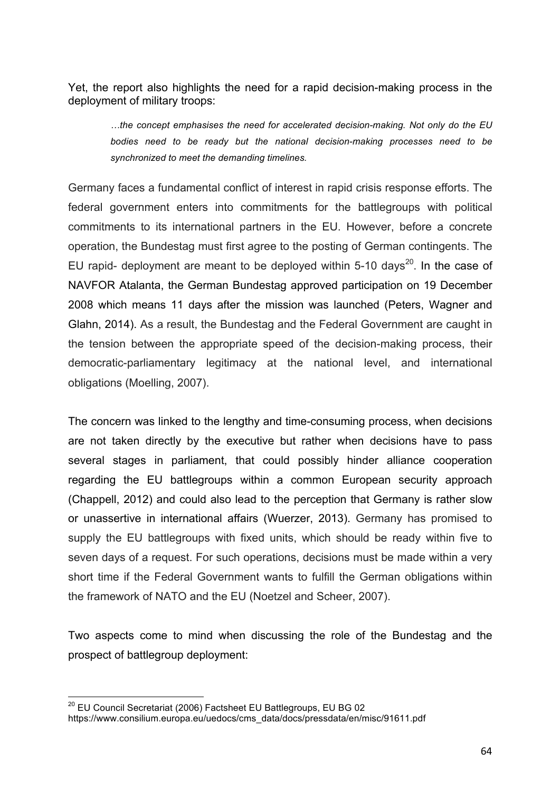Yet, the report also highlights the need for a rapid decision-making process in the deployment of military troops:

*…the concept emphasises the need for accelerated decision-making. Not only do the EU bodies need to be ready but the national decision-making processes need to be synchronized to meet the demanding timelines.* 

Germany faces a fundamental conflict of interest in rapid crisis response efforts. The federal government enters into commitments for the battlegroups with political commitments to its international partners in the EU. However, before a concrete operation, the Bundestag must first agree to the posting of German contingents. The EU rapid- deployment are meant to be deployed within 5-10 days<sup>20</sup>. In the case of NAVFOR Atalanta, the German Bundestag approved participation on 19 December 2008 which means 11 days after the mission was launched (Peters, Wagner and Glahn, 2014). As a result, the Bundestag and the Federal Government are caught in the tension between the appropriate speed of the decision-making process, their democratic-parliamentary legitimacy at the national level, and international obligations (Moelling, 2007).

The concern was linked to the lengthy and time-consuming process, when decisions are not taken directly by the executive but rather when decisions have to pass several stages in parliament, that could possibly hinder alliance cooperation regarding the EU battlegroups within a common European security approach (Chappell, 2012) and could also lead to the perception that Germany is rather slow or unassertive in international affairs (Wuerzer, 2013). Germany has promised to supply the EU battlegroups with fixed units, which should be ready within five to seven days of a request. For such operations, decisions must be made within a very short time if the Federal Government wants to fulfill the German obligations within the framework of NATO and the EU (Noetzel and Scheer, 2007).

Two aspects come to mind when discussing the role of the Bundestag and the prospect of battlegroup deployment:

 $20$  EU Council Secretariat (2006) Factsheet EU Battlegroups, EU BG 02 https://www.consilium.europa.eu/uedocs/cms\_data/docs/pressdata/en/misc/91611.pdf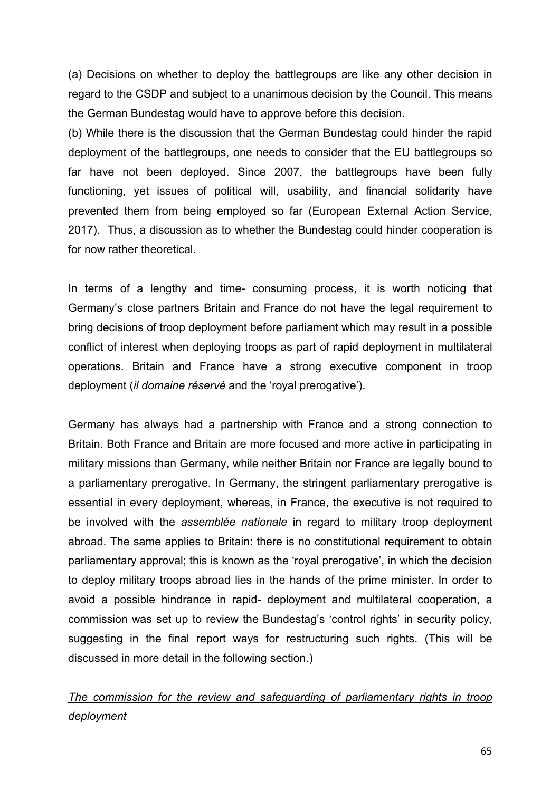(a) Decisions on whether to deploy the battlegroups are like any other decision in regard to the CSDP and subject to a unanimous decision by the Council. This means the German Bundestag would have to approve before this decision.

(b) While there is the discussion that the German Bundestag could hinder the rapid deployment of the battlegroups, one needs to consider that the EU battlegroups so far have not been deployed. Since 2007, the battlegroups have been fully functioning, yet issues of political will, usability, and financial solidarity have prevented them from being employed so far (European External Action Service, 2017). Thus, a discussion as to whether the Bundestag could hinder cooperation is for now rather theoretical.

In terms of a lengthy and time- consuming process, it is worth noticing that Germany's close partners Britain and France do not have the legal requirement to bring decisions of troop deployment before parliament which may result in a possible conflict of interest when deploying troops as part of rapid deployment in multilateral operations. Britain and France have a strong executive component in troop deployment (*il domaine réservé* and the 'royal prerogative').

Germany has always had a partnership with France and a strong connection to Britain. Both France and Britain are more focused and more active in participating in military missions than Germany, while neither Britain nor France are legally bound to a parliamentary prerogative. In Germany, the stringent parliamentary prerogative is essential in every deployment, whereas, in France, the executive is not required to be involved with the *assemblée nationale* in regard to military troop deployment abroad. The same applies to Britain: there is no constitutional requirement to obtain parliamentary approval; this is known as the 'royal prerogative', in which the decision to deploy military troops abroad lies in the hands of the prime minister. In order to avoid a possible hindrance in rapid- deployment and multilateral cooperation, a commission was set up to review the Bundestag's 'control rights' in security policy, suggesting in the final report ways for restructuring such rights. (This will be discussed in more detail in the following section.)

# *The commission for the review and safeguarding of parliamentary rights in troop deployment*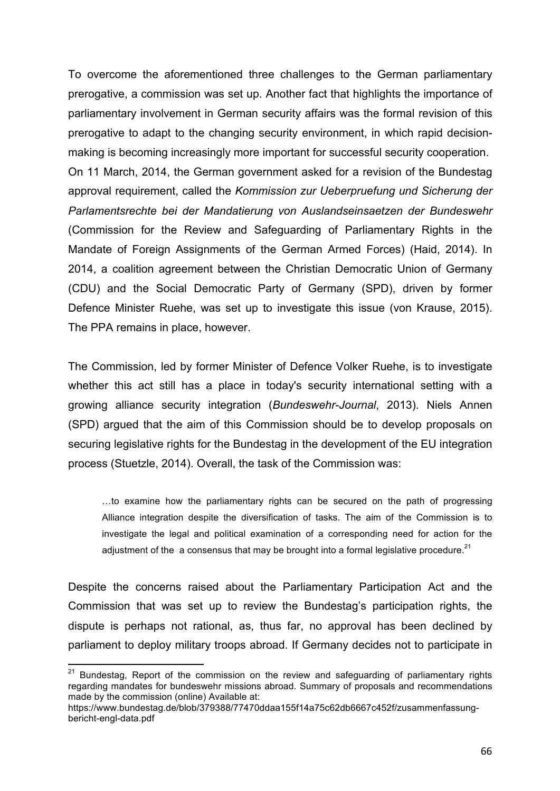To overcome the aforementioned three challenges to the German parliamentary prerogative, a commission was set up. Another fact that highlights the importance of parliamentary involvement in German security affairs was the formal revision of this prerogative to adapt to the changing security environment, in which rapid decisionmaking is becoming increasingly more important for successful security cooperation. On 11 March, 2014, the German government asked for a revision of the Bundestag approval requirement, called the *Kommission zur Ueberpruefung und Sicherung der Parlamentsrechte bei der Mandatierung von Auslandseinsaetzen der Bundeswehr* (Commission for the Review and Safeguarding of Parliamentary Rights in the Mandate of Foreign Assignments of the German Armed Forces) (Haid, 2014). In 2014, a coalition agreement between the Christian Democratic Union of Germany (CDU) and the Social Democratic Party of Germany (SPD), driven by former Defence Minister Ruehe, was set up to investigate this issue (von Krause, 2015). The PPA remains in place, however.

The Commission, led by former Minister of Defence Volker Ruehe, is to investigate whether this act still has a place in today's security international setting with a growing alliance security integration (*Bundeswehr-Journal*, 2013). Niels Annen (SPD) argued that the aim of this Commission should be to develop proposals on securing legislative rights for the Bundestag in the development of the EU integration process (Stuetzle, 2014). Overall, the task of the Commission was:

…to examine how the parliamentary rights can be secured on the path of progressing Alliance integration despite the diversification of tasks. The aim of the Commission is to investigate the legal and political examination of a corresponding need for action for the adjustment of the  $a$  consensus that may be brought into a formal legislative procedure.<sup>21</sup>

Despite the concerns raised about the Parliamentary Participation Act and the Commission that was set up to review the Bundestag's participation rights, the dispute is perhaps not rational, as, thus far, no approval has been declined by parliament to deploy military troops abroad. If Germany decides not to participate in

 $21$  Bundestag, Report of the commission on the review and safeguarding of parliamentary rights regarding mandates for bundeswehr missions abroad. Summary of proposals and recommendations made by the commission (online) Available at:

https://www.bundestag.de/blob/379388/77470ddaa155f14a75c62db6667c452f/zusammenfassungbericht-engl-data.pdf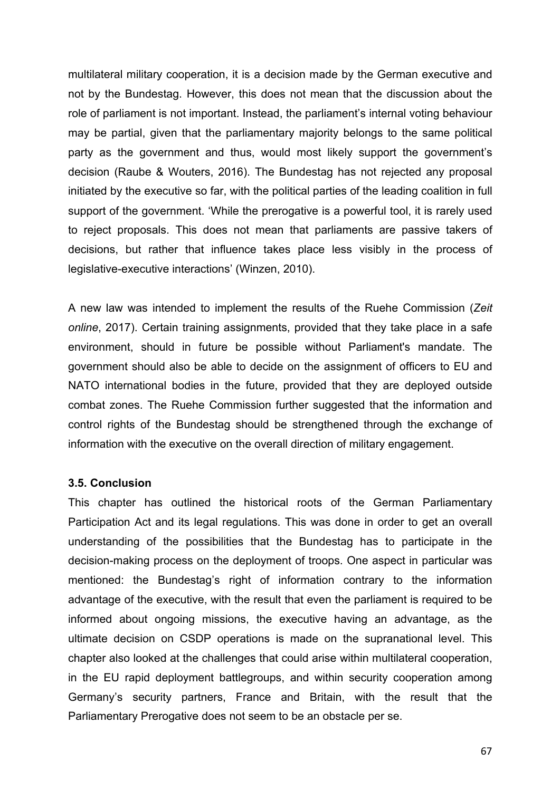multilateral military cooperation, it is a decision made by the German executive and not by the Bundestag. However, this does not mean that the discussion about the role of parliament is not important. Instead, the parliament's internal voting behaviour may be partial, given that the parliamentary majority belongs to the same political party as the government and thus, would most likely support the government's decision (Raube & Wouters, 2016). The Bundestag has not rejected any proposal initiated by the executive so far, with the political parties of the leading coalition in full support of the government. 'While the prerogative is a powerful tool, it is rarely used to reject proposals. This does not mean that parliaments are passive takers of decisions, but rather that influence takes place less visibly in the process of legislative-executive interactions' (Winzen, 2010).

A new law was intended to implement the results of the Ruehe Commission (*Zeit online*, 2017). Certain training assignments, provided that they take place in a safe environment, should in future be possible without Parliament's mandate. The government should also be able to decide on the assignment of officers to EU and NATO international bodies in the future, provided that they are deployed outside combat zones. The Ruehe Commission further suggested that the information and control rights of the Bundestag should be strengthened through the exchange of information with the executive on the overall direction of military engagement.

## **3.5. Conclusion**

This chapter has outlined the historical roots of the German Parliamentary Participation Act and its legal regulations. This was done in order to get an overall understanding of the possibilities that the Bundestag has to participate in the decision-making process on the deployment of troops. One aspect in particular was mentioned: the Bundestag's right of information contrary to the information advantage of the executive, with the result that even the parliament is required to be informed about ongoing missions, the executive having an advantage, as the ultimate decision on CSDP operations is made on the supranational level. This chapter also looked at the challenges that could arise within multilateral cooperation, in the EU rapid deployment battlegroups, and within security cooperation among Germany's security partners, France and Britain, with the result that the Parliamentary Prerogative does not seem to be an obstacle per se.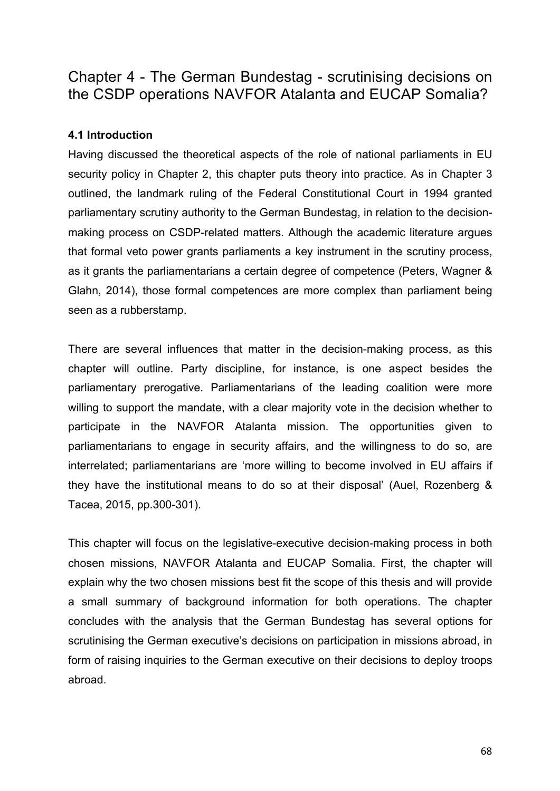# Chapter 4 - The German Bundestag - scrutinising decisions on the CSDP operations NAVFOR Atalanta and EUCAP Somalia?

## **4.1 Introduction**

Having discussed the theoretical aspects of the role of national parliaments in EU security policy in Chapter 2, this chapter puts theory into practice. As in Chapter 3 outlined, the landmark ruling of the Federal Constitutional Court in 1994 granted parliamentary scrutiny authority to the German Bundestag, in relation to the decisionmaking process on CSDP-related matters. Although the academic literature argues that formal veto power grants parliaments a key instrument in the scrutiny process, as it grants the parliamentarians a certain degree of competence (Peters, Wagner & Glahn, 2014), those formal competences are more complex than parliament being seen as a rubberstamp.

There are several influences that matter in the decision-making process, as this chapter will outline. Party discipline, for instance, is one aspect besides the parliamentary prerogative. Parliamentarians of the leading coalition were more willing to support the mandate, with a clear majority vote in the decision whether to participate in the NAVFOR Atalanta mission. The opportunities given to parliamentarians to engage in security affairs, and the willingness to do so, are interrelated; parliamentarians are 'more willing to become involved in EU affairs if they have the institutional means to do so at their disposal' (Auel, Rozenberg & Tacea, 2015, pp.300-301).

This chapter will focus on the legislative-executive decision-making process in both chosen missions, NAVFOR Atalanta and EUCAP Somalia. First, the chapter will explain why the two chosen missions best fit the scope of this thesis and will provide a small summary of background information for both operations. The chapter concludes with the analysis that the German Bundestag has several options for scrutinising the German executive's decisions on participation in missions abroad, in form of raising inquiries to the German executive on their decisions to deploy troops abroad.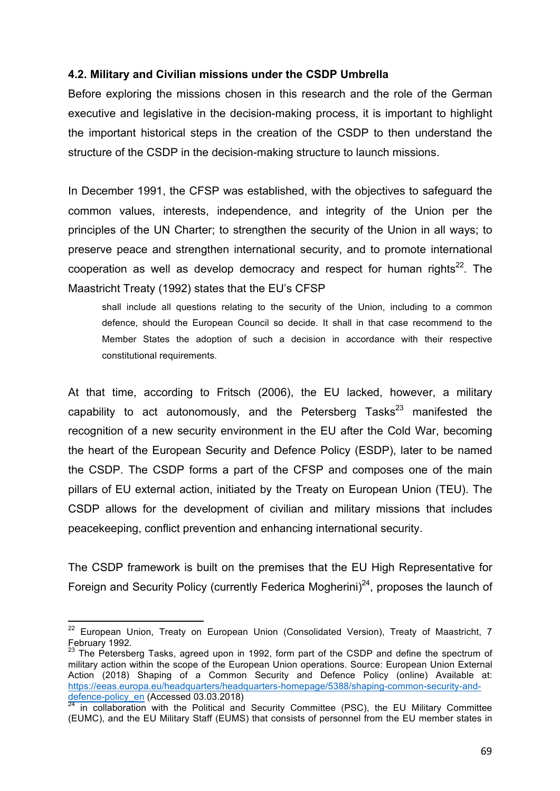### **4.2. Military and Civilian missions under the CSDP Umbrella**

Before exploring the missions chosen in this research and the role of the German executive and legislative in the decision-making process, it is important to highlight the important historical steps in the creation of the CSDP to then understand the structure of the CSDP in the decision-making structure to launch missions.

In December 1991, the CFSP was established, with the objectives to safeguard the common values, interests, independence, and integrity of the Union per the principles of the UN Charter; to strengthen the security of the Union in all ways; to preserve peace and strengthen international security, and to promote international cooperation as well as develop democracy and respect for human rights<sup>22</sup>. The Maastricht Treaty (1992) states that the EU's CFSP

shall include all questions relating to the security of the Union, including to a common defence, should the European Council so decide. It shall in that case recommend to the Member States the adoption of such a decision in accordance with their respective constitutional requirements.

At that time, according to Fritsch (2006), the EU lacked, however, a military capability to act autonomously, and the Petersberg Tasks<sup>23</sup> manifested the recognition of a new security environment in the EU after the Cold War, becoming the heart of the European Security and Defence Policy (ESDP), later to be named the CSDP. The CSDP forms a part of the CFSP and composes one of the main pillars of EU external action, initiated by the Treaty on European Union (TEU). The CSDP allows for the development of civilian and military missions that includes peacekeeping, conflict prevention and enhancing international security.

The CSDP framework is built on the premises that the EU High Representative for Foreign and Security Policy (currently Federica Mogherini)<sup>24</sup>, proposes the launch of

 $22$  European Union, Treaty on European Union (Consolidated Version), Treaty of Maastricht, 7 February 1992.

<sup>&</sup>lt;sup>23</sup> The Petersberg Tasks, agreed upon in 1992, form part of the CSDP and define the spectrum of military action within the scope of the European Union operations. Source: European Union External Action (2018) Shaping of a Common Security and Defence Policy (online) Available at: https://eeas.europa.eu/headquarters/headquarters-homepage/5388/shaping-common-security-anddefence-policy\_en (Accessed 03.03.2018)

 $24$  in collaboration with the Political and Security Committee (PSC), the EU Military Committee (EUMC), and the EU Military Staff (EUMS) that consists of personnel from the EU member states in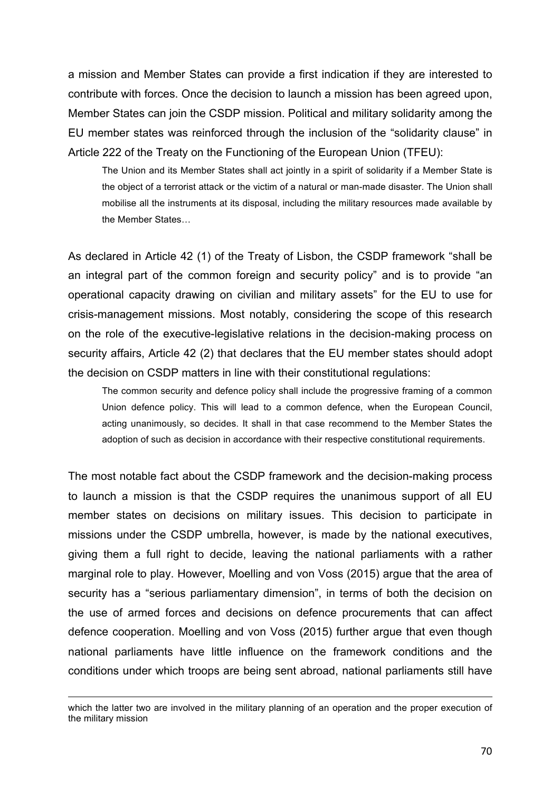a mission and Member States can provide a first indication if they are interested to contribute with forces. Once the decision to launch a mission has been agreed upon, Member States can join the CSDP mission. Political and military solidarity among the EU member states was reinforced through the inclusion of the "solidarity clause" in Article 222 of the Treaty on the Functioning of the European Union (TFEU):

The Union and its Member States shall act jointly in a spirit of solidarity if a Member State is the object of a terrorist attack or the victim of a natural or man-made disaster. The Union shall mobilise all the instruments at its disposal, including the military resources made available by the Member States…

As declared in Article 42 (1) of the Treaty of Lisbon, the CSDP framework "shall be an integral part of the common foreign and security policy" and is to provide "an operational capacity drawing on civilian and military assets" for the EU to use for crisis-management missions. Most notably, considering the scope of this research on the role of the executive-legislative relations in the decision-making process on security affairs, Article 42 (2) that declares that the EU member states should adopt the decision on CSDP matters in line with their constitutional regulations:

The common security and defence policy shall include the progressive framing of a common Union defence policy. This will lead to a common defence, when the European Council, acting unanimously, so decides. It shall in that case recommend to the Member States the adoption of such as decision in accordance with their respective constitutional requirements.

The most notable fact about the CSDP framework and the decision-making process to launch a mission is that the CSDP requires the unanimous support of all EU member states on decisions on military issues. This decision to participate in missions under the CSDP umbrella, however, is made by the national executives, giving them a full right to decide, leaving the national parliaments with a rather marginal role to play. However, Moelling and von Voss (2015) argue that the area of security has a "serious parliamentary dimension", in terms of both the decision on the use of armed forces and decisions on defence procurements that can affect defence cooperation. Moelling and von Voss (2015) further argue that even though national parliaments have little influence on the framework conditions and the conditions under which troops are being sent abroad, national parliaments still have

<sup>&</sup>lt;u> 1989 - Jan Sarajević, politički predsjednik i politički politički politički politički politički politički po</u> which the latter two are involved in the military planning of an operation and the proper execution of the military mission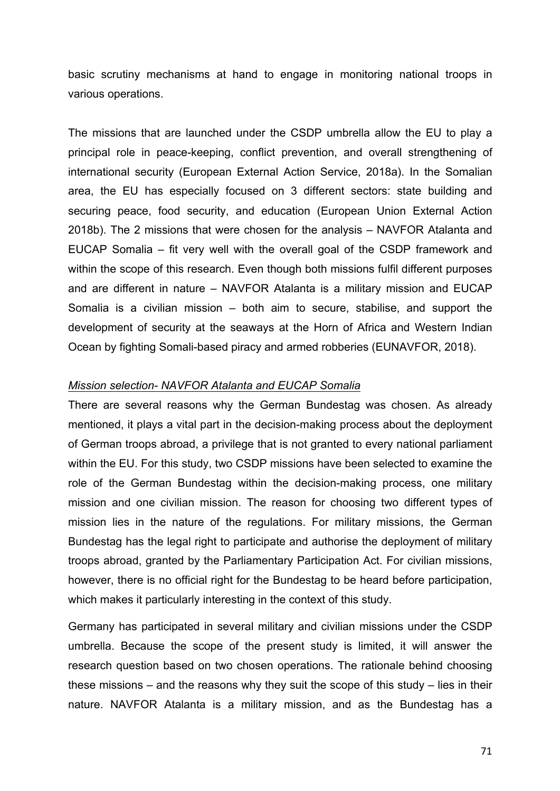basic scrutiny mechanisms at hand to engage in monitoring national troops in various operations.

The missions that are launched under the CSDP umbrella allow the EU to play a principal role in peace-keeping, conflict prevention, and overall strengthening of international security (European External Action Service, 2018a). In the Somalian area, the EU has especially focused on 3 different sectors: state building and securing peace, food security, and education (European Union External Action 2018b). The 2 missions that were chosen for the analysis – NAVFOR Atalanta and EUCAP Somalia – fit very well with the overall goal of the CSDP framework and within the scope of this research. Even though both missions fulfil different purposes and are different in nature – NAVFOR Atalanta is a military mission and EUCAP Somalia is a civilian mission – both aim to secure, stabilise, and support the development of security at the seaways at the Horn of Africa and Western Indian Ocean by fighting Somali-based piracy and armed robberies (EUNAVFOR, 2018).

### *Mission selection- NAVFOR Atalanta and EUCAP Somalia*

There are several reasons why the German Bundestag was chosen. As already mentioned, it plays a vital part in the decision-making process about the deployment of German troops abroad, a privilege that is not granted to every national parliament within the EU. For this study, two CSDP missions have been selected to examine the role of the German Bundestag within the decision-making process, one military mission and one civilian mission. The reason for choosing two different types of mission lies in the nature of the regulations. For military missions, the German Bundestag has the legal right to participate and authorise the deployment of military troops abroad, granted by the Parliamentary Participation Act. For civilian missions, however, there is no official right for the Bundestag to be heard before participation, which makes it particularly interesting in the context of this study.

Germany has participated in several military and civilian missions under the CSDP umbrella. Because the scope of the present study is limited, it will answer the research question based on two chosen operations. The rationale behind choosing these missions – and the reasons why they suit the scope of this study – lies in their nature. NAVFOR Atalanta is a military mission, and as the Bundestag has a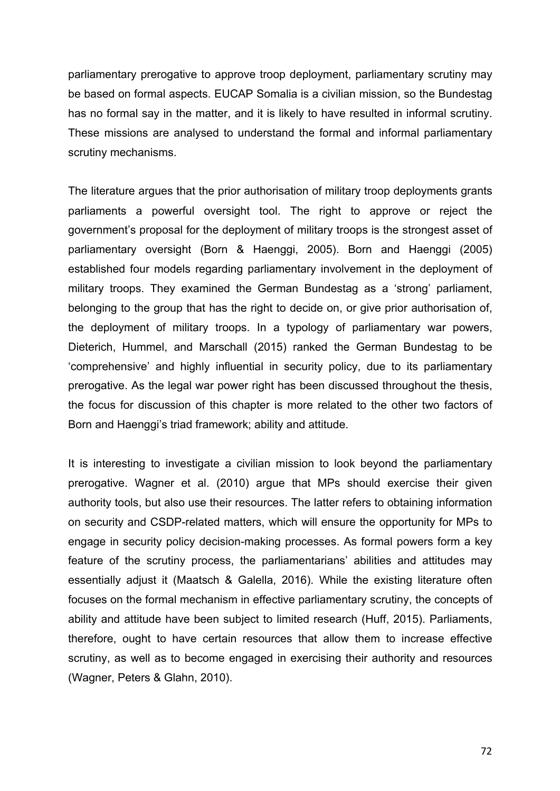parliamentary prerogative to approve troop deployment, parliamentary scrutiny may be based on formal aspects. EUCAP Somalia is a civilian mission, so the Bundestag has no formal say in the matter, and it is likely to have resulted in informal scrutiny. These missions are analysed to understand the formal and informal parliamentary scrutiny mechanisms.

The literature argues that the prior authorisation of military troop deployments grants parliaments a powerful oversight tool. The right to approve or reject the government's proposal for the deployment of military troops is the strongest asset of parliamentary oversight (Born & Haenggi, 2005). Born and Haenggi (2005) established four models regarding parliamentary involvement in the deployment of military troops. They examined the German Bundestag as a 'strong' parliament, belonging to the group that has the right to decide on, or give prior authorisation of, the deployment of military troops. In a typology of parliamentary war powers, Dieterich, Hummel, and Marschall (2015) ranked the German Bundestag to be 'comprehensive' and highly influential in security policy, due to its parliamentary prerogative. As the legal war power right has been discussed throughout the thesis, the focus for discussion of this chapter is more related to the other two factors of Born and Haenggi's triad framework; ability and attitude.

It is interesting to investigate a civilian mission to look beyond the parliamentary prerogative. Wagner et al. (2010) argue that MPs should exercise their given authority tools, but also use their resources. The latter refers to obtaining information on security and CSDP-related matters, which will ensure the opportunity for MPs to engage in security policy decision-making processes. As formal powers form a key feature of the scrutiny process, the parliamentarians' abilities and attitudes may essentially adjust it (Maatsch & Galella, 2016). While the existing literature often focuses on the formal mechanism in effective parliamentary scrutiny, the concepts of ability and attitude have been subject to limited research (Huff, 2015). Parliaments, therefore, ought to have certain resources that allow them to increase effective scrutiny, as well as to become engaged in exercising their authority and resources (Wagner, Peters & Glahn, 2010).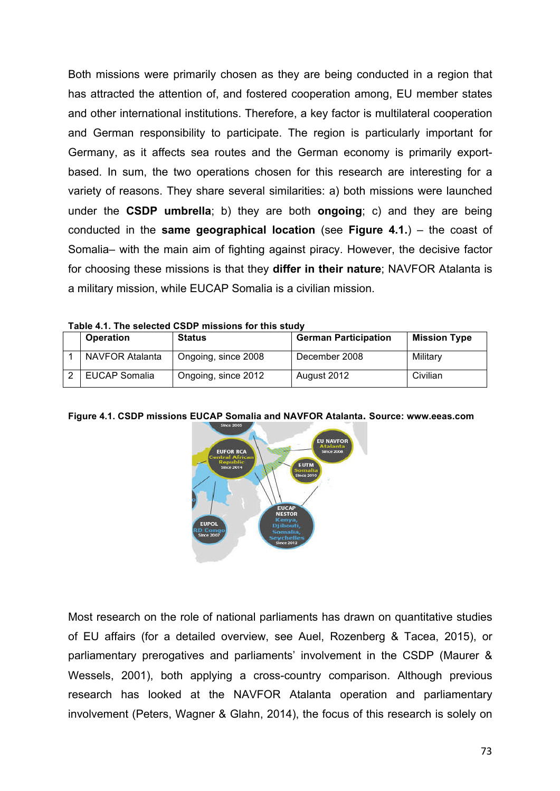Both missions were primarily chosen as they are being conducted in a region that has attracted the attention of, and fostered cooperation among, EU member states and other international institutions. Therefore, a key factor is multilateral cooperation and German responsibility to participate. The region is particularly important for Germany, as it affects sea routes and the German economy is primarily exportbased. In sum, the two operations chosen for this research are interesting for a variety of reasons. They share several similarities: a) both missions were launched under the **CSDP umbrella**; b) they are both **ongoing**; c) and they are being conducted in the **same geographical location** (see **Figure 4.1.**) – the coast of Somalia– with the main aim of fighting against piracy. However, the decisive factor for choosing these missions is that they **differ in their nature**; NAVFOR Atalanta is a military mission, while EUCAP Somalia is a civilian mission.

|  | <b>Operation</b> | <b>Status</b>       | <b>German Participation</b> | <b>Mission Type</b> |
|--|------------------|---------------------|-----------------------------|---------------------|
|  | NAVFOR Atalanta  | Ongoing, since 2008 | December 2008               | Militarv            |
|  | EUCAP Somalia    | Ongoing, since 2012 | August 2012                 | Civilian            |

**Table 4.1. The selected CSDP missions for this study**

**Figure 4.1. CSDP missions EUCAP Somalia and NAVFOR Atalanta. Source: www.eeas.com**



Most research on the role of national parliaments has drawn on quantitative studies of EU affairs (for a detailed overview, see Auel, Rozenberg & Tacea, 2015), or parliamentary prerogatives and parliaments' involvement in the CSDP (Maurer & Wessels, 2001), both applying a cross-country comparison. Although previous research has looked at the NAVFOR Atalanta operation and parliamentary involvement (Peters, Wagner & Glahn, 2014), the focus of this research is solely on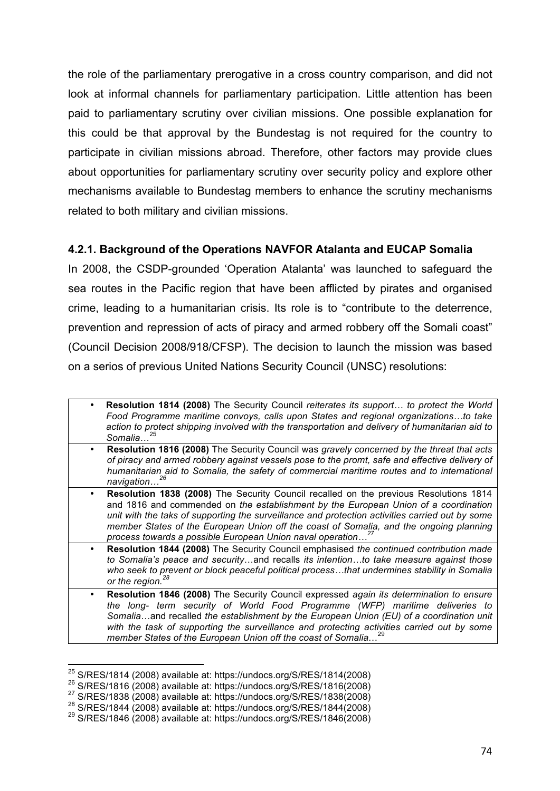the role of the parliamentary prerogative in a cross country comparison, and did not look at informal channels for parliamentary participation. Little attention has been paid to parliamentary scrutiny over civilian missions. One possible explanation for this could be that approval by the Bundestag is not required for the country to participate in civilian missions abroad. Therefore, other factors may provide clues about opportunities for parliamentary scrutiny over security policy and explore other mechanisms available to Bundestag members to enhance the scrutiny mechanisms related to both military and civilian missions.

## **4.2.1. Background of the Operations NAVFOR Atalanta and EUCAP Somalia**

In 2008, the CSDP-grounded 'Operation Atalanta' was launched to safeguard the sea routes in the Pacific region that have been afflicted by pirates and organised crime, leading to a humanitarian crisis. Its role is to "contribute to the deterrence, prevention and repression of acts of piracy and armed robbery off the Somali coast" (Council Decision 2008/918/CFSP). The decision to launch the mission was based on a serios of previous United Nations Security Council (UNSC) resolutions:

- ¥ **Resolution 1814 (2008)** The Security Council *reiterates its support… to protect the World Food Programme maritime convoys, calls upon States and regional organizations…to take action to protect shipping involved with the transportation and delivery of humanitarian aid to Somalia*… 25
- ¥ **Resolution 1816 (2008)** The Security Council was *gravely concerned by the threat that acts of piracy and armed robbery against vessels pose to the promt, safe and effective delivery of humanitarian aid to Somalia, the safety of commercial maritime routes and to international navigation…<sup>26</sup>*
- **Resolution 1838 (2008)** The Security Council recalled on the previous Resolutions 1814 and 1816 and commended on *the establishment by the European Union of a coordination unit with the taks of supporting the surveillance and protection activities carried out by some member States of the European Union off the coast of Somalia, and the ongoing planning process towards a possible European Union naval operation…<sup>27</sup>*
- ¥ **Resolution 1844 (2008)** The Security Council emphasised *the continued contribution made to Somalia's peace and security*…and recalls *its intention…to take measure against those who seek to prevent or block peaceful political process…that undermines stability in Somalia or the region.*<sup>2</sup>
- **Resolution 1846 (2008)** The Security Council expressed *again its determination to ensure the long- term security of World Food Programme (WFP) maritime deliveries to Somalia*…and recalled *the establishment by the European Union (EU) of a coordination unit with the task of supporting the surveillance and protecting activities carried out by some member States of the European Union off the coast of Somalia*… 29

 $^{25}_{\sim}$ S/RES/1814 (2008) available at: https://undocs.org/S/RES/1814(2008)

 $^{26}$  S/RES/1816 (2008) available at: https://undocs.org/S/RES/1816(2008)

<sup>27</sup> S/RES/1838 (2008) available at: https://undocs.org/S/RES/1838(2008)

 $^{28}$  S/RES/1844 (2008) available at: https://undocs.org/S/RES/1844(2008)

 $^{29}$  S/RES/1846 (2008) available at: https://undocs.org/S/RES/1846(2008)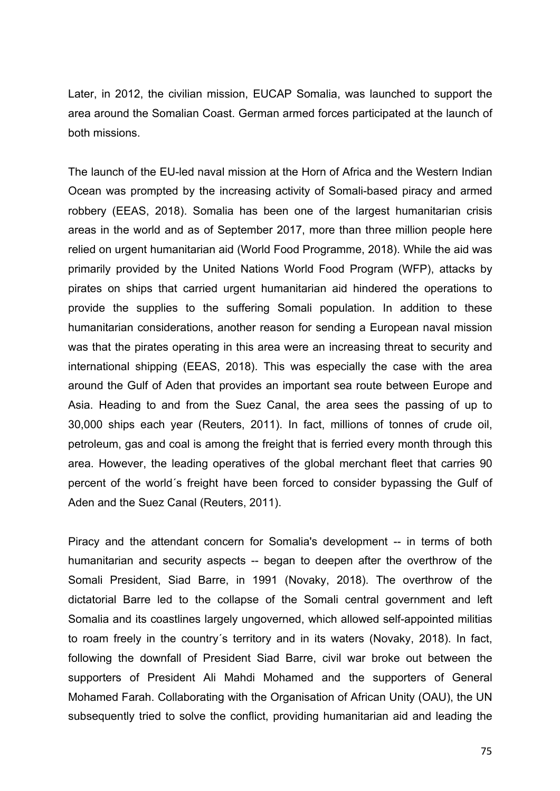Later, in 2012, the civilian mission, EUCAP Somalia, was launched to support the area around the Somalian Coast. German armed forces participated at the launch of both missions.

The launch of the EU-led naval mission at the Horn of Africa and the Western Indian Ocean was prompted by the increasing activity of Somali-based piracy and armed robbery (EEAS, 2018). Somalia has been one of the largest humanitarian crisis areas in the world and as of September 2017, more than three million people here relied on urgent humanitarian aid (World Food Programme, 2018). While the aid was primarily provided by the United Nations World Food Program (WFP), attacks by pirates on ships that carried urgent humanitarian aid hindered the operations to provide the supplies to the suffering Somali population. In addition to these humanitarian considerations, another reason for sending a European naval mission was that the pirates operating in this area were an increasing threat to security and international shipping (EEAS, 2018). This was especially the case with the area around the Gulf of Aden that provides an important sea route between Europe and Asia. Heading to and from the Suez Canal, the area sees the passing of up to 30,000 ships each year (Reuters, 2011). In fact, millions of tonnes of crude oil, petroleum, gas and coal is among the freight that is ferried every month through this area. However, the leading operatives of the global merchant fleet that carries 90 percent of the world´s freight have been forced to consider bypassing the Gulf of Aden and the Suez Canal (Reuters, 2011).

Piracy and the attendant concern for Somalia's development -- in terms of both humanitarian and security aspects -- began to deepen after the overthrow of the Somali President, Siad Barre, in 1991 (Novaky, 2018). The overthrow of the dictatorial Barre led to the collapse of the Somali central government and left Somalia and its coastlines largely ungoverned, which allowed self-appointed militias to roam freely in the country´s territory and in its waters (Novaky, 2018). In fact, following the downfall of President Siad Barre, civil war broke out between the supporters of President Ali Mahdi Mohamed and the supporters of General Mohamed Farah. Collaborating with the Organisation of African Unity (OAU), the UN subsequently tried to solve the conflict, providing humanitarian aid and leading the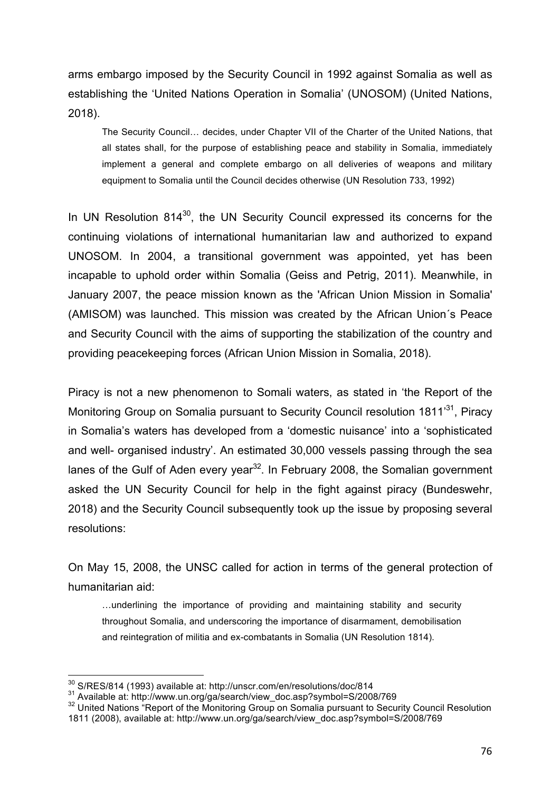arms embargo imposed by the Security Council in 1992 against Somalia as well as establishing the 'United Nations Operation in Somalia' (UNOSOM) (United Nations, 2018).

The Security Council… decides, under Chapter VII of the Charter of the United Nations, that all states shall, for the purpose of establishing peace and stability in Somalia, immediately implement a general and complete embargo on all deliveries of weapons and military equipment to Somalia until the Council decides otherwise (UN Resolution 733, 1992)

In UN Resolution 814<sup>30</sup>, the UN Security Council expressed its concerns for the continuing violations of international humanitarian law and authorized to expand UNOSOM. In 2004, a transitional government was appointed, yet has been incapable to uphold order within Somalia (Geiss and Petrig, 2011). Meanwhile, in January 2007, the peace mission known as the 'African Union Mission in Somalia' (AMISOM) was launched. This mission was created by the African Union´s Peace and Security Council with the aims of supporting the stabilization of the country and providing peacekeeping forces (African Union Mission in Somalia, 2018).

Piracy is not a new phenomenon to Somali waters, as stated in 'the Report of the Monitoring Group on Somalia pursuant to Security Council resolution 1811<sup>31</sup>, Piracy in Somalia's waters has developed from a 'domestic nuisance' into a 'sophisticated and well- organised industry'. An estimated 30,000 vessels passing through the sea lanes of the Gulf of Aden every year<sup>32</sup>. In February 2008, the Somalian government asked the UN Security Council for help in the fight against piracy (Bundeswehr, 2018) and the Security Council subsequently took up the issue by proposing several resolutions:

On May 15, 2008, the UNSC called for action in terms of the general protection of humanitarian aid:

…underlining the importance of providing and maintaining stability and security throughout Somalia, and underscoring the importance of disarmament, demobilisation and reintegration of militia and ex-combatants in Somalia (UN Resolution 1814).

 $\frac{30}{2}$  S/RES/814 (1993) available at: http://unscr.com/en/resolutions/doc/814

<sup>31</sup> Available at: http://www.un.org/ga/search/view\_doc.asp?symbol=S/2008/769

 $32$  United Nations "Report of the Monitoring Group on Somalia pursuant to Security Council Resolution 1811 (2008), available at: http://www.un.org/ga/search/view\_doc.asp?symbol=S/2008/769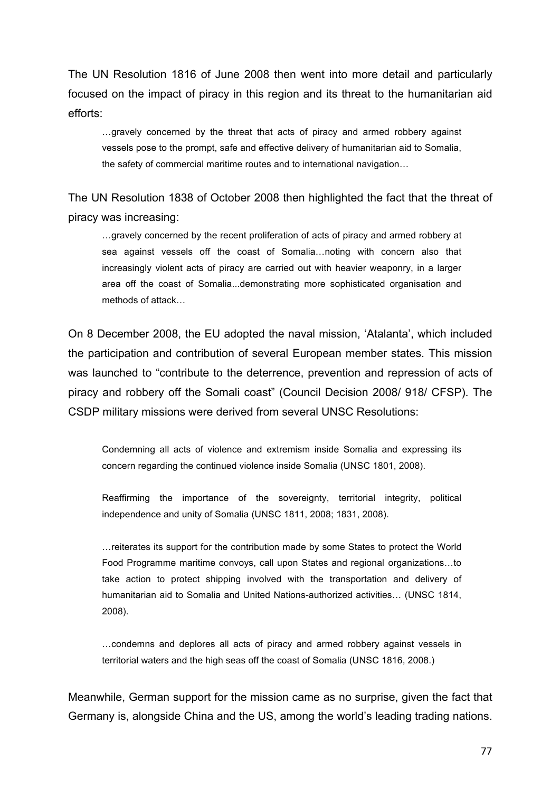The UN Resolution 1816 of June 2008 then went into more detail and particularly focused on the impact of piracy in this region and its threat to the humanitarian aid efforts:

…gravely concerned by the threat that acts of piracy and armed robbery against vessels pose to the prompt, safe and effective delivery of humanitarian aid to Somalia, the safety of commercial maritime routes and to international navigation…

The UN Resolution 1838 of October 2008 then highlighted the fact that the threat of piracy was increasing:

…gravely concerned by the recent proliferation of acts of piracy and armed robbery at sea against vessels off the coast of Somalia…noting with concern also that increasingly violent acts of piracy are carried out with heavier weaponry, in a larger area off the coast of Somalia...demonstrating more sophisticated organisation and methods of attack…

On 8 December 2008, the EU adopted the naval mission, 'Atalanta', which included the participation and contribution of several European member states. This mission was launched to "contribute to the deterrence, prevention and repression of acts of piracy and robbery off the Somali coast" (Council Decision 2008/ 918/ CFSP). The CSDP military missions were derived from several UNSC Resolutions:

Condemning all acts of violence and extremism inside Somalia and expressing its concern regarding the continued violence inside Somalia (UNSC 1801, 2008).

Reaffirming the importance of the sovereignty, territorial integrity, political independence and unity of Somalia (UNSC 1811, 2008; 1831, 2008).

…reiterates its support for the contribution made by some States to protect the World Food Programme maritime convoys, call upon States and regional organizations…to take action to protect shipping involved with the transportation and delivery of humanitarian aid to Somalia and United Nations-authorized activities… (UNSC 1814, 2008).

…condemns and deplores all acts of piracy and armed robbery against vessels in territorial waters and the high seas off the coast of Somalia (UNSC 1816, 2008.)

Meanwhile, German support for the mission came as no surprise, given the fact that Germany is, alongside China and the US, among the world's leading trading nations.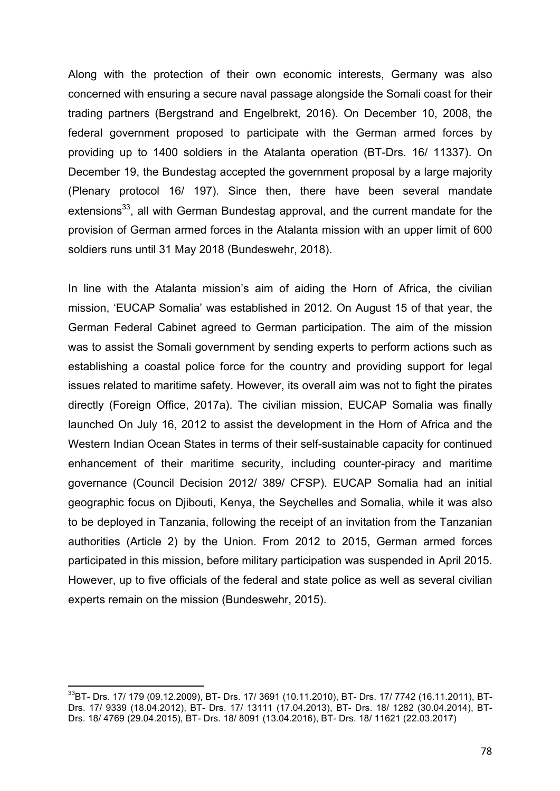Along with the protection of their own economic interests, Germany was also concerned with ensuring a secure naval passage alongside the Somali coast for their trading partners (Bergstrand and Engelbrekt, 2016). On December 10, 2008, the federal government proposed to participate with the German armed forces by providing up to 1400 soldiers in the Atalanta operation (BT-Drs. 16/ 11337). On December 19, the Bundestag accepted the government proposal by a large majority (Plenary protocol 16/ 197). Since then, there have been several mandate extensions<sup>33</sup>, all with German Bundestag approval, and the current mandate for the provision of German armed forces in the Atalanta mission with an upper limit of 600 soldiers runs until 31 May 2018 (Bundeswehr, 2018).

In line with the Atalanta mission's aim of aiding the Horn of Africa, the civilian mission, 'EUCAP Somalia' was established in 2012. On August 15 of that year, the German Federal Cabinet agreed to German participation. The aim of the mission was to assist the Somali government by sending experts to perform actions such as establishing a coastal police force for the country and providing support for legal issues related to maritime safety. However, its overall aim was not to fight the pirates directly (Foreign Office, 2017a). The civilian mission, EUCAP Somalia was finally launched On July 16, 2012 to assist the development in the Horn of Africa and the Western Indian Ocean States in terms of their self-sustainable capacity for continued enhancement of their maritime security, including counter-piracy and maritime governance (Council Decision 2012/ 389/ CFSP). EUCAP Somalia had an initial geographic focus on Djibouti, Kenya, the Seychelles and Somalia, while it was also to be deployed in Tanzania, following the receipt of an invitation from the Tanzanian authorities (Article 2) by the Union. From 2012 to 2015, German armed forces participated in this mission, before military participation was suspended in April 2015. However, up to five officials of the federal and state police as well as several civilian experts remain on the mission (Bundeswehr, 2015).

<sup>33</sup>BT- Drs. 17/ 179 (09.12.2009), BT- Drs. 17/ 3691 (10.11.2010), BT- Drs. 17/ 7742 (16.11.2011), BT-Drs. 17/ 9339 (18.04.2012), BT- Drs. 17/ 13111 (17.04.2013), BT- Drs. 18/ 1282 (30.04.2014), BT-Drs. 18/ 4769 (29.04.2015), BT- Drs. 18/ 8091 (13.04.2016), BT- Drs. 18/ 11621 (22.03.2017)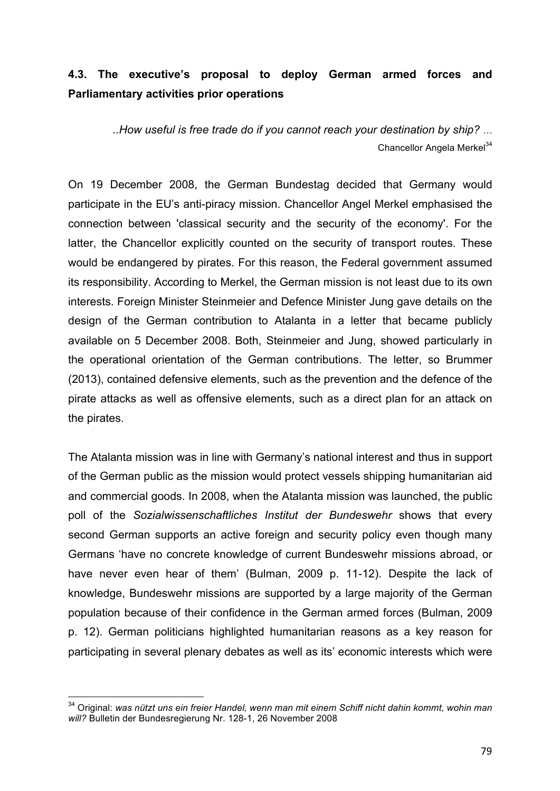# **4.3. The executive's proposal to deploy German armed forces and Parliamentary activities prior operations**

*..How useful is free trade do if you cannot reach your destination by ship? …* Chancellor Angela Merkel<sup>34</sup>

On 19 December 2008, the German Bundestag decided that Germany would participate in the EU's anti-piracy mission. Chancellor Angel Merkel emphasised the connection between 'classical security and the security of the economy'. For the latter, the Chancellor explicitly counted on the security of transport routes. These would be endangered by pirates. For this reason, the Federal government assumed its responsibility. According to Merkel, the German mission is not least due to its own interests. Foreign Minister Steinmeier and Defence Minister Jung gave details on the design of the German contribution to Atalanta in a letter that became publicly available on 5 December 2008. Both, Steinmeier and Jung, showed particularly in the operational orientation of the German contributions. The letter, so Brummer (2013), contained defensive elements, such as the prevention and the defence of the pirate attacks as well as offensive elements, such as a direct plan for an attack on the pirates.

The Atalanta mission was in line with Germany's national interest and thus in support of the German public as the mission would protect vessels shipping humanitarian aid and commercial goods. In 2008, when the Atalanta mission was launched, the public poll of the *Sozialwissenschaftliches Institut der Bundeswehr* shows that every second German supports an active foreign and security policy even though many Germans 'have no concrete knowledge of current Bundeswehr missions abroad, or have never even hear of them' (Bulman, 2009 p. 11-12). Despite the lack of knowledge, Bundeswehr missions are supported by a large majority of the German population because of their confidence in the German armed forces (Bulman, 2009 p. 12). German politicians highlighted humanitarian reasons as a key reason for participating in several plenary debates as well as its' economic interests which were

<sup>34</sup> Original: *was nützt uns ein freier Handel, wenn man mit einem Schiff nicht dahin kommt, wohin man will?* Bulletin der Bundesregierung Nr. 128-1, 26 November 2008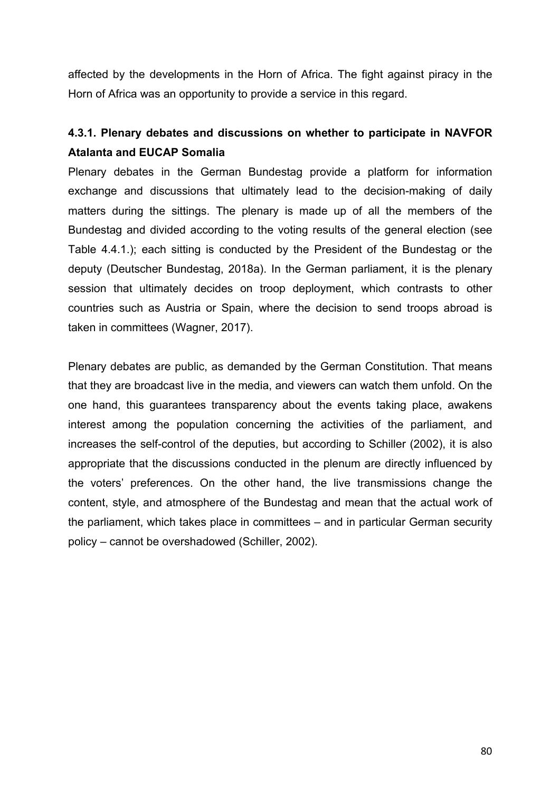affected by the developments in the Horn of Africa. The fight against piracy in the Horn of Africa was an opportunity to provide a service in this regard.

# **4.3.1. Plenary debates and discussions on whether to participate in NAVFOR Atalanta and EUCAP Somalia**

Plenary debates in the German Bundestag provide a platform for information exchange and discussions that ultimately lead to the decision-making of daily matters during the sittings. The plenary is made up of all the members of the Bundestag and divided according to the voting results of the general election (see Table 4.4.1.); each sitting is conducted by the President of the Bundestag or the deputy (Deutscher Bundestag, 2018a). In the German parliament, it is the plenary session that ultimately decides on troop deployment, which contrasts to other countries such as Austria or Spain, where the decision to send troops abroad is taken in committees (Wagner, 2017).

Plenary debates are public, as demanded by the German Constitution. That means that they are broadcast live in the media, and viewers can watch them unfold. On the one hand, this guarantees transparency about the events taking place, awakens interest among the population concerning the activities of the parliament, and increases the self-control of the deputies, but according to Schiller (2002), it is also appropriate that the discussions conducted in the plenum are directly influenced by the voters' preferences. On the other hand, the live transmissions change the content, style, and atmosphere of the Bundestag and mean that the actual work of the parliament, which takes place in committees – and in particular German security policy – cannot be overshadowed (Schiller, 2002).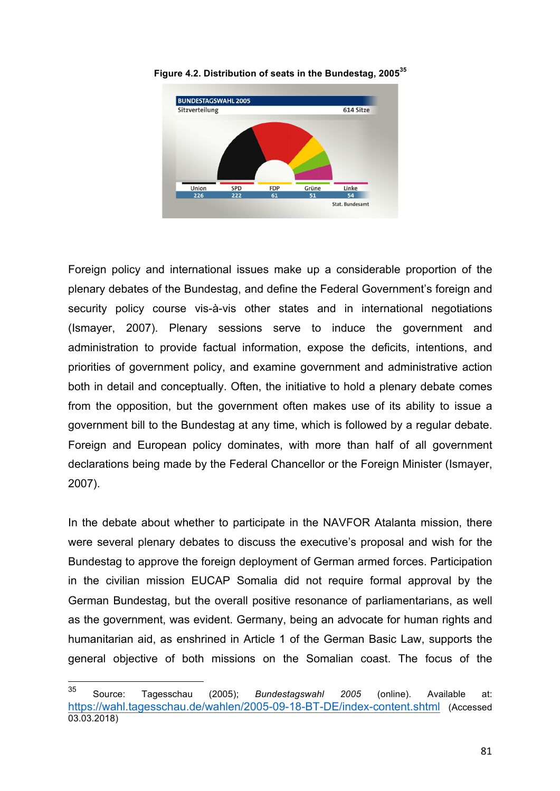

**Figure 4.2. Distribution of seats in the Bundestag, 2005<sup>35</sup>**

Foreign policy and international issues make up a considerable proportion of the plenary debates of the Bundestag, and define the Federal Government's foreign and security policy course vis-à-vis other states and in international negotiations (Ismayer, 2007). Plenary sessions serve to induce the government and administration to provide factual information, expose the deficits, intentions, and priorities of government policy, and examine government and administrative action both in detail and conceptually. Often, the initiative to hold a plenary debate comes from the opposition, but the government often makes use of its ability to issue a government bill to the Bundestag at any time, which is followed by a regular debate. Foreign and European policy dominates, with more than half of all government declarations being made by the Federal Chancellor or the Foreign Minister (Ismayer, 2007).

In the debate about whether to participate in the NAVFOR Atalanta mission, there were several plenary debates to discuss the executive's proposal and wish for the Bundestag to approve the foreign deployment of German armed forces. Participation in the civilian mission EUCAP Somalia did not require formal approval by the German Bundestag, but the overall positive resonance of parliamentarians, as well as the government, was evident. Germany, being an advocate for human rights and humanitarian aid, as enshrined in Article 1 of the German Basic Law, supports the general objective of both missions on the Somalian coast. The focus of the

<sup>35</sup> Source: Tagesschau (2005); *Bundestagswahl 2005* (online). Available at: https://wahl.tagesschau.de/wahlen/2005-09-18-BT-DE/index-content.shtml (Accessed 03.03.2018)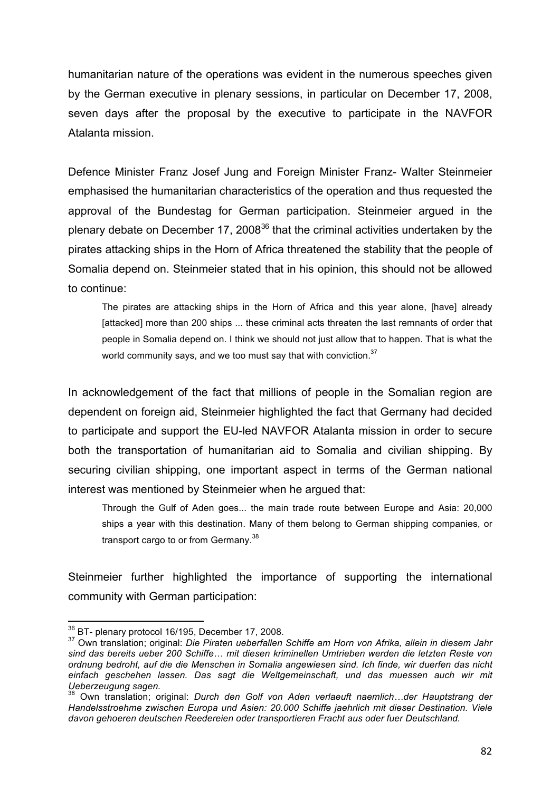humanitarian nature of the operations was evident in the numerous speeches given by the German executive in plenary sessions, in particular on December 17, 2008, seven days after the proposal by the executive to participate in the NAVFOR Atalanta mission.

Defence Minister Franz Josef Jung and Foreign Minister Franz- Walter Steinmeier emphasised the humanitarian characteristics of the operation and thus requested the approval of the Bundestag for German participation. Steinmeier argued in the plenary debate on December 17, 2008<sup>36</sup> that the criminal activities undertaken by the pirates attacking ships in the Horn of Africa threatened the stability that the people of Somalia depend on. Steinmeier stated that in his opinion, this should not be allowed to continue:

The pirates are attacking ships in the Horn of Africa and this year alone, [have] already [attacked] more than 200 ships ... these criminal acts threaten the last remnants of order that people in Somalia depend on. I think we should not just allow that to happen. That is what the world community says, and we too must say that with conviction.<sup>37</sup>

In acknowledgement of the fact that millions of people in the Somalian region are dependent on foreign aid, Steinmeier highlighted the fact that Germany had decided to participate and support the EU-led NAVFOR Atalanta mission in order to secure both the transportation of humanitarian aid to Somalia and civilian shipping. By securing civilian shipping, one important aspect in terms of the German national interest was mentioned by Steinmeier when he argued that:

Through the Gulf of Aden goes... the main trade route between Europe and Asia: 20,000 ships a year with this destination. Many of them belong to German shipping companies, or transport cargo to or from Germany.<sup>38</sup>

Steinmeier further highlighted the importance of supporting the international community with German participation:

<sup>&</sup>lt;sup>36</sup> BT- plenary protocol 16/195, December 17, 2008.

<sup>37</sup> Own translation; original: *Die Piraten ueberfallen Schiffe am Horn von Afrika, allein in diesem Jahr sind das bereits ueber 200 Schiffe… mit diesen kriminellen Umtrieben werden die letzten Reste von ordnung bedroht, auf die die Menschen in Somalia angewiesen sind. Ich finde, wir duerfen das nicht einfach geschehen lassen. Das sagt die Weltgemeinschaft, und das muessen auch wir mit Ueberzeugung sagen.*

<sup>38</sup> Own translation; original: *Durch den Golf von Aden verlaeuft naemlich…der Hauptstrang der Handelsstroehme zwischen Europa und Asien: 20.000 Schiffe jaehrlich mit dieser Destination. Viele davon gehoeren deutschen Reedereien oder transportieren Fracht aus oder fuer Deutschland.*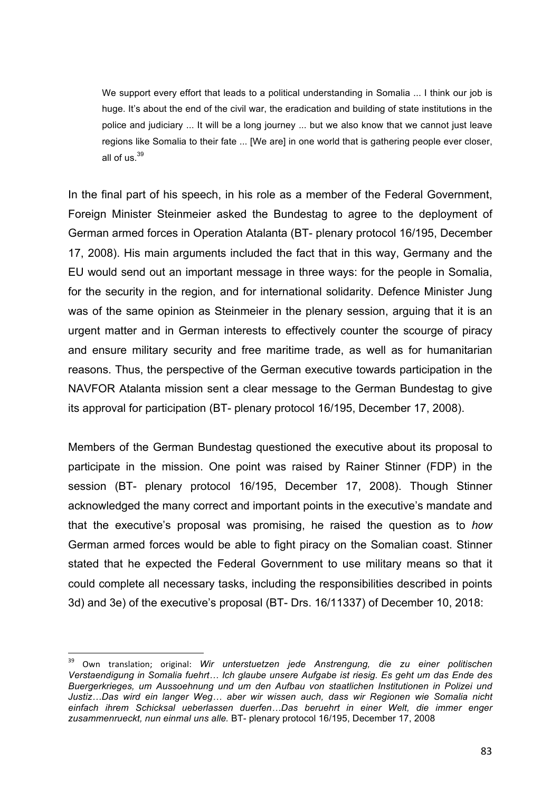We support every effort that leads to a political understanding in Somalia ... I think our job is huge. It's about the end of the civil war, the eradication and building of state institutions in the police and judiciary ... It will be a long journey ... but we also know that we cannot just leave regions like Somalia to their fate ... [We are] in one world that is gathering people ever closer, all of us. $39$ 

In the final part of his speech, in his role as a member of the Federal Government, Foreign Minister Steinmeier asked the Bundestag to agree to the deployment of German armed forces in Operation Atalanta (BT- plenary protocol 16/195, December 17, 2008). His main arguments included the fact that in this way, Germany and the EU would send out an important message in three ways: for the people in Somalia, for the security in the region, and for international solidarity. Defence Minister Jung was of the same opinion as Steinmeier in the plenary session, arguing that it is an urgent matter and in German interests to effectively counter the scourge of piracy and ensure military security and free maritime trade, as well as for humanitarian reasons. Thus, the perspective of the German executive towards participation in the NAVFOR Atalanta mission sent a clear message to the German Bundestag to give its approval for participation (BT- plenary protocol 16/195, December 17, 2008).

Members of the German Bundestag questioned the executive about its proposal to participate in the mission. One point was raised by Rainer Stinner (FDP) in the session (BT- plenary protocol 16/195, December 17, 2008). Though Stinner acknowledged the many correct and important points in the executive's mandate and that the executive's proposal was promising, he raised the question as to *how* German armed forces would be able to fight piracy on the Somalian coast. Stinner stated that he expected the Federal Government to use military means so that it could complete all necessary tasks, including the responsibilities described in points 3d) and 3e) of the executive's proposal (BT- Drs. 16/11337) of December 10, 2018:

<sup>&</sup>lt;sup>39</sup> Own translation; original: *Wir unterstuetzen jede Anstrengung, die zu einer politischen Verstaendigung in Somalia fuehrt… Ich glaube unsere Aufgabe ist riesig. Es geht um das Ende des Buergerkrieges, um Aussoehnung und um den Aufbau von staatlichen Institutionen in Polizei und Justiz…Das wird ein langer Weg… aber wir wissen auch, dass wir Regionen wie Somalia nicht einfach ihrem Schicksal ueberlassen duerfen…Das beruehrt in einer Welt, die immer enger zusammenrueckt, nun einmal uns alle.* BT- plenary protocol 16/195, December 17, 2008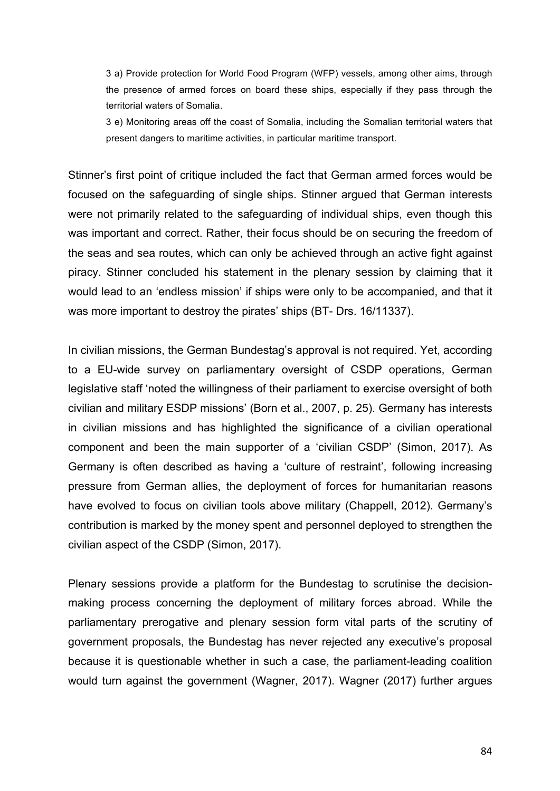3 a) Provide protection for World Food Program (WFP) vessels, among other aims, through the presence of armed forces on board these ships, especially if they pass through the territorial waters of Somalia.

3 e) Monitoring areas off the coast of Somalia, including the Somalian territorial waters that present dangers to maritime activities, in particular maritime transport.

Stinner's first point of critique included the fact that German armed forces would be focused on the safeguarding of single ships. Stinner argued that German interests were not primarily related to the safeguarding of individual ships, even though this was important and correct. Rather, their focus should be on securing the freedom of the seas and sea routes, which can only be achieved through an active fight against piracy. Stinner concluded his statement in the plenary session by claiming that it would lead to an 'endless mission' if ships were only to be accompanied, and that it was more important to destroy the pirates' ships (BT- Drs. 16/11337).

In civilian missions, the German Bundestag's approval is not required. Yet, according to a EU-wide survey on parliamentary oversight of CSDP operations, German legislative staff 'noted the willingness of their parliament to exercise oversight of both civilian and military ESDP missions' (Born et al., 2007, p. 25). Germany has interests in civilian missions and has highlighted the significance of a civilian operational component and been the main supporter of a 'civilian CSDP' (Simon, 2017). As Germany is often described as having a 'culture of restraint', following increasing pressure from German allies, the deployment of forces for humanitarian reasons have evolved to focus on civilian tools above military (Chappell, 2012). Germany's contribution is marked by the money spent and personnel deployed to strengthen the civilian aspect of the CSDP (Simon, 2017).

Plenary sessions provide a platform for the Bundestag to scrutinise the decisionmaking process concerning the deployment of military forces abroad. While the parliamentary prerogative and plenary session form vital parts of the scrutiny of government proposals, the Bundestag has never rejected any executive's proposal because it is questionable whether in such a case, the parliament-leading coalition would turn against the government (Wagner, 2017). Wagner (2017) further argues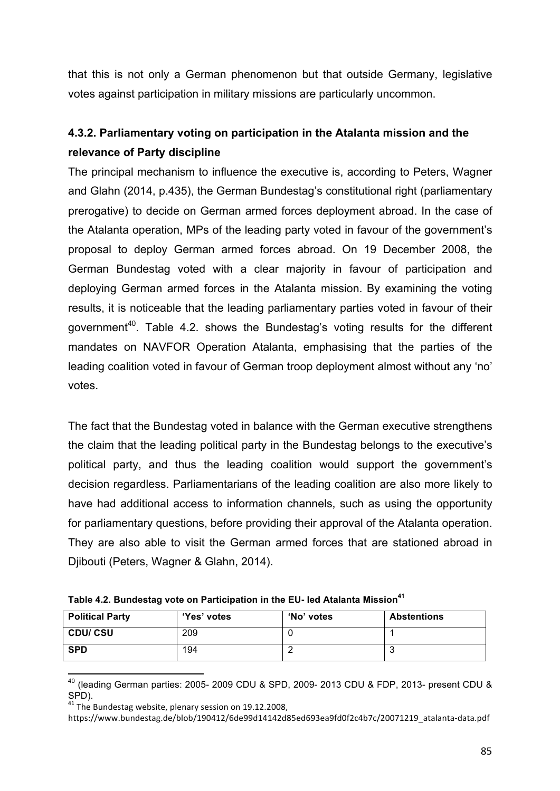that this is not only a German phenomenon but that outside Germany, legislative votes against participation in military missions are particularly uncommon.

# **4.3.2. Parliamentary voting on participation in the Atalanta mission and the relevance of Party discipline**

The principal mechanism to influence the executive is, according to Peters, Wagner and Glahn (2014, p.435), the German Bundestag's constitutional right (parliamentary prerogative) to decide on German armed forces deployment abroad. In the case of the Atalanta operation, MPs of the leading party voted in favour of the government's proposal to deploy German armed forces abroad. On 19 December 2008, the German Bundestag voted with a clear majority in favour of participation and deploying German armed forces in the Atalanta mission. By examining the voting results, it is noticeable that the leading parliamentary parties voted in favour of their government<sup>40</sup>. Table 4.2. shows the Bundestag's voting results for the different mandates on NAVFOR Operation Atalanta, emphasising that the parties of the leading coalition voted in favour of German troop deployment almost without any 'no' votes.

The fact that the Bundestag voted in balance with the German executive strengthens the claim that the leading political party in the Bundestag belongs to the executive's political party, and thus the leading coalition would support the government's decision regardless. Parliamentarians of the leading coalition are also more likely to have had additional access to information channels, such as using the opportunity for parliamentary questions, before providing their approval of the Atalanta operation. They are also able to visit the German armed forces that are stationed abroad in Djibouti (Peters, Wagner & Glahn, 2014).

| Table 4.2. Bundestag vote on Participation in the EU- led Atalanta Mission <sup>41</sup> |  |  |  |  |
|------------------------------------------------------------------------------------------|--|--|--|--|
|------------------------------------------------------------------------------------------|--|--|--|--|

| <b>Political Party</b> | 'Yes' votes | 'No' votes | <b>Abstentions</b> |
|------------------------|-------------|------------|--------------------|
| <b>CDU/CSU</b>         | 209         |            |                    |
| <b>SPD</b>             | 194         |            |                    |

 $^{40}$  (leading German parties: 2005- 2009 CDU & SPD, 2009- 2013 CDU & FDP, 2013- present CDU & SPD).

 $41$  The Bundestag website, plenary session on 19.12.2008,

https://www.bundestag.de/blob/190412/6de99d14142d85ed693ea9fd0f2c4b7c/20071219\_atalanta-data.pdf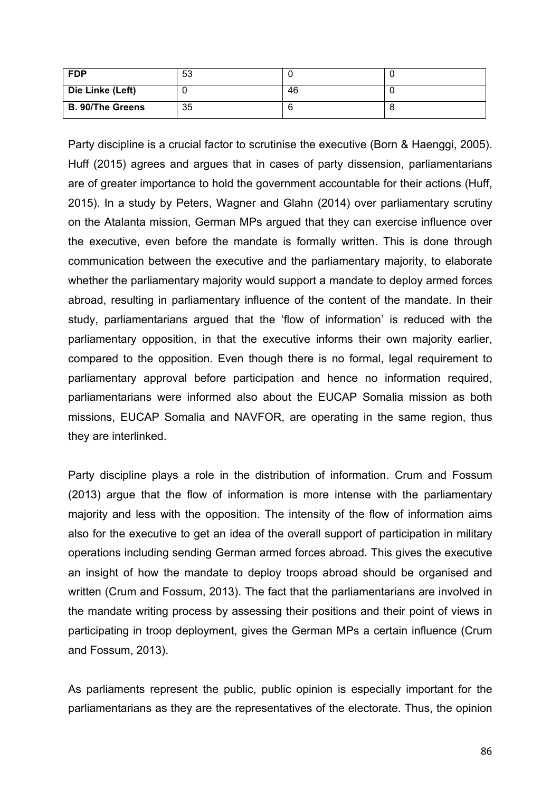| <b>FDP</b>              | 53 |    |  |
|-------------------------|----|----|--|
| Die Linke (Left)        |    | 46 |  |
| <b>B. 90/The Greens</b> | 35 |    |  |

Party discipline is a crucial factor to scrutinise the executive (Born & Haenggi, 2005). Huff (2015) agrees and argues that in cases of party dissension, parliamentarians are of greater importance to hold the government accountable for their actions (Huff, 2015). In a study by Peters, Wagner and Glahn (2014) over parliamentary scrutiny on the Atalanta mission, German MPs argued that they can exercise influence over the executive, even before the mandate is formally written. This is done through communication between the executive and the parliamentary majority, to elaborate whether the parliamentary majority would support a mandate to deploy armed forces abroad, resulting in parliamentary influence of the content of the mandate. In their study, parliamentarians argued that the 'flow of information' is reduced with the parliamentary opposition, in that the executive informs their own majority earlier, compared to the opposition. Even though there is no formal, legal requirement to parliamentary approval before participation and hence no information required, parliamentarians were informed also about the EUCAP Somalia mission as both missions, EUCAP Somalia and NAVFOR, are operating in the same region, thus they are interlinked.

Party discipline plays a role in the distribution of information. Crum and Fossum (2013) argue that the flow of information is more intense with the parliamentary majority and less with the opposition. The intensity of the flow of information aims also for the executive to get an idea of the overall support of participation in military operations including sending German armed forces abroad. This gives the executive an insight of how the mandate to deploy troops abroad should be organised and written (Crum and Fossum, 2013). The fact that the parliamentarians are involved in the mandate writing process by assessing their positions and their point of views in participating in troop deployment, gives the German MPs a certain influence (Crum and Fossum, 2013).

As parliaments represent the public, public opinion is especially important for the parliamentarians as they are the representatives of the electorate. Thus, the opinion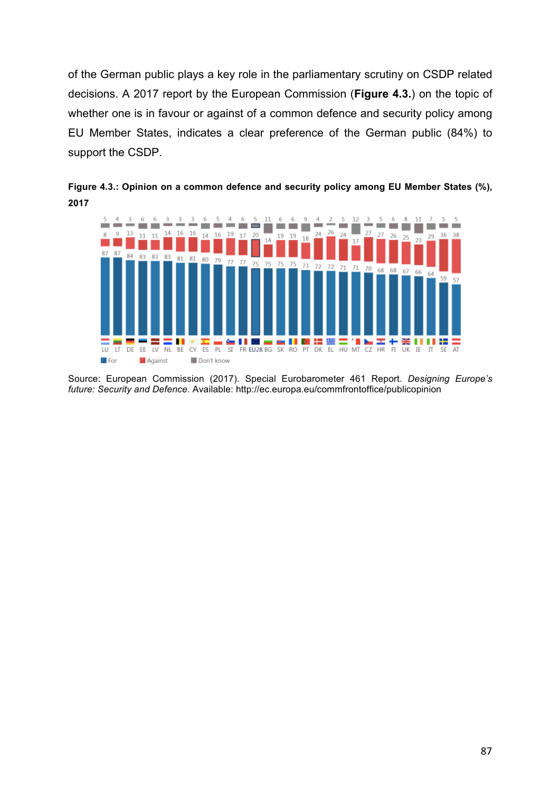of the German public plays a key role in the parliamentary scrutiny on CSDP related decisions. A 2017 report by the European Commission (**Figure 4.3.**) on the topic of whether one is in favour or against of a common defence and security policy among EU Member States, indicates a clear preference of the German public (84%) to support the CSDP.



**Figure 4.3.: Opinion on a common defence and security policy among EU Member States (%), 2017**

Source: European Commission (2017). Special Eurobarometer 461 Report. *Designing Europe's future: Security and Defence*. Available: http://ec.europa.eu/commfrontoffice/publicopinion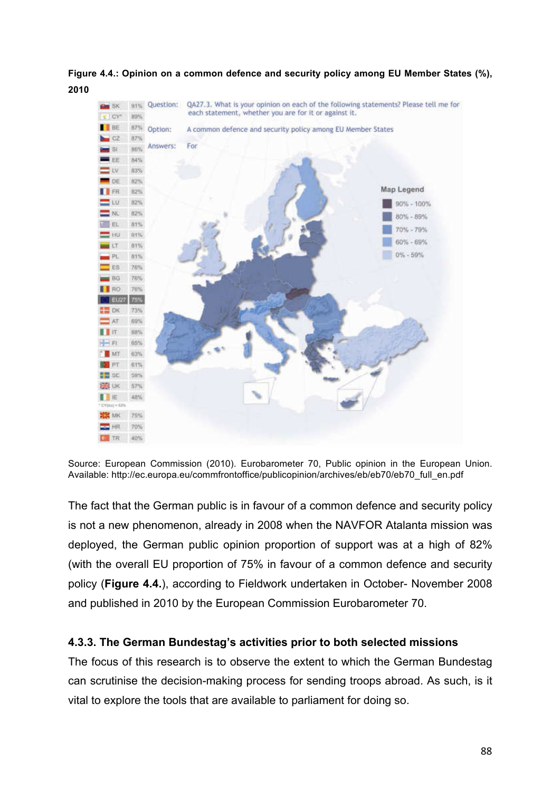**Figure 4.4.: Opinion on a common defence and security policy among EU Member States (%), 2010**



Source: European Commission (2010). Eurobarometer 70, Public opinion in the European Union. Available: http://ec.europa.eu/commfrontoffice/publicopinion/archives/eb/eb70/eb70\_full\_en.pdf

The fact that the German public is in favour of a common defence and security policy is not a new phenomenon, already in 2008 when the NAVFOR Atalanta mission was deployed, the German public opinion proportion of support was at a high of 82% (with the overall EU proportion of 75% in favour of a common defence and security policy (**Figure 4.4.**), according to Fieldwork undertaken in October- November 2008 and published in 2010 by the European Commission Eurobarometer 70.

## **4.3.3. The German Bundestag's activities prior to both selected missions**

The focus of this research is to observe the extent to which the German Bundestag can scrutinise the decision-making process for sending troops abroad. As such, is it vital to explore the tools that are available to parliament for doing so.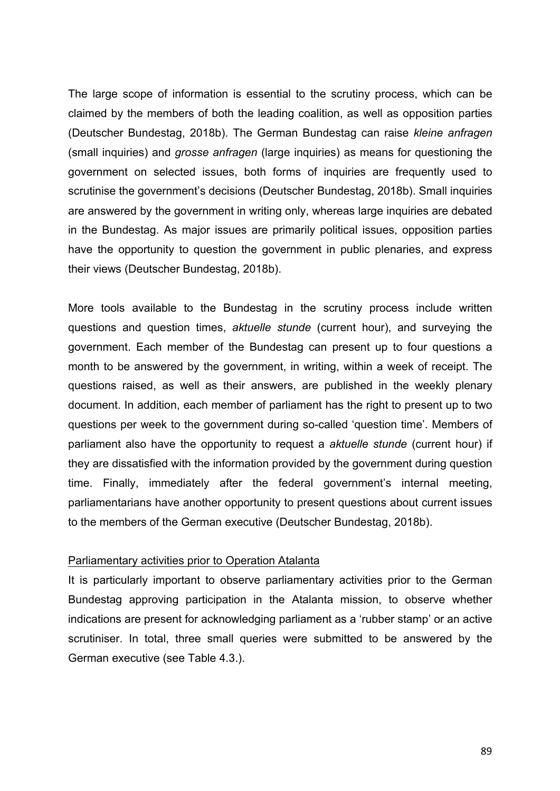The large scope of information is essential to the scrutiny process, which can be claimed by the members of both the leading coalition, as well as opposition parties (Deutscher Bundestag, 2018b). The German Bundestag can raise *kleine anfragen* (small inquiries) and *grosse anfragen* (large inquiries) as means for questioning the government on selected issues, both forms of inquiries are frequently used to scrutinise the government's decisions (Deutscher Bundestag, 2018b). Small inquiries are answered by the government in writing only, whereas large inquiries are debated in the Bundestag. As major issues are primarily political issues, opposition parties have the opportunity to question the government in public plenaries, and express their views (Deutscher Bundestag, 2018b).

More tools available to the Bundestag in the scrutiny process include written questions and question times, *aktuelle stunde* (current hour), and surveying the government. Each member of the Bundestag can present up to four questions a month to be answered by the government, in writing, within a week of receipt. The questions raised, as well as their answers, are published in the weekly plenary document. In addition, each member of parliament has the right to present up to two questions per week to the government during so-called 'question time'. Members of parliament also have the opportunity to request a *aktuelle stunde* (current hour) if they are dissatisfied with the information provided by the government during question time. Finally, immediately after the federal government's internal meeting, parliamentarians have another opportunity to present questions about current issues to the members of the German executive (Deutscher Bundestag, 2018b).

### Parliamentary activities prior to Operation Atalanta

It is particularly important to observe parliamentary activities prior to the German Bundestag approving participation in the Atalanta mission, to observe whether indications are present for acknowledging parliament as a 'rubber stamp' or an active scrutiniser. In total, three small queries were submitted to be answered by the German executive (see Table 4.3.).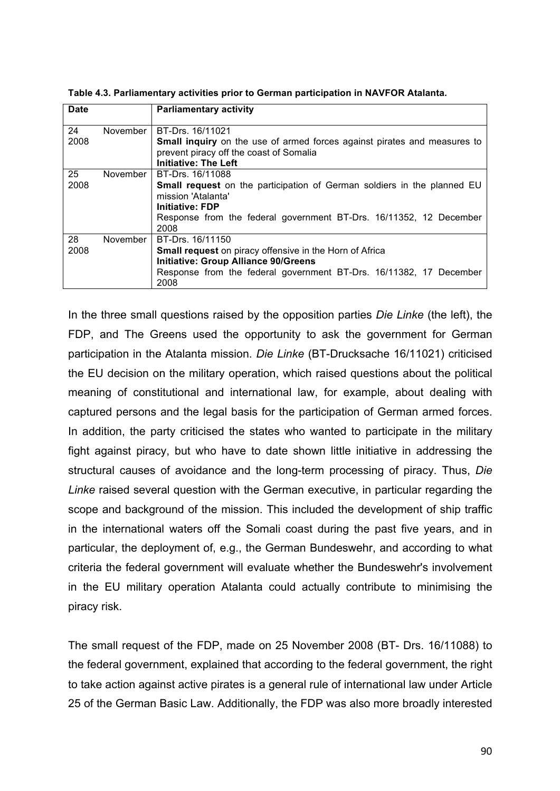| <b>Date</b> |          | <b>Parliamentary activity</b>                                                                                                                                                                                                    |
|-------------|----------|----------------------------------------------------------------------------------------------------------------------------------------------------------------------------------------------------------------------------------|
| 24<br>2008  | November | BT-Drs. 16/11021<br><b>Small inquiry</b> on the use of armed forces against pirates and measures to<br>prevent piracy off the coast of Somalia<br><b>Initiative: The Left</b>                                                    |
| 25<br>2008  | November | BT-Drs. 16/11088<br><b>Small request</b> on the participation of German soldiers in the planned EU<br>mission 'Atalanta'<br><b>Initiative: FDP</b><br>Response from the federal government BT-Drs. 16/11352, 12 December<br>2008 |
| 28<br>2008  | November | BT-Drs. 16/11150<br><b>Small request</b> on piracy offensive in the Horn of Africa<br><b>Initiative: Group Alliance 90/Greens</b><br>Response from the federal government BT-Drs. 16/11382, 17 December<br>2008                  |

**Table 4.3. Parliamentary activities prior to German participation in NAVFOR Atalanta.**

In the three small questions raised by the opposition parties *Die Linke* (the left), the FDP, and The Greens used the opportunity to ask the government for German participation in the Atalanta mission. *Die Linke* (BT-Drucksache 16/11021) criticised the EU decision on the military operation, which raised questions about the political meaning of constitutional and international law, for example, about dealing with captured persons and the legal basis for the participation of German armed forces. In addition, the party criticised the states who wanted to participate in the military fight against piracy, but who have to date shown little initiative in addressing the structural causes of avoidance and the long-term processing of piracy. Thus, *Die Linke* raised several question with the German executive, in particular regarding the scope and background of the mission. This included the development of ship traffic in the international waters off the Somali coast during the past five years, and in particular, the deployment of, e.g., the German Bundeswehr, and according to what criteria the federal government will evaluate whether the Bundeswehr's involvement in the EU military operation Atalanta could actually contribute to minimising the piracy risk.

The small request of the FDP, made on 25 November 2008 (BT- Drs. 16/11088) to the federal government, explained that according to the federal government, the right to take action against active pirates is a general rule of international law under Article 25 of the German Basic Law. Additionally, the FDP was also more broadly interested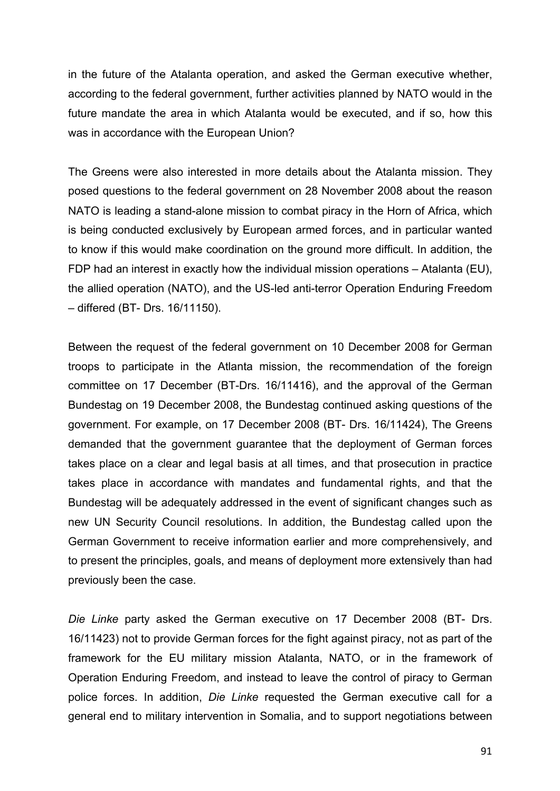in the future of the Atalanta operation, and asked the German executive whether, according to the federal government, further activities planned by NATO would in the future mandate the area in which Atalanta would be executed, and if so, how this was in accordance with the European Union?

The Greens were also interested in more details about the Atalanta mission. They posed questions to the federal government on 28 November 2008 about the reason NATO is leading a stand-alone mission to combat piracy in the Horn of Africa, which is being conducted exclusively by European armed forces, and in particular wanted to know if this would make coordination on the ground more difficult. In addition, the FDP had an interest in exactly how the individual mission operations – Atalanta (EU), the allied operation (NATO), and the US-led anti-terror Operation Enduring Freedom – differed (BT- Drs. 16/11150).

Between the request of the federal government on 10 December 2008 for German troops to participate in the Atlanta mission, the recommendation of the foreign committee on 17 December (BT-Drs. 16/11416), and the approval of the German Bundestag on 19 December 2008, the Bundestag continued asking questions of the government. For example, on 17 December 2008 (BT- Drs. 16/11424), The Greens demanded that the government guarantee that the deployment of German forces takes place on a clear and legal basis at all times, and that prosecution in practice takes place in accordance with mandates and fundamental rights, and that the Bundestag will be adequately addressed in the event of significant changes such as new UN Security Council resolutions. In addition, the Bundestag called upon the German Government to receive information earlier and more comprehensively, and to present the principles, goals, and means of deployment more extensively than had previously been the case.

*Die Linke* party asked the German executive on 17 December 2008 (BT- Drs. 16/11423) not to provide German forces for the fight against piracy, not as part of the framework for the EU military mission Atalanta, NATO, or in the framework of Operation Enduring Freedom, and instead to leave the control of piracy to German police forces. In addition, *Die Linke* requested the German executive call for a general end to military intervention in Somalia, and to support negotiations between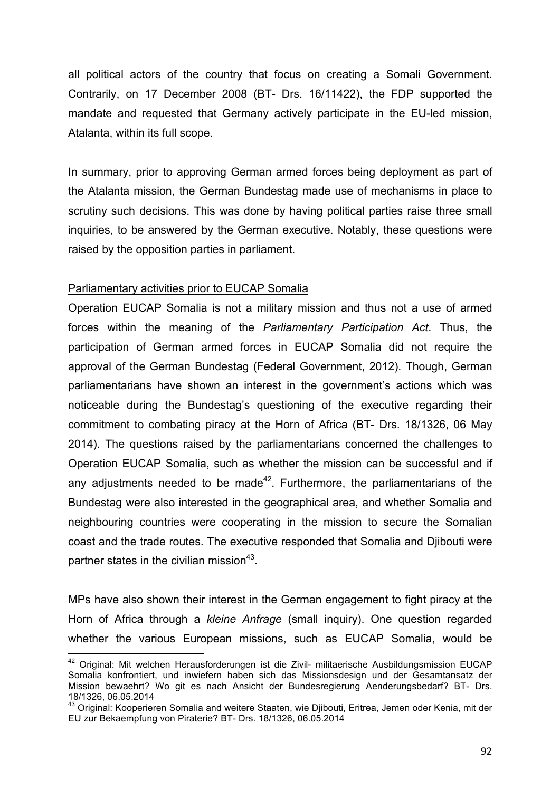all political actors of the country that focus on creating a Somali Government. Contrarily, on 17 December 2008 (BT- Drs. 16/11422), the FDP supported the mandate and requested that Germany actively participate in the EU-led mission, Atalanta, within its full scope.

In summary, prior to approving German armed forces being deployment as part of the Atalanta mission, the German Bundestag made use of mechanisms in place to scrutiny such decisions. This was done by having political parties raise three small inquiries, to be answered by the German executive. Notably, these questions were raised by the opposition parties in parliament.

## Parliamentary activities prior to EUCAP Somalia

 

Operation EUCAP Somalia is not a military mission and thus not a use of armed forces within the meaning of the *Parliamentary Participation Act*. Thus, the participation of German armed forces in EUCAP Somalia did not require the approval of the German Bundestag (Federal Government, 2012). Though, German parliamentarians have shown an interest in the government's actions which was noticeable during the Bundestag's questioning of the executive regarding their commitment to combating piracy at the Horn of Africa (BT- Drs. 18/1326, 06 May 2014). The questions raised by the parliamentarians concerned the challenges to Operation EUCAP Somalia, such as whether the mission can be successful and if any adjustments needed to be made<sup>42</sup>. Furthermore, the parliamentarians of the Bundestag were also interested in the geographical area, and whether Somalia and neighbouring countries were cooperating in the mission to secure the Somalian coast and the trade routes. The executive responded that Somalia and Djibouti were partner states in the civilian mission $43$ .

MPs have also shown their interest in the German engagement to fight piracy at the Horn of Africa through a *kleine Anfrage* (small inquiry). One question regarded whether the various European missions, such as EUCAP Somalia, would be

<sup>&</sup>lt;sup>42</sup> Original: Mit welchen Herausforderungen ist die Zivil- militaerische Ausbildungsmission EUCAP Somalia konfrontiert, und inwiefern haben sich das Missionsdesign und der Gesamtansatz der Mission bewaehrt? Wo git es nach Ansicht der Bundesregierung Aenderungsbedarf? BT- Drs. 18/1326, 06.05.2014

<sup>&</sup>lt;sup>43</sup> Original: Kooperieren Somalia and weitere Staaten, wie Diibouti, Eritrea, Jemen oder Kenia, mit der EU zur Bekaempfung von Piraterie? BT- Drs. 18/1326, 06.05.2014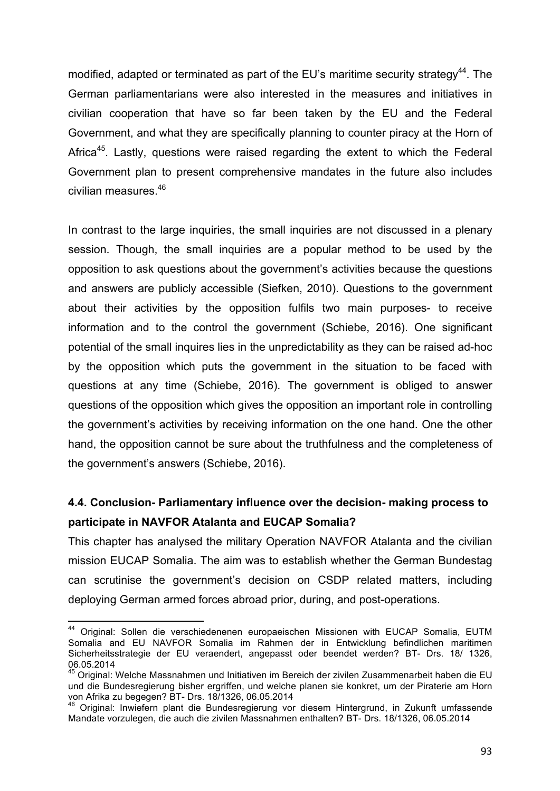modified, adapted or terminated as part of the EU's maritime security strategy<sup>44</sup>. The German parliamentarians were also interested in the measures and initiatives in civilian cooperation that have so far been taken by the EU and the Federal Government, and what they are specifically planning to counter piracy at the Horn of Africa<sup>45</sup>. Lastly, questions were raised regarding the extent to which the Federal Government plan to present comprehensive mandates in the future also includes civilian measures.<sup>46</sup>

In contrast to the large inquiries, the small inquiries are not discussed in a plenary session. Though, the small inquiries are a popular method to be used by the opposition to ask questions about the government's activities because the questions and answers are publicly accessible (Siefken, 2010). Questions to the government about their activities by the opposition fulfils two main purposes- to receive information and to the control the government (Schiebe, 2016). One significant potential of the small inquires lies in the unpredictability as they can be raised ad-hoc by the opposition which puts the government in the situation to be faced with questions at any time (Schiebe, 2016). The government is obliged to answer questions of the opposition which gives the opposition an important role in controlling the government's activities by receiving information on the one hand. One the other hand, the opposition cannot be sure about the truthfulness and the completeness of the government's answers (Schiebe, 2016).

# **4.4. Conclusion- Parliamentary influence over the decision- making process to participate in NAVFOR Atalanta and EUCAP Somalia?**

This chapter has analysed the military Operation NAVFOR Atalanta and the civilian mission EUCAP Somalia. The aim was to establish whether the German Bundestag can scrutinise the government's decision on CSDP related matters, including deploying German armed forces abroad prior, during, and post-operations.

<sup>&</sup>lt;sup>44</sup> Original: Sollen die verschiedenenen europaeischen Missionen with EUCAP Somalia, EUTM Somalia and EU NAVFOR Somalia im Rahmen der in Entwicklung befindlichen maritimen Sicherheitsstrategie der EU veraendert, angepasst oder beendet werden? BT- Drs. 18/ 1326, 06.05.2014

<sup>&</sup>lt;sup>45</sup> Original: Welche Massnahmen und Initiativen im Bereich der zivilen Zusammenarbeit haben die EU und die Bundesregierung bisher ergriffen, und welche planen sie konkret, um der Piraterie am Horn von Afrika zu begegen? BT- Drs. 18/1326, 06.05.2014

<sup>&</sup>lt;sup>46</sup> Original: Inwiefern plant die Bundesregierung vor diesem Hintergrund, in Zukunft umfassende Mandate vorzulegen, die auch die zivilen Massnahmen enthalten? BT- Drs. 18/1326, 06.05.2014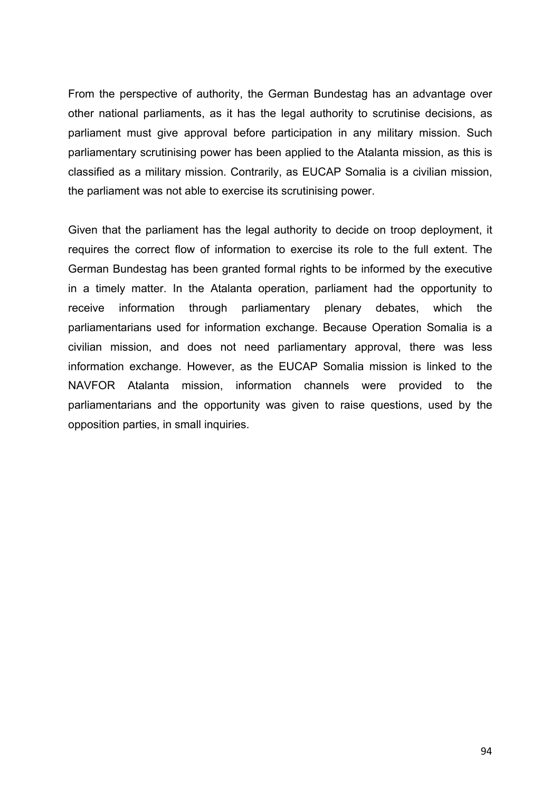From the perspective of authority, the German Bundestag has an advantage over other national parliaments, as it has the legal authority to scrutinise decisions, as parliament must give approval before participation in any military mission. Such parliamentary scrutinising power has been applied to the Atalanta mission, as this is classified as a military mission. Contrarily, as EUCAP Somalia is a civilian mission, the parliament was not able to exercise its scrutinising power.

Given that the parliament has the legal authority to decide on troop deployment, it requires the correct flow of information to exercise its role to the full extent. The German Bundestag has been granted formal rights to be informed by the executive in a timely matter. In the Atalanta operation, parliament had the opportunity to receive information through parliamentary plenary debates, which the parliamentarians used for information exchange. Because Operation Somalia is a civilian mission, and does not need parliamentary approval, there was less information exchange. However, as the EUCAP Somalia mission is linked to the NAVFOR Atalanta mission, information channels were provided to the parliamentarians and the opportunity was given to raise questions, used by the opposition parties, in small inquiries.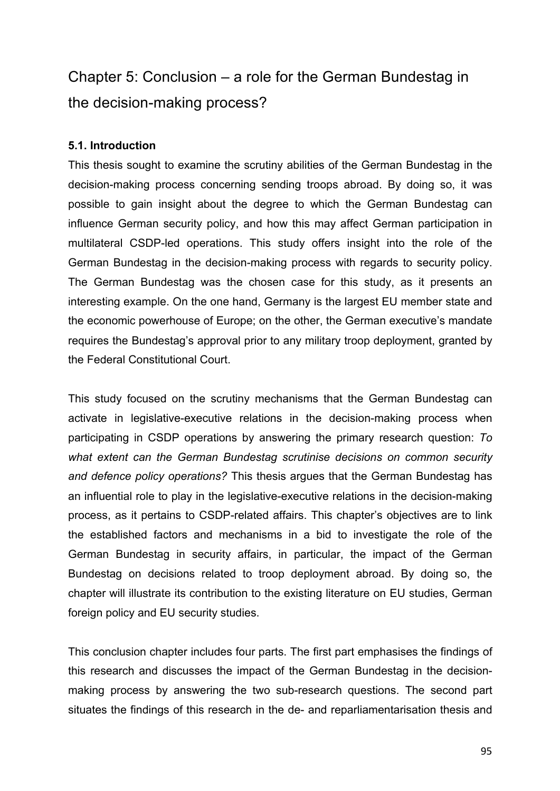# Chapter 5: Conclusion – a role for the German Bundestag in the decision-making process?

## **5.1. Introduction**

This thesis sought to examine the scrutiny abilities of the German Bundestag in the decision-making process concerning sending troops abroad. By doing so, it was possible to gain insight about the degree to which the German Bundestag can influence German security policy, and how this may affect German participation in multilateral CSDP-led operations. This study offers insight into the role of the German Bundestag in the decision-making process with regards to security policy. The German Bundestag was the chosen case for this study, as it presents an interesting example. On the one hand, Germany is the largest EU member state and the economic powerhouse of Europe; on the other, the German executive's mandate requires the Bundestag's approval prior to any military troop deployment, granted by the Federal Constitutional Court.

This study focused on the scrutiny mechanisms that the German Bundestag can activate in legislative-executive relations in the decision-making process when participating in CSDP operations by answering the primary research question: *To what extent can the German Bundestag scrutinise decisions on common security and defence policy operations?* This thesis argues that the German Bundestag has an influential role to play in the legislative-executive relations in the decision-making process, as it pertains to CSDP-related affairs. This chapter's objectives are to link the established factors and mechanisms in a bid to investigate the role of the German Bundestag in security affairs, in particular, the impact of the German Bundestag on decisions related to troop deployment abroad. By doing so, the chapter will illustrate its contribution to the existing literature on EU studies, German foreign policy and EU security studies.

This conclusion chapter includes four parts. The first part emphasises the findings of this research and discusses the impact of the German Bundestag in the decisionmaking process by answering the two sub-research questions. The second part situates the findings of this research in the de- and reparliamentarisation thesis and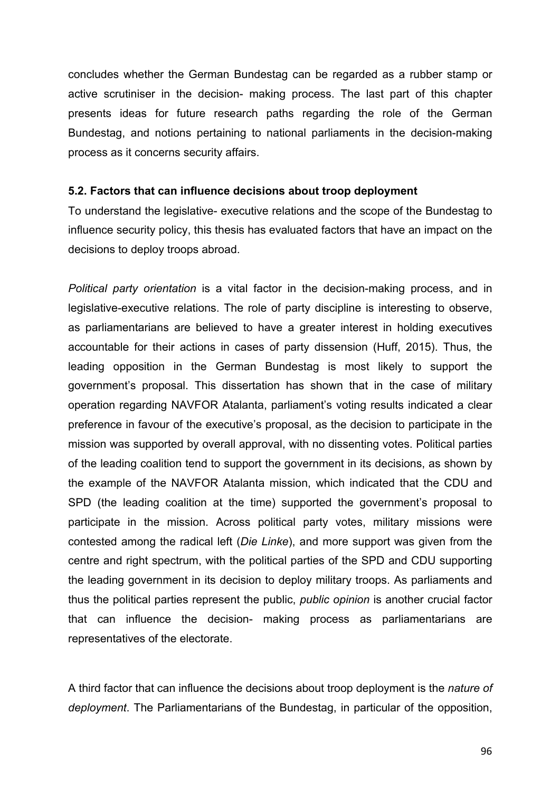concludes whether the German Bundestag can be regarded as a rubber stamp or active scrutiniser in the decision- making process. The last part of this chapter presents ideas for future research paths regarding the role of the German Bundestag, and notions pertaining to national parliaments in the decision-making process as it concerns security affairs.

### **5.2. Factors that can influence decisions about troop deployment**

To understand the legislative- executive relations and the scope of the Bundestag to influence security policy, this thesis has evaluated factors that have an impact on the decisions to deploy troops abroad.

*Political party orientation* is a vital factor in the decision-making process, and in legislative-executive relations. The role of party discipline is interesting to observe, as parliamentarians are believed to have a greater interest in holding executives accountable for their actions in cases of party dissension (Huff, 2015). Thus, the leading opposition in the German Bundestag is most likely to support the government's proposal. This dissertation has shown that in the case of military operation regarding NAVFOR Atalanta, parliament's voting results indicated a clear preference in favour of the executive's proposal, as the decision to participate in the mission was supported by overall approval, with no dissenting votes. Political parties of the leading coalition tend to support the government in its decisions, as shown by the example of the NAVFOR Atalanta mission, which indicated that the CDU and SPD (the leading coalition at the time) supported the government's proposal to participate in the mission. Across political party votes, military missions were contested among the radical left (*Die Linke*), and more support was given from the centre and right spectrum, with the political parties of the SPD and CDU supporting the leading government in its decision to deploy military troops. As parliaments and thus the political parties represent the public, *public opinion* is another crucial factor that can influence the decision- making process as parliamentarians are representatives of the electorate.

A third factor that can influence the decisions about troop deployment is the *nature of deployment*. The Parliamentarians of the Bundestag, in particular of the opposition,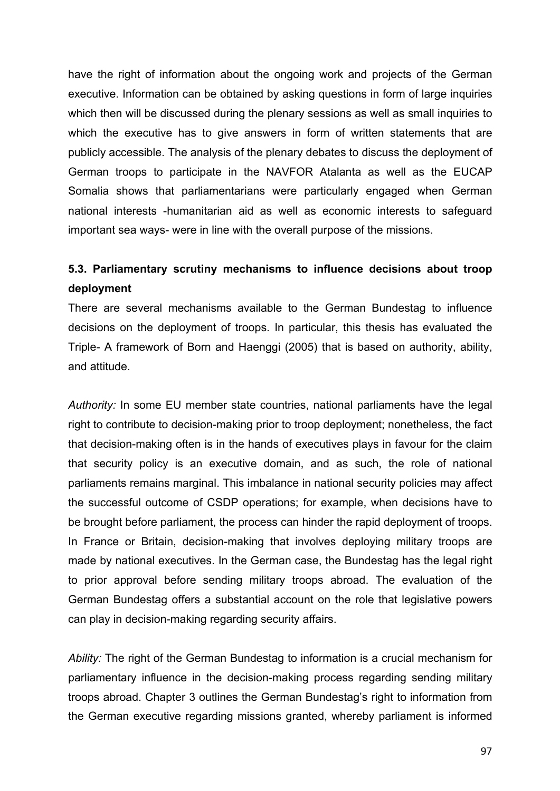have the right of information about the ongoing work and projects of the German executive. Information can be obtained by asking questions in form of large inquiries which then will be discussed during the plenary sessions as well as small inquiries to which the executive has to give answers in form of written statements that are publicly accessible. The analysis of the plenary debates to discuss the deployment of German troops to participate in the NAVFOR Atalanta as well as the EUCAP Somalia shows that parliamentarians were particularly engaged when German national interests -humanitarian aid as well as economic interests to safeguard important sea ways- were in line with the overall purpose of the missions.

# **5.3. Parliamentary scrutiny mechanisms to influence decisions about troop deployment**

There are several mechanisms available to the German Bundestag to influence decisions on the deployment of troops. In particular, this thesis has evaluated the Triple- A framework of Born and Haenggi (2005) that is based on authority, ability, and attitude.

*Authority:* In some EU member state countries, national parliaments have the legal right to contribute to decision-making prior to troop deployment; nonetheless, the fact that decision-making often is in the hands of executives plays in favour for the claim that security policy is an executive domain, and as such, the role of national parliaments remains marginal. This imbalance in national security policies may affect the successful outcome of CSDP operations; for example, when decisions have to be brought before parliament, the process can hinder the rapid deployment of troops. In France or Britain, decision-making that involves deploying military troops are made by national executives. In the German case, the Bundestag has the legal right to prior approval before sending military troops abroad. The evaluation of the German Bundestag offers a substantial account on the role that legislative powers can play in decision-making regarding security affairs.

*Ability:* The right of the German Bundestag to information is a crucial mechanism for parliamentary influence in the decision-making process regarding sending military troops abroad. Chapter 3 outlines the German Bundestag's right to information from the German executive regarding missions granted, whereby parliament is informed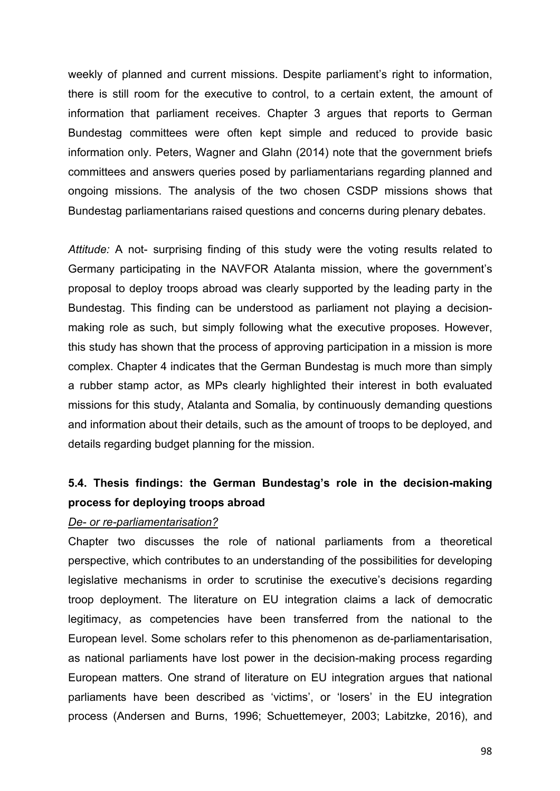weekly of planned and current missions. Despite parliament's right to information, there is still room for the executive to control, to a certain extent, the amount of information that parliament receives. Chapter 3 argues that reports to German Bundestag committees were often kept simple and reduced to provide basic information only. Peters, Wagner and Glahn (2014) note that the government briefs committees and answers queries posed by parliamentarians regarding planned and ongoing missions. The analysis of the two chosen CSDP missions shows that Bundestag parliamentarians raised questions and concerns during plenary debates.

*Attitude:* A not- surprising finding of this study were the voting results related to Germany participating in the NAVFOR Atalanta mission, where the government's proposal to deploy troops abroad was clearly supported by the leading party in the Bundestag. This finding can be understood as parliament not playing a decisionmaking role as such, but simply following what the executive proposes. However, this study has shown that the process of approving participation in a mission is more complex. Chapter 4 indicates that the German Bundestag is much more than simply a rubber stamp actor, as MPs clearly highlighted their interest in both evaluated missions for this study, Atalanta and Somalia, by continuously demanding questions and information about their details, such as the amount of troops to be deployed, and details regarding budget planning for the mission.

# **5.4. Thesis findings: the German Bundestag's role in the decision-making process for deploying troops abroad**

#### *De- or re-parliamentarisation?*

Chapter two discusses the role of national parliaments from a theoretical perspective, which contributes to an understanding of the possibilities for developing legislative mechanisms in order to scrutinise the executive's decisions regarding troop deployment. The literature on EU integration claims a lack of democratic legitimacy, as competencies have been transferred from the national to the European level. Some scholars refer to this phenomenon as de-parliamentarisation, as national parliaments have lost power in the decision-making process regarding European matters. One strand of literature on EU integration argues that national parliaments have been described as 'victims', or 'losers' in the EU integration process (Andersen and Burns, 1996; Schuettemeyer, 2003; Labitzke, 2016), and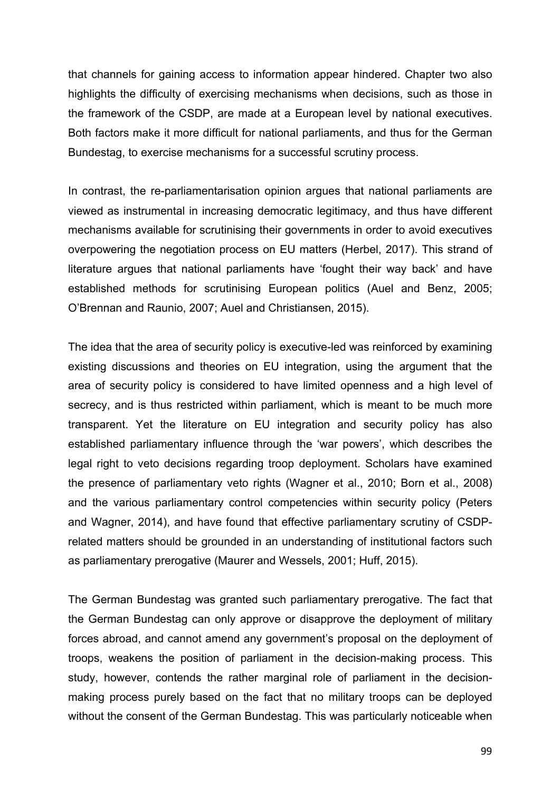that channels for gaining access to information appear hindered. Chapter two also highlights the difficulty of exercising mechanisms when decisions, such as those in the framework of the CSDP, are made at a European level by national executives. Both factors make it more difficult for national parliaments, and thus for the German Bundestag, to exercise mechanisms for a successful scrutiny process.

In contrast, the re-parliamentarisation opinion argues that national parliaments are viewed as instrumental in increasing democratic legitimacy, and thus have different mechanisms available for scrutinising their governments in order to avoid executives overpowering the negotiation process on EU matters (Herbel, 2017). This strand of literature argues that national parliaments have 'fought their way back' and have established methods for scrutinising European politics (Auel and Benz, 2005; O'Brennan and Raunio, 2007; Auel and Christiansen, 2015).

The idea that the area of security policy is executive-led was reinforced by examining existing discussions and theories on EU integration, using the argument that the area of security policy is considered to have limited openness and a high level of secrecy, and is thus restricted within parliament, which is meant to be much more transparent. Yet the literature on EU integration and security policy has also established parliamentary influence through the 'war powers', which describes the legal right to veto decisions regarding troop deployment. Scholars have examined the presence of parliamentary veto rights (Wagner et al., 2010; Born et al., 2008) and the various parliamentary control competencies within security policy (Peters and Wagner, 2014), and have found that effective parliamentary scrutiny of CSDPrelated matters should be grounded in an understanding of institutional factors such as parliamentary prerogative (Maurer and Wessels, 2001; Huff, 2015).

The German Bundestag was granted such parliamentary prerogative. The fact that the German Bundestag can only approve or disapprove the deployment of military forces abroad, and cannot amend any government's proposal on the deployment of troops, weakens the position of parliament in the decision-making process. This study, however, contends the rather marginal role of parliament in the decisionmaking process purely based on the fact that no military troops can be deployed without the consent of the German Bundestag. This was particularly noticeable when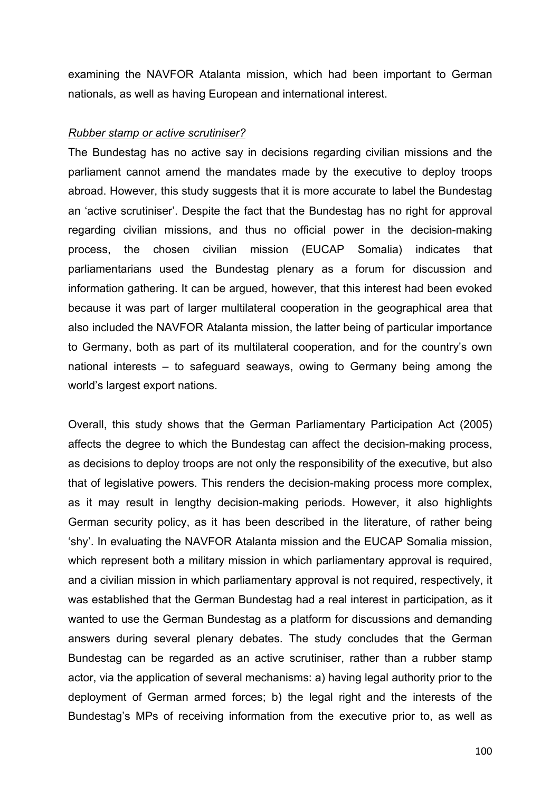examining the NAVFOR Atalanta mission, which had been important to German nationals, as well as having European and international interest.

### *Rubber stamp or active scrutiniser?*

The Bundestag has no active say in decisions regarding civilian missions and the parliament cannot amend the mandates made by the executive to deploy troops abroad. However, this study suggests that it is more accurate to label the Bundestag an 'active scrutiniser'. Despite the fact that the Bundestag has no right for approval regarding civilian missions, and thus no official power in the decision-making process, the chosen civilian mission (EUCAP Somalia) indicates that parliamentarians used the Bundestag plenary as a forum for discussion and information gathering. It can be argued, however, that this interest had been evoked because it was part of larger multilateral cooperation in the geographical area that also included the NAVFOR Atalanta mission, the latter being of particular importance to Germany, both as part of its multilateral cooperation, and for the country's own national interests – to safeguard seaways, owing to Germany being among the world's largest export nations.

Overall, this study shows that the German Parliamentary Participation Act (2005) affects the degree to which the Bundestag can affect the decision-making process, as decisions to deploy troops are not only the responsibility of the executive, but also that of legislative powers. This renders the decision-making process more complex, as it may result in lengthy decision-making periods. However, it also highlights German security policy, as it has been described in the literature, of rather being 'shy'. In evaluating the NAVFOR Atalanta mission and the EUCAP Somalia mission, which represent both a military mission in which parliamentary approval is required, and a civilian mission in which parliamentary approval is not required, respectively, it was established that the German Bundestag had a real interest in participation, as it wanted to use the German Bundestag as a platform for discussions and demanding answers during several plenary debates. The study concludes that the German Bundestag can be regarded as an active scrutiniser, rather than a rubber stamp actor, via the application of several mechanisms: a) having legal authority prior to the deployment of German armed forces; b) the legal right and the interests of the Bundestag's MPs of receiving information from the executive prior to, as well as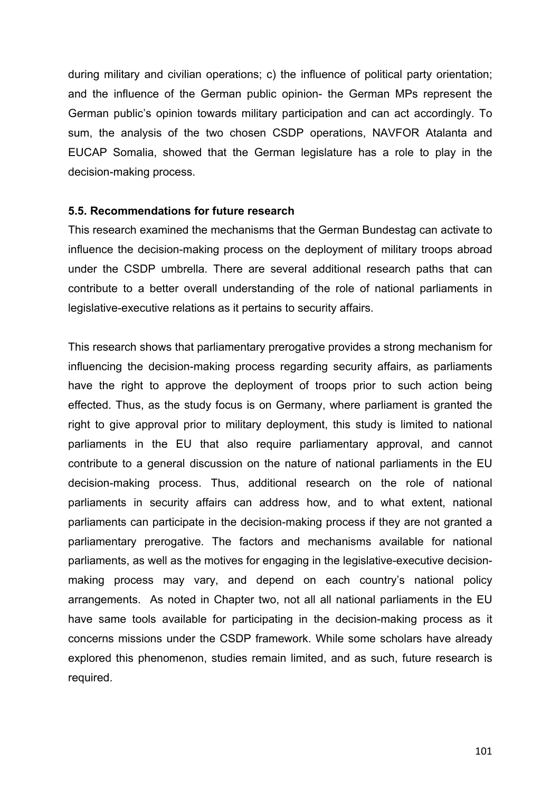during military and civilian operations; c) the influence of political party orientation; and the influence of the German public opinion- the German MPs represent the German public's opinion towards military participation and can act accordingly. To sum, the analysis of the two chosen CSDP operations, NAVFOR Atalanta and EUCAP Somalia, showed that the German legislature has a role to play in the decision-making process.

## **5.5. Recommendations for future research**

This research examined the mechanisms that the German Bundestag can activate to influence the decision-making process on the deployment of military troops abroad under the CSDP umbrella. There are several additional research paths that can contribute to a better overall understanding of the role of national parliaments in legislative-executive relations as it pertains to security affairs.

This research shows that parliamentary prerogative provides a strong mechanism for influencing the decision-making process regarding security affairs, as parliaments have the right to approve the deployment of troops prior to such action being effected. Thus, as the study focus is on Germany, where parliament is granted the right to give approval prior to military deployment, this study is limited to national parliaments in the EU that also require parliamentary approval, and cannot contribute to a general discussion on the nature of national parliaments in the EU decision-making process. Thus, additional research on the role of national parliaments in security affairs can address how, and to what extent, national parliaments can participate in the decision-making process if they are not granted a parliamentary prerogative. The factors and mechanisms available for national parliaments, as well as the motives for engaging in the legislative-executive decisionmaking process may vary, and depend on each country's national policy arrangements. As noted in Chapter two, not all all national parliaments in the EU have same tools available for participating in the decision-making process as it concerns missions under the CSDP framework. While some scholars have already explored this phenomenon, studies remain limited, and as such, future research is required.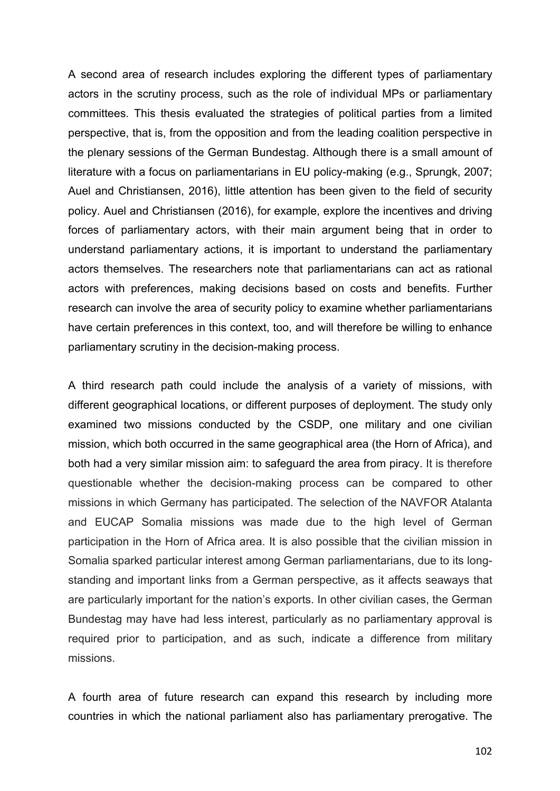A second area of research includes exploring the different types of parliamentary actors in the scrutiny process, such as the role of individual MPs or parliamentary committees. This thesis evaluated the strategies of political parties from a limited perspective, that is, from the opposition and from the leading coalition perspective in the plenary sessions of the German Bundestag. Although there is a small amount of literature with a focus on parliamentarians in EU policy-making (e.g., Sprungk, 2007; Auel and Christiansen, 2016), little attention has been given to the field of security policy. Auel and Christiansen (2016), for example, explore the incentives and driving forces of parliamentary actors, with their main argument being that in order to understand parliamentary actions, it is important to understand the parliamentary actors themselves. The researchers note that parliamentarians can act as rational actors with preferences, making decisions based on costs and benefits. Further research can involve the area of security policy to examine whether parliamentarians have certain preferences in this context, too, and will therefore be willing to enhance parliamentary scrutiny in the decision-making process.

A third research path could include the analysis of a variety of missions, with different geographical locations, or different purposes of deployment. The study only examined two missions conducted by the CSDP, one military and one civilian mission, which both occurred in the same geographical area (the Horn of Africa), and both had a very similar mission aim: to safeguard the area from piracy. It is therefore questionable whether the decision-making process can be compared to other missions in which Germany has participated. The selection of the NAVFOR Atalanta and EUCAP Somalia missions was made due to the high level of German participation in the Horn of Africa area. It is also possible that the civilian mission in Somalia sparked particular interest among German parliamentarians, due to its longstanding and important links from a German perspective, as it affects seaways that are particularly important for the nation's exports. In other civilian cases, the German Bundestag may have had less interest, particularly as no parliamentary approval is required prior to participation, and as such, indicate a difference from military missions.

A fourth area of future research can expand this research by including more countries in which the national parliament also has parliamentary prerogative. The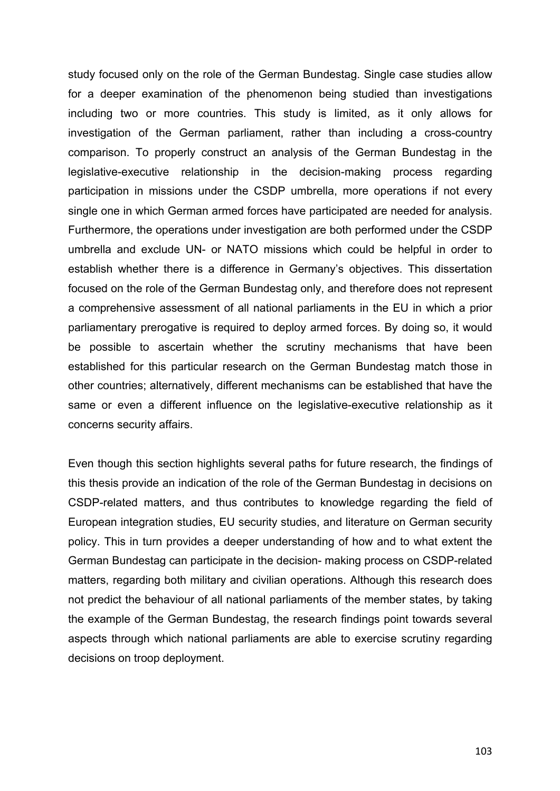study focused only on the role of the German Bundestag. Single case studies allow for a deeper examination of the phenomenon being studied than investigations including two or more countries. This study is limited, as it only allows for investigation of the German parliament, rather than including a cross-country comparison. To properly construct an analysis of the German Bundestag in the legislative-executive relationship in the decision-making process regarding participation in missions under the CSDP umbrella, more operations if not every single one in which German armed forces have participated are needed for analysis. Furthermore, the operations under investigation are both performed under the CSDP umbrella and exclude UN- or NATO missions which could be helpful in order to establish whether there is a difference in Germany's objectives. This dissertation focused on the role of the German Bundestag only, and therefore does not represent a comprehensive assessment of all national parliaments in the EU in which a prior parliamentary prerogative is required to deploy armed forces. By doing so, it would be possible to ascertain whether the scrutiny mechanisms that have been established for this particular research on the German Bundestag match those in other countries; alternatively, different mechanisms can be established that have the same or even a different influence on the legislative-executive relationship as it concerns security affairs.

Even though this section highlights several paths for future research, the findings of this thesis provide an indication of the role of the German Bundestag in decisions on CSDP-related matters, and thus contributes to knowledge regarding the field of European integration studies, EU security studies, and literature on German security policy. This in turn provides a deeper understanding of how and to what extent the German Bundestag can participate in the decision- making process on CSDP-related matters, regarding both military and civilian operations. Although this research does not predict the behaviour of all national parliaments of the member states, by taking the example of the German Bundestag, the research findings point towards several aspects through which national parliaments are able to exercise scrutiny regarding decisions on troop deployment.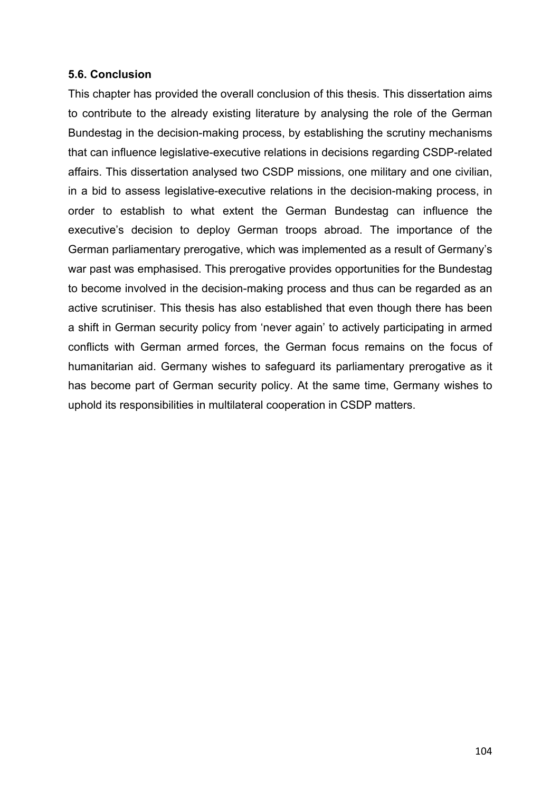## **5.6. Conclusion**

This chapter has provided the overall conclusion of this thesis. This dissertation aims to contribute to the already existing literature by analysing the role of the German Bundestag in the decision-making process, by establishing the scrutiny mechanisms that can influence legislative-executive relations in decisions regarding CSDP-related affairs. This dissertation analysed two CSDP missions, one military and one civilian, in a bid to assess legislative-executive relations in the decision-making process, in order to establish to what extent the German Bundestag can influence the executive's decision to deploy German troops abroad. The importance of the German parliamentary prerogative, which was implemented as a result of Germany's war past was emphasised. This prerogative provides opportunities for the Bundestag to become involved in the decision-making process and thus can be regarded as an active scrutiniser. This thesis has also established that even though there has been a shift in German security policy from 'never again' to actively participating in armed conflicts with German armed forces, the German focus remains on the focus of humanitarian aid. Germany wishes to safeguard its parliamentary prerogative as it has become part of German security policy. At the same time, Germany wishes to uphold its responsibilities in multilateral cooperation in CSDP matters.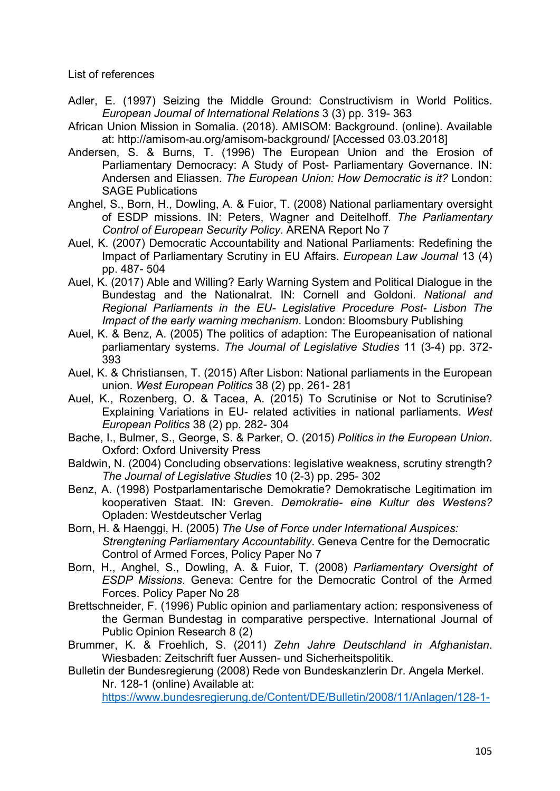List of references

- Adler, E. (1997) Seizing the Middle Ground: Constructivism in World Politics. *European Journal of International Relations* 3 (3) pp. 319- 363
- African Union Mission in Somalia. (2018). AMISOM: Background. (online). Available at: http://amisom-au.org/amisom-background/ [Accessed 03.03.2018]
- Andersen, S. & Burns, T. (1996) The European Union and the Erosion of Parliamentary Democracy: A Study of Post- Parliamentary Governance. IN: Andersen and Eliassen. *The European Union: How Democratic is it?* London: SAGE Publications
- Anghel, S., Born, H., Dowling, A. & Fuior, T. (2008) National parliamentary oversight of ESDP missions. IN: Peters, Wagner and Deitelhoff. *The Parliamentary Control of European Security Policy*. ARENA Report No 7
- Auel, K. (2007) Democratic Accountability and National Parliaments: Redefining the Impact of Parliamentary Scrutiny in EU Affairs. *European Law Journal* 13 (4) pp. 487- 504
- Auel, K. (2017) Able and Willing? Early Warning System and Political Dialogue in the Bundestag and the Nationalrat. IN: Cornell and Goldoni. *National and Regional Parliaments in the EU- Legislative Procedure Post- Lisbon The Impact of the early warning mechanism*. London: Bloomsbury Publishing
- Auel, K. & Benz, A. (2005) The politics of adaption: The Europeanisation of national parliamentary systems. *The Journal of Legislative Studies* 11 (3-4) pp. 372- 393
- Auel, K. & Christiansen, T. (2015) After Lisbon: National parliaments in the European union. *West European Politics* 38 (2) pp. 261- 281
- Auel, K., Rozenberg, O. & Tacea, A. (2015) To Scrutinise or Not to Scrutinise? Explaining Variations in EU- related activities in national parliaments. *West European Politics* 38 (2) pp. 282- 304
- Bache, I., Bulmer, S., George, S. & Parker, O. (2015) *Politics in the European Union*. Oxford: Oxford University Press
- Baldwin, N. (2004) Concluding observations: legislative weakness, scrutiny strength? *The Journal of Legislative Studies* 10 (2-3) pp. 295- 302
- Benz, A. (1998) Postparlamentarische Demokratie? Demokratische Legitimation im kooperativen Staat. IN: Greven. *Demokratie- eine Kultur des Westens?* Opladen: Westdeutscher Verlag
- Born, H. & Haenggi, H. (2005) *The Use of Force under International Auspices: Strengtening Parliamentary Accountability*. Geneva Centre for the Democratic Control of Armed Forces, Policy Paper No 7
- Born, H., Anghel, S., Dowling, A. & Fuior, T. (2008) *Parliamentary Oversight of ESDP Missions*. Geneva: Centre for the Democratic Control of the Armed Forces. Policy Paper No 28
- Brettschneider, F. (1996) Public opinion and parliamentary action: responsiveness of the German Bundestag in comparative perspective. International Journal of Public Opinion Research 8 (2)
- Brummer, K. & Froehlich, S. (2011) *Zehn Jahre Deutschland in Afghanistan*. Wiesbaden: Zeitschrift fuer Aussen- und Sicherheitspolitik.

Bulletin der Bundesregierung (2008) Rede von Bundeskanzlerin Dr. Angela Merkel. Nr. 128-1 (online) Available at:

https://www.bundesregierung.de/Content/DE/Bulletin/2008/11/Anlagen/128-1-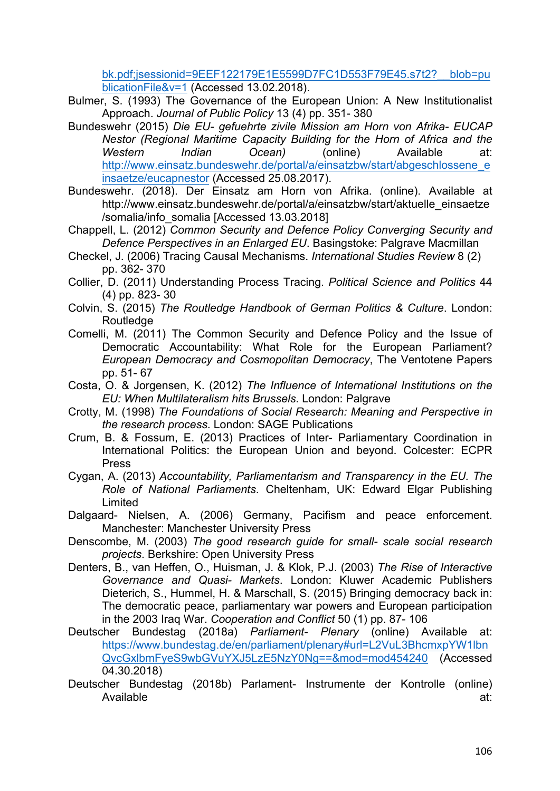bk.pdf;jsessionid=9EEF122179E1E5599D7FC1D553F79E45.s7t2?\_\_blob=pu blicationFile&v=1 (Accessed 13.02.2018).

- Bulmer, S. (1993) The Governance of the European Union: A New Institutionalist Approach. *Journal of Public Policy* 13 (4) pp. 351- 380
- Bundeswehr (2015) *Die EU- gefuehrte zivile Mission am Horn von Afrika- EUCAP Nestor (Regional Maritime Capacity Building for the Horn of Africa and the Western Indian Ocean)* (online) Available at: http://www.einsatz.bundeswehr.de/portal/a/einsatzbw/start/abgeschlossene\_e insaetze/eucapnestor (Accessed 25.08.2017).
- Bundeswehr. (2018). Der Einsatz am Horn von Afrika. (online). Available at http://www.einsatz.bundeswehr.de/portal/a/einsatzbw/start/aktuelle\_einsaetze /somalia/info\_somalia [Accessed 13.03.2018]
- Chappell, L. (2012) *Common Security and Defence Policy Converging Security and Defence Perspectives in an Enlarged EU*. Basingstoke: Palgrave Macmillan
- Checkel, J. (2006) Tracing Causal Mechanisms. *International Studies Review* 8 (2) pp. 362- 370
- Collier, D. (2011) Understanding Process Tracing. *Political Science and Politics* 44 (4) pp. 823- 30
- Colvin, S. (2015) *The Routledge Handbook of German Politics & Culture*. London: **Routledge**
- Comelli, M. (2011) The Common Security and Defence Policy and the Issue of Democratic Accountability: What Role for the European Parliament? *European Democracy and Cosmopolitan Democracy*, The Ventotene Papers pp. 51- 67
- Costa, O. & Jorgensen, K. (2012) *The Influence of International Institutions on the EU: When Multilateralism hits Brussels*. London: Palgrave
- Crotty, M. (1998) *The Foundations of Social Research: Meaning and Perspective in the research process*. London: SAGE Publications
- Crum, B. & Fossum, E. (2013) Practices of Inter- Parliamentary Coordination in International Politics: the European Union and beyond. Colcester: ECPR Press
- Cygan, A. (2013) *Accountability, Parliamentarism and Transparency in the EU. The Role of National Parliaments*. Cheltenham, UK: Edward Elgar Publishing Limited
- Dalgaard- Nielsen, A. (2006) Germany, Pacifism and peace enforcement. Manchester: Manchester University Press
- Denscombe, M. (2003) *The good research guide for small- scale social research projects*. Berkshire: Open University Press
- Denters, B., van Heffen, O., Huisman, J. & Klok, P.J. (2003) *The Rise of Interactive Governance and Quasi- Markets*. London: Kluwer Academic Publishers Dieterich, S., Hummel, H. & Marschall, S. (2015) Bringing democracy back in: The democratic peace, parliamentary war powers and European participation in the 2003 Iraq War. *Cooperation and Conflict* 50 (1) pp. 87- 106
- Deutscher Bundestag (2018a) *Parliament- Plenary* (online) Available at: https://www.bundestag.de/en/parliament/plenary#url=L2VuL3BhcmxpYW1lbn QvcGxlbmFyeS9wbGVuYXJ5LzE5NzY0Ng==&mod=mod454240 (Accessed 04.30.2018)
- Deutscher Bundestag (2018b) Parlament- Instrumente der Kontrolle (online) Available at: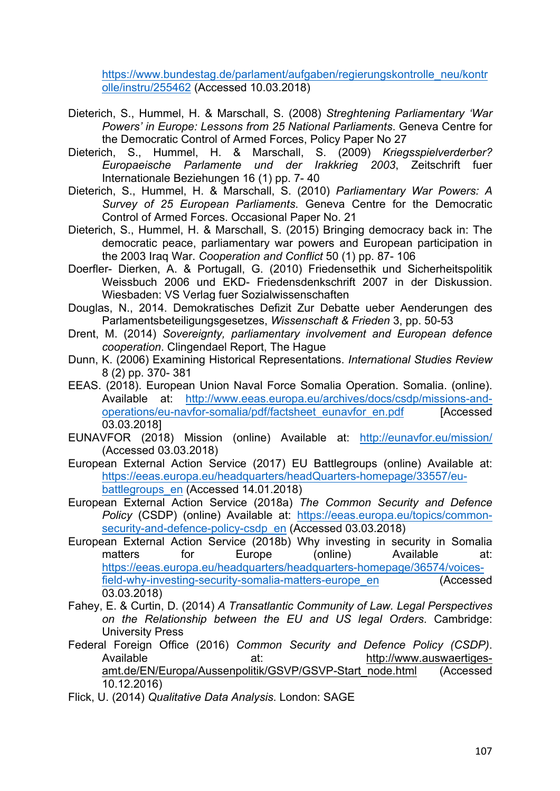https://www.bundestag.de/parlament/aufgaben/regierungskontrolle\_neu/kontr olle/instru/255462 (Accessed 10.03.2018)

- Dieterich, S., Hummel, H. & Marschall, S. (2008) *Streghtening Parliamentary 'War Powers' in Europe: Lessons from 25 National Parliaments*. Geneva Centre for the Democratic Control of Armed Forces, Policy Paper No 27
- Dieterich, S., Hummel, H. & Marschall, S. (2009) *Kriegsspielverderber? Europaeische Parlamente und der Irakkrieg 2003*, Zeitschrift fuer Internationale Beziehungen 16 (1) pp. 7- 40
- Dieterich, S., Hummel, H. & Marschall, S. (2010) *Parliamentary War Powers: A Survey of 25 European Parliaments*. Geneva Centre for the Democratic Control of Armed Forces. Occasional Paper No. 21
- Dieterich, S., Hummel, H. & Marschall, S. (2015) Bringing democracy back in: The democratic peace, parliamentary war powers and European participation in the 2003 Iraq War. *Cooperation and Conflict* 50 (1) pp. 87- 106
- Doerfler- Dierken, A. & Portugall, G. (2010) Friedensethik und Sicherheitspolitik Weissbuch 2006 und EKD- Friedensdenkschrift 2007 in der Diskussion. Wiesbaden: VS Verlag fuer Sozialwissenschaften
- Douglas, N., 2014. Demokratisches Defizit Zur Debatte ueber Aenderungen des Parlamentsbeteiligungsgesetzes, *Wissenschaft & Frieden* 3, pp. 50-53
- Drent, M. (2014) *Sovereignty, parliamentary involvement and European defence cooperation*. Clingendael Report, The Hague
- Dunn, K. (2006) Examining Historical Representations. *International Studies Review* 8 (2) pp. 370- 381
- EEAS. (2018). European Union Naval Force Somalia Operation. Somalia. (online). Available at: http://www.eeas.europa.eu/archives/docs/csdp/missions-andoperations/eu-navfor-somalia/pdf/factsheet\_eunavfor\_en.pdf [Accessed 03.03.2018]
- EUNAVFOR (2018) Mission (online) Available at: http://eunavfor.eu/mission/ (Accessed 03.03.2018)
- European External Action Service (2017) EU Battlegroups (online) Available at: https://eeas.europa.eu/headquarters/headQuarters-homepage/33557/eubattlegroups\_en (Accessed 14.01.2018)
- European External Action Service (2018a) *The Common Security and Defence Policy* (CSDP) (online) Available at: https://eeas.europa.eu/topics/commonsecurity-and-defence-policy-csdp\_en (Accessed 03.03.2018)
- European External Action Service (2018b) Why investing in security in Somalia matters for Europe (online) Available at: https://eeas.europa.eu/headquarters/headquarters-homepage/36574/voicesfield-why-investing-security-somalia-matters-europe\_en (Accessed 03.03.2018)
- Fahey, E. & Curtin, D. (2014) *A Transatlantic Community of Law. Legal Perspectives on the Relationship between the EU and US legal Orders*. Cambridge: University Press
- Federal Foreign Office (2016) *Common Security and Defence Policy (CSDP)*. Available at: http://www.auswaertigesamt.de/EN/Europa/Aussenpolitik/GSVP/GSVP-Start\_node.html (Accessed 10.12.2016)
- Flick, U. (2014) *Qualitative Data Analysis*. London: SAGE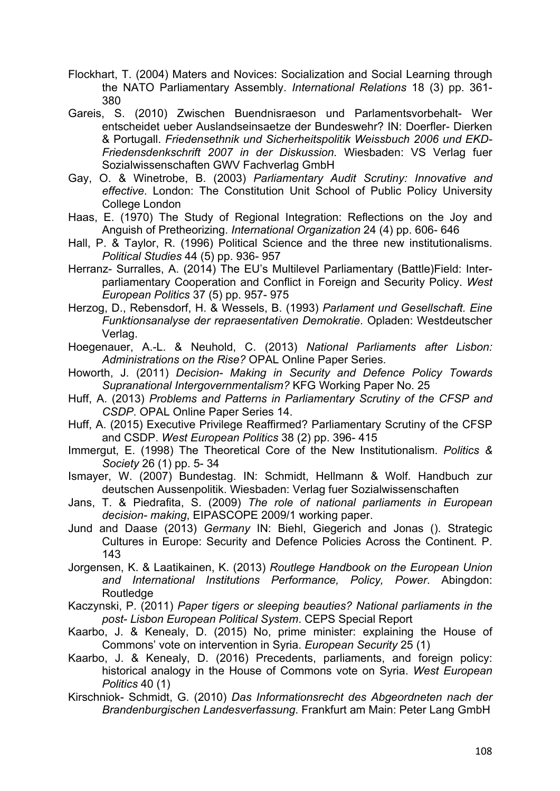- Flockhart, T. (2004) Maters and Novices: Socialization and Social Learning through the NATO Parliamentary Assembly. *International Relations* 18 (3) pp. 361- 380
- Gareis, S. (2010) Zwischen Buendnisraeson und Parlamentsvorbehalt- Wer entscheidet ueber Auslandseinsaetze der Bundeswehr? IN: Doerfler- Dierken & Portugall. *Friedensethnik und Sicherheitspolitik Weissbuch 2006 und EKD-Friedensdenkschrift 2007 in der Diskussion.* Wiesbaden: VS Verlag fuer Sozialwissenschaften GWV Fachverlag GmbH
- Gay, O. & Winetrobe, B. (2003) *Parliamentary Audit Scrutiny: Innovative and effective*. London: The Constitution Unit School of Public Policy University College London
- Haas, E. (1970) The Study of Regional Integration: Reflections on the Joy and Anguish of Pretheorizing. *International Organization* 24 (4) pp. 606- 646
- Hall, P. & Taylor, R. (1996) Political Science and the three new institutionalisms. *Political Studies* 44 (5) pp. 936- 957
- Herranz- Surralles, A. (2014) The EU's Multilevel Parliamentary (Battle)Field: Interparliamentary Cooperation and Conflict in Foreign and Security Policy. *West European Politics* 37 (5) pp. 957- 975
- Herzog, D., Rebensdorf, H. & Wessels, B. (1993) *Parlament und Gesellschaft. Eine Funktionsanalyse der repraesentativen Demokratie*. Opladen: Westdeutscher Verlag.
- Hoegenauer, A.-L. & Neuhold, C. (2013) *National Parliaments after Lisbon: Administrations on the Rise?* OPAL Online Paper Series.
- Howorth, J. (2011) *Decision- Making in Security and Defence Policy Towards Supranational Intergovernmentalism?* KFG Working Paper No. 25
- Huff, A. (2013) *Problems and Patterns in Parliamentary Scrutiny of the CFSP and CSDP*. OPAL Online Paper Series 14.
- Huff, A. (2015) Executive Privilege Reaffirmed? Parliamentary Scrutiny of the CFSP and CSDP. *West European Politics* 38 (2) pp. 396- 415
- Immergut, E. (1998) The Theoretical Core of the New Institutionalism. *Politics & Society* 26 (1) pp. 5- 34
- Ismayer, W. (2007) Bundestag. IN: Schmidt, Hellmann & Wolf. Handbuch zur deutschen Aussenpolitik. Wiesbaden: Verlag fuer Sozialwissenschaften
- Jans, T. & Piedrafita, S. (2009) *The role of national parliaments in European decision- making*, EIPASCOPE 2009/1 working paper.
- Jund and Daase (2013) *Germany* IN: Biehl, Giegerich and Jonas (). Strategic Cultures in Europe: Security and Defence Policies Across the Continent. P. 143
- Jorgensen, K. & Laatikainen, K. (2013) *Routlege Handbook on the European Union and International Institutions Performance, Policy, Power*. Abingdon: **Routledge**
- Kaczynski, P. (2011) *Paper tigers or sleeping beauties? National parliaments in the post- Lisbon European Political System*. CEPS Special Report
- Kaarbo, J. & Kenealy, D. (2015) No, prime minister: explaining the House of Commons' vote on intervention in Syria. *European Security* 25 (1)
- Kaarbo, J. & Kenealy, D. (2016) Precedents, parliaments, and foreign policy: historical analogy in the House of Commons vote on Syria. *West European Politics* 40 (1)
- Kirschniok- Schmidt, G. (2010) *Das Informationsrecht des Abgeordneten nach der Brandenburgischen Landesverfassung*. Frankfurt am Main: Peter Lang GmbH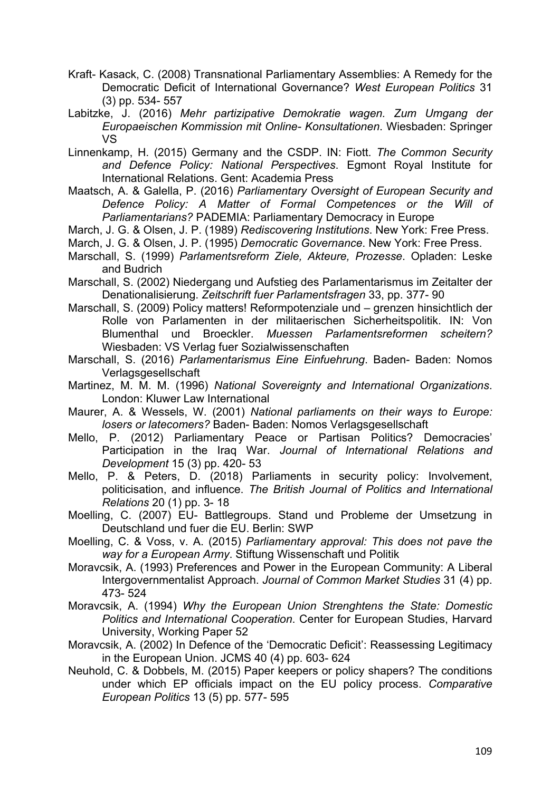- Kraft- Kasack, C. (2008) Transnational Parliamentary Assemblies: A Remedy for the Democratic Deficit of International Governance? *West European Politics* 31 (3) pp. 534- 557
- Labitzke, J. (2016) *Mehr partizipative Demokratie wagen. Zum Umgang der Europaeischen Kommission mit Online- Konsultationen*. Wiesbaden: Springer VS
- Linnenkamp, H. (2015) Germany and the CSDP. IN: Fiott. *The Common Security and Defence Policy: National Perspectives*. Egmont Royal Institute for International Relations. Gent: Academia Press
- Maatsch, A. & Galella, P. (2016) *Parliamentary Oversight of European Security and Defence Policy: A Matter of Formal Competences or the Will of Parliamentarians?* PADEMIA: Parliamentary Democracy in Europe
- March, J. G. & Olsen, J. P. (1989) *Rediscovering Institutions*. New York: Free Press.
- March, J. G. & Olsen, J. P. (1995) *Democratic Governance*. New York: Free Press.
- Marschall, S. (1999) *Parlamentsreform Ziele, Akteure, Prozesse*. Opladen: Leske and Budrich
- Marschall, S. (2002) Niedergang und Aufstieg des Parlamentarismus im Zeitalter der Denationalisierung. *Zeitschrift fuer Parlamentsfragen* 33, pp. 377- 90
- Marschall, S. (2009) Policy matters! Reformpotenziale und grenzen hinsichtlich der Rolle von Parlamenten in der militaerischen Sicherheitspolitik. IN: Von Blumenthal und Broeckler. *Muessen Parlamentsreformen scheitern?* Wiesbaden: VS Verlag fuer Sozialwissenschaften
- Marschall, S. (2016) *Parlamentarismus Eine Einfuehrung*. Baden- Baden: Nomos Verlagsgesellschaft
- Martinez, M. M. M. (1996) *National Sovereignty and International Organizations*. London: Kluwer Law International
- Maurer, A. & Wessels, W. (2001) *National parliaments on their ways to Europe: losers or latecomers?* Baden- Baden: Nomos Verlagsgesellschaft
- Mello, P. (2012) Parliamentary Peace or Partisan Politics? Democracies' Participation in the Iraq War. *Journal of International Relations and Development* 15 (3) pp. 420- 53
- Mello, P. & Peters, D. (2018) Parliaments in security policy: Involvement, politicisation, and influence. *The British Journal of Politics and International Relations* 20 (1) pp. 3- 18
- Moelling, C. (2007) EU- Battlegroups. Stand und Probleme der Umsetzung in Deutschland und fuer die EU. Berlin: SWP
- Moelling, C. & Voss, v. A. (2015) *Parliamentary approval: This does not pave the way for a European Army*. Stiftung Wissenschaft und Politik
- Moravcsik, A. (1993) Preferences and Power in the European Community: A Liberal Intergovernmentalist Approach. *Journal of Common Market Studies* 31 (4) pp. 473- 524
- Moravcsik, A. (1994) *Why the European Union Strenghtens the State: Domestic Politics and International Cooperation*. Center for European Studies, Harvard University, Working Paper 52
- Moravcsik, A. (2002) In Defence of the 'Democratic Deficit': Reassessing Legitimacy in the European Union. JCMS 40 (4) pp. 603- 624
- Neuhold, C. & Dobbels, M. (2015) Paper keepers or policy shapers? The conditions under which EP officials impact on the EU policy process. *Comparative European Politics* 13 (5) pp. 577- 595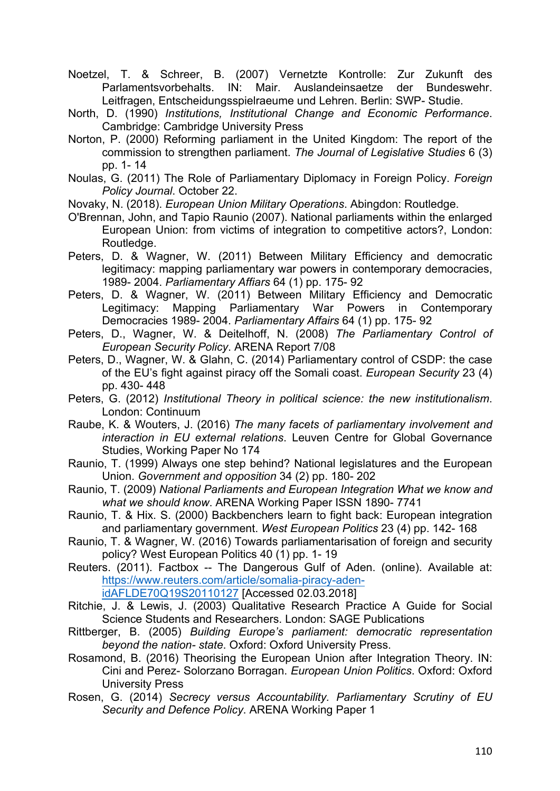- Noetzel, T. & Schreer, B. (2007) Vernetzte Kontrolle: Zur Zukunft des Parlamentsvorbehalts. IN: Mair. Auslandeinsaetze der Bundeswehr. Leitfragen, Entscheidungsspielraeume und Lehren. Berlin: SWP- Studie.
- North, D. (1990) *Institutions, Institutional Change and Economic Performance*. Cambridge: Cambridge University Press
- Norton, P. (2000) Reforming parliament in the United Kingdom: The report of the commission to strengthen parliament. *The Journal of Legislative Studies* 6 (3) pp. 1- 14
- Noulas, G. (2011) The Role of Parliamentary Diplomacy in Foreign Policy. *Foreign Policy Journal*. October 22.
- Novaky, N. (2018). *European Union Military Operations*. Abingdon: Routledge.
- O'Brennan, John, and Tapio Raunio (2007). National parliaments within the enlarged European Union: from victims of integration to competitive actors?, London: Routledge.
- Peters, D. & Wagner, W. (2011) Between Military Efficiency and democratic legitimacy: mapping parliamentary war powers in contemporary democracies, 1989- 2004. *Parliamentary Affiars* 64 (1) pp. 175- 92
- Peters, D. & Wagner, W. (2011) Between Military Efficiency and Democratic Legitimacy: Mapping Parliamentary War Powers in Contemporary Democracies 1989- 2004. *Parliamentary Affairs* 64 (1) pp. 175- 92
- Peters, D., Wagner, W. & Deitelhoff, N. (2008) *The Parliamentary Control of European Security Policy*. ARENA Report 7/08
- Peters, D., Wagner, W. & Glahn, C. (2014) Parliamentary control of CSDP: the case of the EU's fight against piracy off the Somali coast. *European Security* 23 (4) pp. 430- 448
- Peters, G. (2012) *Institutional Theory in political science: the new institutionalism*. London: Continuum
- Raube, K. & Wouters, J. (2016) *The many facets of parliamentary involvement and interaction in EU external relations*. Leuven Centre for Global Governance Studies, Working Paper No 174
- Raunio, T. (1999) Always one step behind? National legislatures and the European Union. *Government and opposition* 34 (2) pp. 180- 202
- Raunio, T. (2009) *National Parliaments and European Integration What we know and what we should know*. ARENA Working Paper ISSN 1890- 7741
- Raunio, T. & Hix. S. (2000) Backbenchers learn to fight back: European integration and parliamentary government. *West European Politics* 23 (4) pp. 142- 168
- Raunio, T. & Wagner, W. (2016) Towards parliamentarisation of foreign and security policy? West European Politics 40 (1) pp. 1- 19
- Reuters. (2011). Factbox -- The Dangerous Gulf of Aden. (online). Available at: https://www.reuters.com/article/somalia-piracy-adenidAFLDE70Q19S20110127 [Accessed 02.03.2018]
	-
- Ritchie, J. & Lewis, J. (2003) Qualitative Research Practice A Guide for Social Science Students and Researchers. London: SAGE Publications
- Rittberger, B. (2005) *Building Europe's parliament: democratic representation beyond the nation- state*. Oxford: Oxford University Press.
- Rosamond, B. (2016) Theorising the European Union after Integration Theory. IN: Cini and Perez- Solorzano Borragan. *European Union Politics*. Oxford: Oxford University Press
- Rosen, G. (2014) *Secrecy versus Accountability. Parliamentary Scrutiny of EU Security and Defence Policy*. ARENA Working Paper 1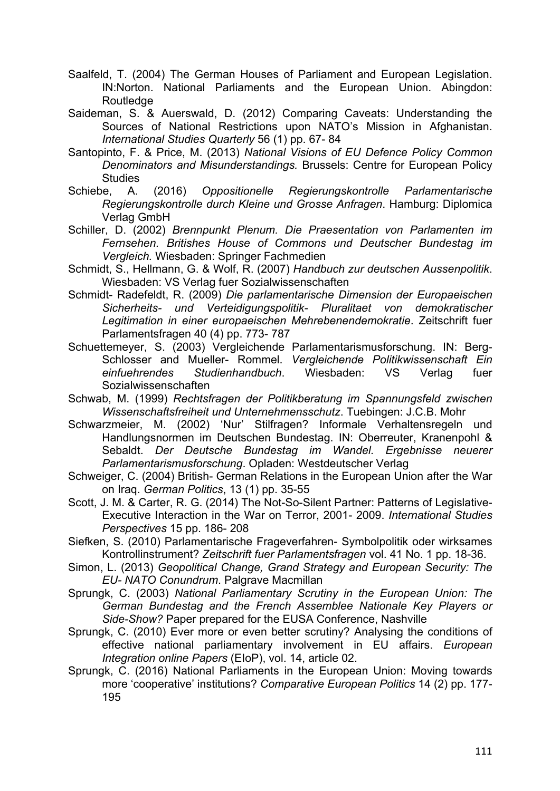- Saalfeld, T. (2004) The German Houses of Parliament and European Legislation. IN:Norton. National Parliaments and the European Union. Abingdon: **Routledge**
- Saideman, S. & Auerswald, D. (2012) Comparing Caveats: Understanding the Sources of National Restrictions upon NATO's Mission in Afghanistan. *International Studies Quarterly* 56 (1) pp. 67- 84
- Santopinto, F. & Price, M. (2013) *National Visions of EU Defence Policy Common Denominators and Misunderstandings.* Brussels: Centre for European Policy Studies<br>Schiebe. A.
- A. (2016) Oppositionelle Regierungskontrolle Parlamentarische *Regierungskontrolle durch Kleine und Grosse Anfragen*. Hamburg: Diplomica Verlag GmbH
- Schiller, D. (2002) *Brennpunkt Plenum. Die Praesentation von Parlamenten im Fernsehen. Britishes House of Commons und Deutscher Bundestag im Vergleich.* Wiesbaden: Springer Fachmedien
- Schmidt, S., Hellmann, G. & Wolf, R. (2007) *Handbuch zur deutschen Aussenpolitik*. Wiesbaden: VS Verlag fuer Sozialwissenschaften
- Schmidt- Radefeldt, R. (2009) *Die parlamentarische Dimension der Europaeischen Sicherheits- und Verteidigungspolitik- Pluralitaet von demokratischer Legitimation in einer europaeischen Mehrebenendemokratie*. Zeitschrift fuer Parlamentsfragen 40 (4) pp. 773- 787
- Schuettemeyer, S. (2003) Vergleichende Parlamentarismusforschung. IN: Berg-Schlosser and Mueller- Rommel. *Vergleichende Politikwissenschaft Ein einfuehrendes Studienhandbuch*. Wiesbaden: VS Verlag fuer Sozialwissenschaften
- Schwab, M. (1999) *Rechtsfragen der Politikberatung im Spannungsfeld zwischen Wissenschaftsfreiheit und Unternehmensschutz*. Tuebingen: J.C.B. Mohr
- Schwarzmeier, M. (2002) 'Nur' Stilfragen? Informale Verhaltensregeln und Handlungsnormen im Deutschen Bundestag. IN: Oberreuter, Kranenpohl & Sebaldt. *Der Deutsche Bundestag im Wandel. Ergebnisse neuerer Parlamentarismusforschung*. Opladen: Westdeutscher Verlag
- Schweiger, C. (2004) British- German Relations in the European Union after the War on Iraq. *German Politics*, 13 (1) pp. 35-55
- Scott, J. M. & Carter, R. G. (2014) The Not-So-Silent Partner: Patterns of Legislative-Executive Interaction in the War on Terror, 2001- 2009. *International Studies Perspectives* 15 pp. 186- 208
- Siefken, S. (2010) Parlamentarische Frageverfahren- Symbolpolitik oder wirksames Kontrollinstrument? *Zeitschrift fuer Parlamentsfragen* vol. 41 No. 1 pp. 18-36.
- Simon, L. (2013) *Geopolitical Change, Grand Strategy and European Security: The EU- NATO Conundrum*. Palgrave Macmillan
- Sprungk, C. (2003) *National Parliamentary Scrutiny in the European Union: The German Bundestag and the French Assemblee Nationale Key Players or Side-Show?* Paper prepared for the EUSA Conference, Nashville
- Sprungk, C. (2010) Ever more or even better scrutiny? Analysing the conditions of effective national parliamentary involvement in EU affairs. *European Integration online Papers* (EIoP), vol. 14, article 02.
- Sprungk, C. (2016) National Parliaments in the European Union: Moving towards more 'cooperative' institutions? *Comparative European Politics* 14 (2) pp. 177- 195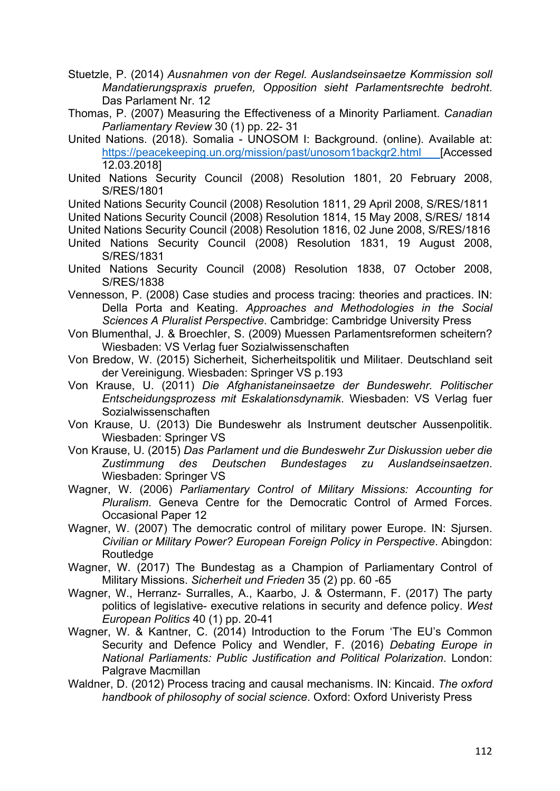- Stuetzle, P. (2014) *Ausnahmen von der Regel. Auslandseinsaetze Kommission soll Mandatierungspraxis pruefen, Opposition sieht Parlamentsrechte bedroht*. Das Parlament Nr. 12
- Thomas, P. (2007) Measuring the Effectiveness of a Minority Parliament. *Canadian Parliamentary Review* 30 (1) pp. 22- 31
- United Nations. (2018). Somalia UNOSOM I: Background. (online). Available at: https://peacekeeping.un.org/mission/past/unosom1backgr2.html [Accessed] 12.03.2018]
- United Nations Security Council (2008) Resolution 1801, 20 February 2008, S/RES/1801

United Nations Security Council (2008) Resolution 1811, 29 April 2008, S/RES/1811

United Nations Security Council (2008) Resolution 1814, 15 May 2008, S/RES/ 1814

- United Nations Security Council (2008) Resolution 1816, 02 June 2008, S/RES/1816
- United Nations Security Council (2008) Resolution 1831, 19 August 2008, S/RES/1831
- United Nations Security Council (2008) Resolution 1838, 07 October 2008, S/RES/1838
- Vennesson, P. (2008) Case studies and process tracing: theories and practices. IN: Della Porta and Keating. *Approaches and Methodologies in the Social Sciences A Pluralist Perspective*. Cambridge: Cambridge University Press
- Von Blumenthal, J. & Broechler, S. (2009) Muessen Parlamentsreformen scheitern? Wiesbaden: VS Verlag fuer Sozialwissenschaften
- Von Bredow, W. (2015) Sicherheit, Sicherheitspolitik und Militaer. Deutschland seit der Vereinigung. Wiesbaden: Springer VS p.193
- Von Krause, U. (2011) *Die Afghanistaneinsaetze der Bundeswehr. Politischer Entscheidungsprozess mit Eskalationsdynamik*. Wiesbaden: VS Verlag fuer Sozialwissenschaften
- Von Krause, U. (2013) Die Bundeswehr als Instrument deutscher Aussenpolitik. Wiesbaden: Springer VS
- Von Krause, U. (2015) *Das Parlament und die Bundeswehr Zur Diskussion ueber die Zustimmung des Deutschen Bundestages zu Auslandseinsaetzen*. Wiesbaden: Springer VS
- Wagner, W. (2006) *Parliamentary Control of Military Missions: Accounting for Pluralism*. Geneva Centre for the Democratic Control of Armed Forces. Occasional Paper 12
- Wagner, W. (2007) The democratic control of military power Europe. IN: Sjursen. *Civilian or Military Power? European Foreign Policy in Perspective*. Abingdon: **Routledge**
- Wagner, W. (2017) The Bundestag as a Champion of Parliamentary Control of Military Missions. *Sicherheit und Frieden* 35 (2) pp. 60 -65
- Wagner, W., Herranz- Surralles, A., Kaarbo, J. & Ostermann, F. (2017) The party politics of legislative- executive relations in security and defence policy. *West European Politics* 40 (1) pp. 20-41
- Wagner, W. & Kantner, C. (2014) Introduction to the Forum 'The EU's Common Security and Defence Policy and Wendler, F. (2016) *Debating Europe in National Parliaments: Public Justification and Political Polarization*. London: Palgrave Macmillan
- Waldner, D. (2012) Process tracing and causal mechanisms. IN: Kincaid. *The oxford handbook of philosophy of social science*. Oxford: Oxford Univeristy Press